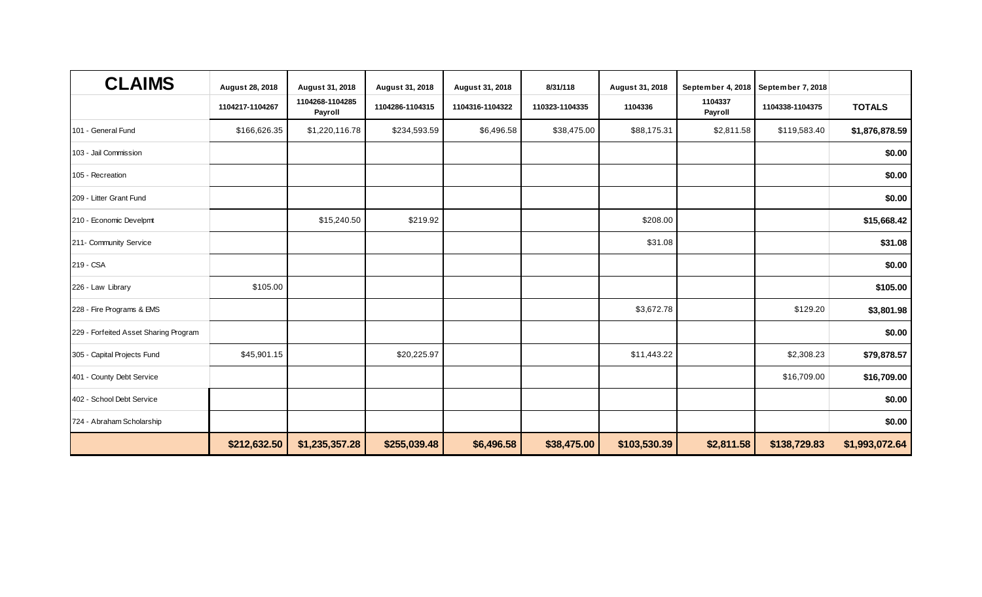| <b>CLAIMS</b>                         | August 28, 2018 | August 31, 2018            | August 31, 2018 | August 31, 2018 | 8/31/118       | August 31, 2018 | September 4, 2018  | September 7, 2018 |                |
|---------------------------------------|-----------------|----------------------------|-----------------|-----------------|----------------|-----------------|--------------------|-------------------|----------------|
|                                       | 1104217-1104267 | 1104268-1104285<br>Payroll | 1104286-1104315 | 1104316-1104322 | 110323-1104335 | 1104336         | 1104337<br>Payroll | 1104338-1104375   | <b>TOTALS</b>  |
| 101 - General Fund                    | \$166,626.35    | \$1,220,116.78             | \$234,593.59    | \$6,496.58      | \$38,475.00    | \$88,175.31     | \$2,811.58         | \$119,583.40      | \$1,876,878.59 |
| 103 - Jail Commission                 |                 |                            |                 |                 |                |                 |                    |                   | \$0.00         |
| 105 - Recreation                      |                 |                            |                 |                 |                |                 |                    |                   | \$0.00         |
| 209 - Litter Grant Fund               |                 |                            |                 |                 |                |                 |                    |                   | \$0.00         |
| 210 - Economic Develpmt               |                 | \$15,240.50                | \$219.92        |                 |                | \$208.00        |                    |                   | \$15,668.42    |
| 211- Community Service                |                 |                            |                 |                 |                | \$31.08         |                    |                   | \$31.08        |
| 219 - CSA                             |                 |                            |                 |                 |                |                 |                    |                   | \$0.00         |
| 226 - Law Library                     | \$105.00        |                            |                 |                 |                |                 |                    |                   | \$105.00       |
| 228 - Fire Programs & EMS             |                 |                            |                 |                 |                | \$3,672.78      |                    | \$129.20          | \$3,801.98     |
| 229 - Forfeited Asset Sharing Program |                 |                            |                 |                 |                |                 |                    |                   | \$0.00         |
| 305 - Capital Projects Fund           | \$45,901.15     |                            | \$20,225.97     |                 |                | \$11,443.22     |                    | \$2,308.23        | \$79,878.57    |
| 401 - County Debt Service             |                 |                            |                 |                 |                |                 |                    | \$16,709.00       | \$16,709.00    |
| 402 - School Debt Service             |                 |                            |                 |                 |                |                 |                    |                   | \$0.00         |
| 724 - Abraham Scholarship             |                 |                            |                 |                 |                |                 |                    |                   | \$0.00         |
|                                       | \$212,632.50    | \$1,235,357.28             | \$255,039.48    | \$6,496.58      | \$38,475.00    | \$103,530.39    | \$2,811.58         | \$138,729.83      | \$1,993,072.64 |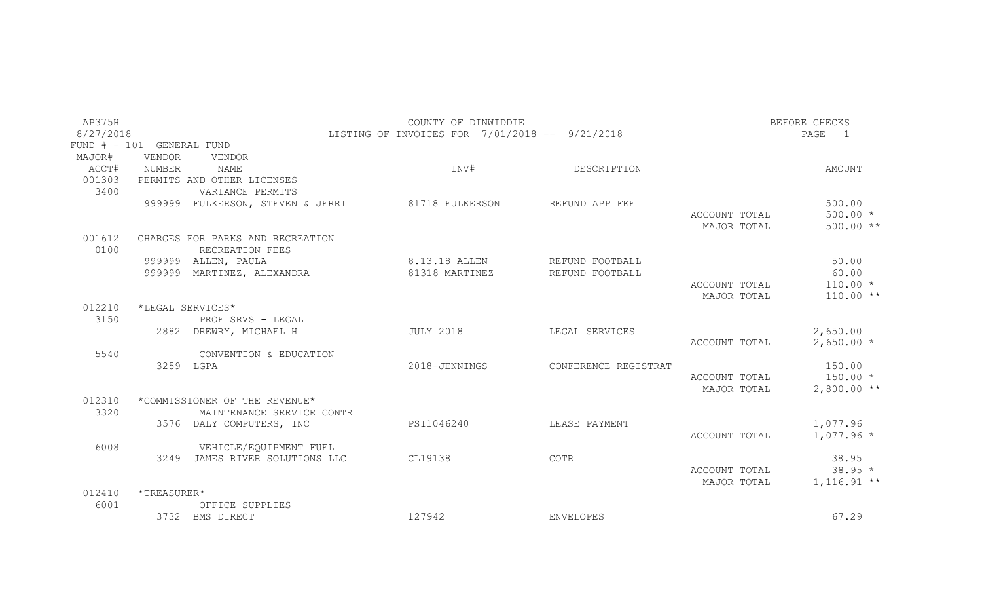| AP375H         |                           |                                                            | COUNTY OF DINWIDDIE                            |                      |               | BEFORE CHECKS          |
|----------------|---------------------------|------------------------------------------------------------|------------------------------------------------|----------------------|---------------|------------------------|
| 8/27/2018      |                           |                                                            | LISTING OF INVOICES FOR 7/01/2018 -- 9/21/2018 |                      |               | PAGE<br>$\overline{1}$ |
|                | FUND # - 101 GENERAL FUND |                                                            |                                                |                      |               |                        |
| MAJOR#         | <b>VENDOR</b>             | VENDOR                                                     |                                                |                      |               |                        |
| ACCT#          | NUMBER                    | <b>NAME</b>                                                | INV#                                           | DESCRIPTION          |               | AMOUNT                 |
| 001303         |                           | PERMITS AND OTHER LICENSES                                 |                                                |                      |               |                        |
| 3400           |                           | VARIANCE PERMITS                                           |                                                |                      |               |                        |
|                |                           | 999999 FULKERSON, STEVEN & JERRI                           | 81718 FULKERSON                                | REFUND APP FEE       |               | 500.00                 |
|                |                           |                                                            |                                                |                      | ACCOUNT TOTAL | $500.00 *$             |
|                |                           |                                                            |                                                |                      | MAJOR TOTAL   | $500.00**$             |
| 001612<br>0100 |                           | CHARGES FOR PARKS AND RECREATION<br>RECREATION FEES        |                                                |                      |               |                        |
|                |                           | 999999 ALLEN, PAULA                                        | 8.13.18 ALLEN                                  | REFUND FOOTBALL      |               | 50.00                  |
|                |                           | 999999 MARTINEZ, ALEXANDRA                                 | 81318 MARTINEZ                                 | REFUND FOOTBALL      |               | 60.00                  |
|                |                           |                                                            |                                                |                      | ACCOUNT TOTAL | $110.00 *$             |
|                |                           |                                                            |                                                |                      | MAJOR TOTAL   | $110.00**$             |
| 012210         |                           | *LEGAL SERVICES*                                           |                                                |                      |               |                        |
| 3150           |                           | PROF SRVS - LEGAL                                          |                                                |                      |               |                        |
|                |                           | 2882 DREWRY, MICHAEL H                                     | <b>JULY 2018</b>                               | LEGAL SERVICES       |               | 2,650.00               |
|                |                           |                                                            |                                                |                      | ACCOUNT TOTAL | $2,650.00*$            |
| 5540           |                           | CONVENTION & EDUCATION                                     |                                                |                      |               |                        |
|                |                           | 3259 LGPA                                                  | 2018-JENNINGS                                  | CONFERENCE REGISTRAT |               | 150.00                 |
|                |                           |                                                            |                                                |                      | ACCOUNT TOTAL | $150.00 *$             |
|                |                           |                                                            |                                                |                      | MAJOR TOTAL   | $2,800.00**$           |
| 012310<br>3320 |                           | *COMMISSIONER OF THE REVENUE*<br>MAINTENANCE SERVICE CONTR |                                                |                      |               |                        |
|                |                           | 3576 DALY COMPUTERS, INC                                   | PSI1046240                                     | LEASE PAYMENT        |               | 1,077.96               |
|                |                           |                                                            |                                                |                      | ACCOUNT TOTAL | $1,077.96*$            |
| 6008           |                           | VEHICLE/EQUIPMENT FUEL                                     |                                                |                      |               |                        |
|                |                           | 3249 JAMES RIVER SOLUTIONS LLC                             | CL19138                                        | COTR                 |               | 38.95                  |
|                |                           |                                                            |                                                |                      | ACCOUNT TOTAL | $38.95*$               |
|                |                           |                                                            |                                                |                      | MAJOR TOTAL   | $1,116.91**$           |
| 012410         | *TREASURER*               |                                                            |                                                |                      |               |                        |
| 6001           |                           | OFFICE SUPPLIES                                            |                                                |                      |               |                        |
|                |                           | 3732 BMS DIRECT                                            | 127942                                         | <b>ENVELOPES</b>     |               | 67.29                  |
|                |                           |                                                            |                                                |                      |               |                        |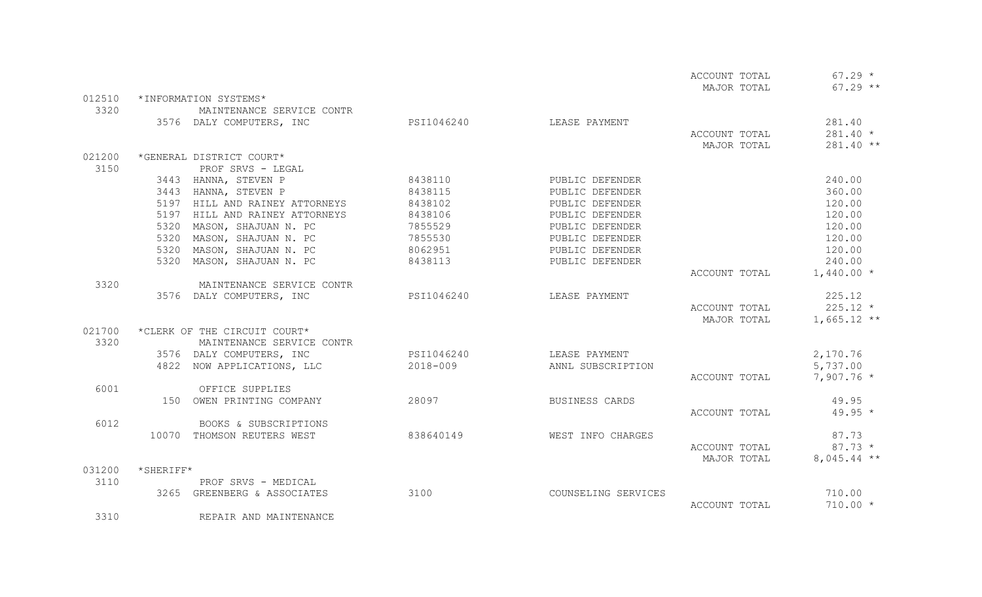|        |                                |            |                     | ACCOUNT TOTAL | $67.29 *$     |
|--------|--------------------------------|------------|---------------------|---------------|---------------|
|        |                                |            |                     | MAJOR TOTAL   | $67.29$ **    |
| 012510 | *INFORMATION SYSTEMS*          |            |                     |               |               |
| 3320   | MAINTENANCE SERVICE CONTR      |            |                     |               |               |
|        | 3576 DALY COMPUTERS, INC       | PSI1046240 | LEASE PAYMENT       |               | 281.40        |
|        |                                |            |                     | ACCOUNT TOTAL | $281.40 *$    |
|        |                                |            |                     | MAJOR TOTAL   | 281.40 **     |
| 021200 | *GENERAL DISTRICT COURT*       |            |                     |               |               |
| 3150   | PROF SRVS - LEGAL              |            |                     |               |               |
|        | 3443 HANNA, STEVEN P           | 8438110    | PUBLIC DEFENDER     |               | 240.00        |
|        | 3443 HANNA, STEVEN P           | 8438115    | PUBLIC DEFENDER     |               | 360.00        |
|        | 5197 HILL AND RAINEY ATTORNEYS | 8438102    | PUBLIC DEFENDER     |               | 120.00        |
|        | 5197 HILL AND RAINEY ATTORNEYS | 8438106    | PUBLIC DEFENDER     |               | 120.00        |
|        | 5320 MASON, SHAJUAN N. PC      | 7855529    | PUBLIC DEFENDER     |               | 120.00        |
|        | 5320 MASON, SHAJUAN N. PC      | 7855530    | PUBLIC DEFENDER     |               | 120.00        |
|        | 5320 MASON, SHAJUAN N. PC      | 8062951    | PUBLIC DEFENDER     |               | 120.00        |
|        | 5320<br>MASON, SHAJUAN N. PC   | 8438113    | PUBLIC DEFENDER     |               | 240.00        |
|        |                                |            |                     | ACCOUNT TOTAL | $1,440.00*$   |
| 3320   | MAINTENANCE SERVICE CONTR      |            |                     |               |               |
|        | 3576 DALY COMPUTERS, INC       | PSI1046240 | LEASE PAYMENT       |               | 225.12        |
|        |                                |            |                     | ACCOUNT TOTAL | $225.12 *$    |
|        |                                |            |                     | MAJOR TOTAL   | $1,665.12$ ** |
| 021700 | *CLERK OF THE CIRCUIT COURT*   |            |                     |               |               |
| 3320   | MAINTENANCE SERVICE CONTR      |            |                     |               |               |
|        | 3576 DALY COMPUTERS, INC       | PSI1046240 | LEASE PAYMENT       |               | 2,170.76      |
|        | 4822 NOW APPLICATIONS, LLC     | 2018-009   | ANNL SUBSCRIPTION   |               | 5,737.00      |
|        |                                |            |                     | ACCOUNT TOTAL | $7,907.76$ *  |
| 6001   | OFFICE SUPPLIES                |            |                     |               |               |
|        | 150 OWEN PRINTING COMPANY      | 28097      | BUSINESS CARDS      |               | 49.95         |
|        |                                |            |                     | ACCOUNT TOTAL | $49.95 *$     |
| 6012   | BOOKS & SUBSCRIPTIONS          |            |                     |               |               |
|        | 10070 THOMSON REUTERS WEST     | 838640149  | WEST INFO CHARGES   |               | 87.73         |
|        |                                |            |                     | ACCOUNT TOTAL | $87.73*$      |
|        |                                |            |                     | MAJOR TOTAL   | $8,045.44$ ** |
| 031200 | *SHERIFF*                      |            |                     |               |               |
| 3110   | PROF SRVS - MEDICAL            |            |                     |               |               |
|        | 3265 GREENBERG & ASSOCIATES    | 3100       | COUNSELING SERVICES |               | 710.00        |
|        |                                |            |                     | ACCOUNT TOTAL | $710.00 *$    |
| 3310   | REPAIR AND MAINTENANCE         |            |                     |               |               |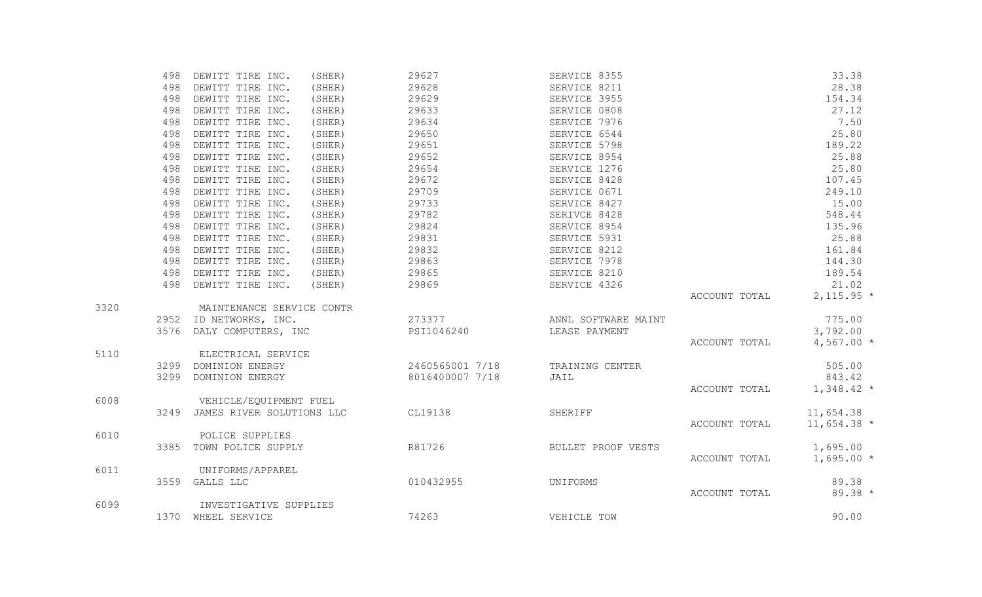|      | 498  | DEWITT TIRE INC.               | (SHER) | 29627           | SERVICE 8355        |               | 33.38         |
|------|------|--------------------------------|--------|-----------------|---------------------|---------------|---------------|
|      | 498  | DEWITT TIRE INC.               | (SHER) | 29628           | SERVICE 8211        |               | 28.38         |
|      | 498  | DEWITT TIRE INC.               | (SHER) | 29629           | SERVICE 3955        |               | 154.34        |
|      | 498  | DEWITT TIRE INC.               | (SHER) | 29633           | SERVICE 0808        |               | 27.12         |
|      | 498  | DEWITT TIRE INC.               | (SHER) | 29634           | SERVICE 7976        |               | 7.50          |
|      | 498  | DEWITT TIRE INC.               | (SHER) | 29650           | SERVICE 6544        |               | 25.80         |
|      | 498  | DEWITT TIRE INC.               | (SHER) | 29651           | SERVICE 5798        |               | 189.22        |
|      | 498  | DEWITT TIRE INC.               | (SHER) | 29652           | SERVICE 8954        |               | 25.88         |
|      | 498  | DEWITT TIRE INC.               | (SHER) | 29654           | SERVICE 1276        |               | 25.80         |
|      | 498  | DEWITT TIRE INC.               | (SHER) | 29672           | SERVICE 8428        |               | 107.45        |
|      | 498  | DEWITT TIRE INC.               | (SHER) | 29709           | SERVICE 0671        |               | 249.10        |
|      | 498  | DEWITT TIRE INC.               | (SHER) | 29733           | SERVICE 8427        |               | 15.00         |
|      | 498  | DEWITT TIRE INC.               | (SHER) | 29782           | SERIVCE 8428        |               | 548.44        |
|      | 498  | DEWITT TIRE INC.               | (SHER) | 29824           | SERVICE 8954        |               | 135.96        |
|      | 498  | DEWITT TIRE INC.               | (SHER) | 29831           | SERVICE 5931        |               | 25.88         |
|      | 498  | DEWITT TIRE INC.               | (SHER) | 29832           | SERVICE 8212        |               | 161.84        |
|      | 498  | DEWITT TIRE INC.               | (SHER) | 29863           | SERVICE 7978        |               | 144.30        |
|      | 498  | DEWITT TIRE INC.               | (SHER) | 29865           | SERVICE 8210        |               | 189.54        |
|      | 498  | DEWITT TIRE INC.               | (SHER) | 29869           | SERVICE 4326        |               | 21.02         |
|      |      |                                |        |                 |                     | ACCOUNT TOTAL | $2,115.95*$   |
| 3320 |      | MAINTENANCE SERVICE CONTR      |        |                 |                     |               |               |
|      |      | 2952 ID NETWORKS, INC.         |        | 273377          | ANNL SOFTWARE MAINT |               | 775.00        |
|      |      | 3576 DALY COMPUTERS, INC       |        | PSI1046240      | LEASE PAYMENT       |               | 3,792.00      |
|      |      |                                |        |                 |                     | ACCOUNT TOTAL | $4,567.00*$   |
| 5110 |      | ELECTRICAL SERVICE             |        |                 |                     |               |               |
|      |      | 3299 DOMINION ENERGY           |        | 2460565001 7/18 | TRAINING CENTER     |               | 505.00        |
|      |      | 3299 DOMINION ENERGY           |        | 8016400007 7/18 | JAIL                |               | 843.42        |
|      |      |                                |        |                 |                     | ACCOUNT TOTAL | $1,348.42*$   |
| 6008 |      | VEHICLE/EQUIPMENT FUEL         |        |                 |                     |               |               |
|      |      | 3249 JAMES RIVER SOLUTIONS LLC |        | CL19138         | SHERIFF             |               | 11,654.38     |
|      |      |                                |        |                 |                     | ACCOUNT TOTAL | $11,654.38$ * |
| 6010 |      | POLICE SUPPLIES                |        |                 |                     |               |               |
|      | 3385 | TOWN POLICE SUPPLY             |        | R81726          | BULLET PROOF VESTS  |               | 1,695.00      |
|      |      |                                |        |                 |                     | ACCOUNT TOTAL | $1,695.00*$   |
| 6011 |      | UNIFORMS/APPAREL               |        |                 |                     |               |               |
|      |      | 3559 GALLS LLC                 |        | 010432955       | UNIFORMS            |               | 89.38         |
|      |      |                                |        |                 |                     | ACCOUNT TOTAL | $89.38*$      |
| 6099 |      | INVESTIGATIVE SUPPLIES         |        |                 |                     |               |               |
|      |      | 1370 WHEEL SERVICE             |        | 74263           | VEHICLE TOW         |               | 90.00         |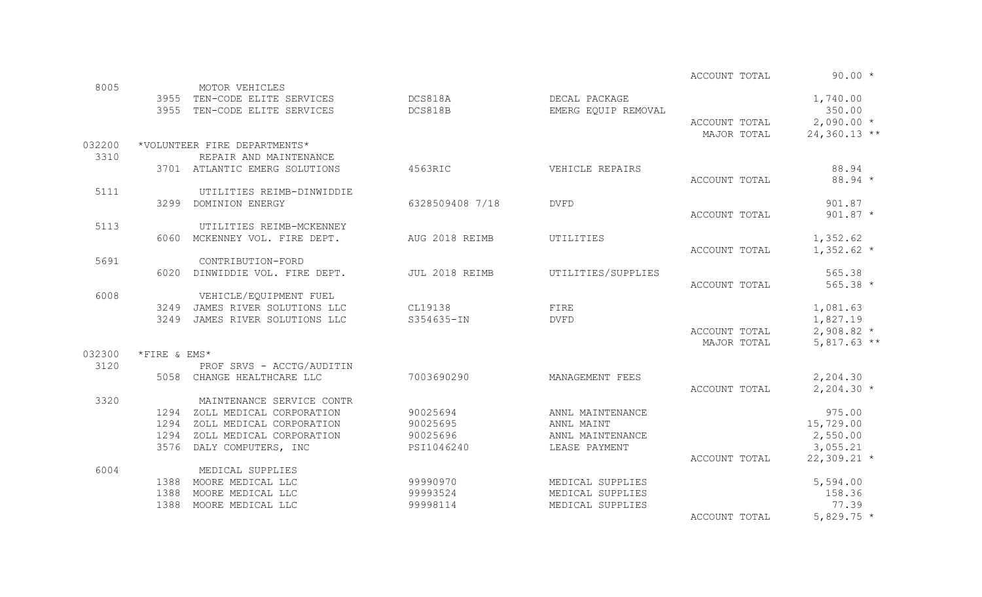ACCOUNT TOTAL 90.00 \*

| 8005   |              |                                                                                        |                 |                                      |                                   |                      |
|--------|--------------|----------------------------------------------------------------------------------------|-----------------|--------------------------------------|-----------------------------------|----------------------|
|        |              | MOTOR VEHICLES<br>3955 TEN-CODE ELITE SERVICES DOS818A<br>3955 TEN-CODE ELITE SERVICES | DCS818B         | DECAL PACKAGE<br>EMERG EQUIP REMOVAL |                                   | 1,740.00<br>350.00   |
|        |              |                                                                                        |                 |                                      | $\text{ACCOUNT}$ TOTAL 2,090.00 * |                      |
|        |              |                                                                                        |                 |                                      | MAJOR TOTAL                       | $24,360.13$ **       |
| 032200 |              | *VOLUNTEER FIRE DEPARTMENTS*                                                           |                 |                                      |                                   |                      |
| 3310   |              | REPAIR AND MAINTENANCE                                                                 |                 |                                      |                                   |                      |
|        |              | 3701 ATLANTIC EMERG SOLUTIONS                                                          | 4563RIC         | VEHICLE REPAIRS                      |                                   | 88.94                |
|        |              |                                                                                        |                 |                                      | ACCOUNT TOTAL                     | 88.94 *              |
| 5111   |              | UTILITIES REIMB-DINWIDDIE<br>3299 DOMINION ENERGY                                      | 6328509408 7/18 | <b>DVFD</b>                          |                                   | 901.87               |
|        |              |                                                                                        |                 |                                      | ACCOUNT TOTAL                     | $901.87 *$           |
| 5113   |              | UTILITIES REIMB-MCKENNEY                                                               |                 |                                      |                                   |                      |
|        |              | 6060 MCKENNEY VOL. FIRE DEPT.                                                          | AUG 2018 REIMB  | UTILITIES                            |                                   | 1,352.62             |
|        |              |                                                                                        |                 |                                      | ACCOUNT TOTAL                     | $1,352.62$ *         |
| 5691   |              | CONTRIBUTION-FORD                                                                      |                 |                                      |                                   |                      |
|        |              | 6020 DINWIDDIE VOL. FIRE DEPT. JUL 2018 REIMB                                          |                 | UTILITIES/SUPPLIES                   |                                   | 565.38               |
|        |              |                                                                                        |                 |                                      | ACCOUNT TOTAL                     | $565.38 *$           |
| 6008   |              | VEHICLE/EQUIPMENT FUEL                                                                 |                 |                                      |                                   |                      |
|        |              | 3249 JAMES RIVER SOLUTIONS LLC                                                         | CL19138         | FIRE                                 |                                   | 1,081.63             |
|        |              | 3249 JAMES RIVER SOLUTIONS LLC                                                         | S354635-IN      | <b>DVFD</b>                          |                                   | 1,827.19             |
|        |              |                                                                                        |                 |                                      | ACCOUNT TOTAL                     | $2,908.82$ *         |
|        |              |                                                                                        |                 |                                      | MAJOR TOTAL                       | $5,817.63$ **        |
| 032300 | *FIRE & EMS* |                                                                                        |                 |                                      |                                   |                      |
| 3120   |              | PROF SRVS - ACCTG/AUDITIN                                                              |                 |                                      |                                   |                      |
|        |              | 5058 CHANGE HEALTHCARE LLC                                                             | 7003690290      | MANAGEMENT FEES                      |                                   | 2,204.30             |
|        |              |                                                                                        |                 |                                      | ACCOUNT TOTAL                     | $2,204.30*$          |
| 3320   |              | MAINTENANCE SERVICE CONTR                                                              |                 |                                      |                                   |                      |
|        | 1294         | ZOLL MEDICAL CORPORATION                                                               | 90025694        | ANNL MAINTENANCE                     |                                   | 975.00               |
|        | 1294         | ZOLL MEDICAL CORPORATION<br>1294 ZOLL MEDICAL CORPORATION                              | 90025695        | ANNL MAINT                           |                                   | 15,729.00            |
|        |              | 3576 DALY COMPUTERS, INC                                                               | PSI1046240      | ANNL MAINTENANCE<br>LEASE PAYMENT    |                                   | 2,550.00<br>3,055.21 |
|        |              |                                                                                        |                 |                                      | ACCOUNT TOTAL                     | $22,309.21$ *        |
| 6004   |              | MEDICAL SUPPLIES                                                                       |                 |                                      |                                   |                      |
|        |              | 1388 MOORE MEDICAL LLC                                                                 | 99990970        | MEDICAL SUPPLIES                     |                                   | 5,594.00             |
|        |              | 1388 MOORE MEDICAL LLC                                                                 | 99993524        | MEDICAL SUPPLIES                     |                                   | 158.36               |
|        | 1388         | MOORE MEDICAL LLC                                                                      | 99998114        | MEDICAL SUPPLIES                     |                                   | 77.39                |
|        |              |                                                                                        |                 |                                      | ACCOUNT TOTAL                     | 5,829.75 $*$         |
|        |              |                                                                                        |                 |                                      |                                   |                      |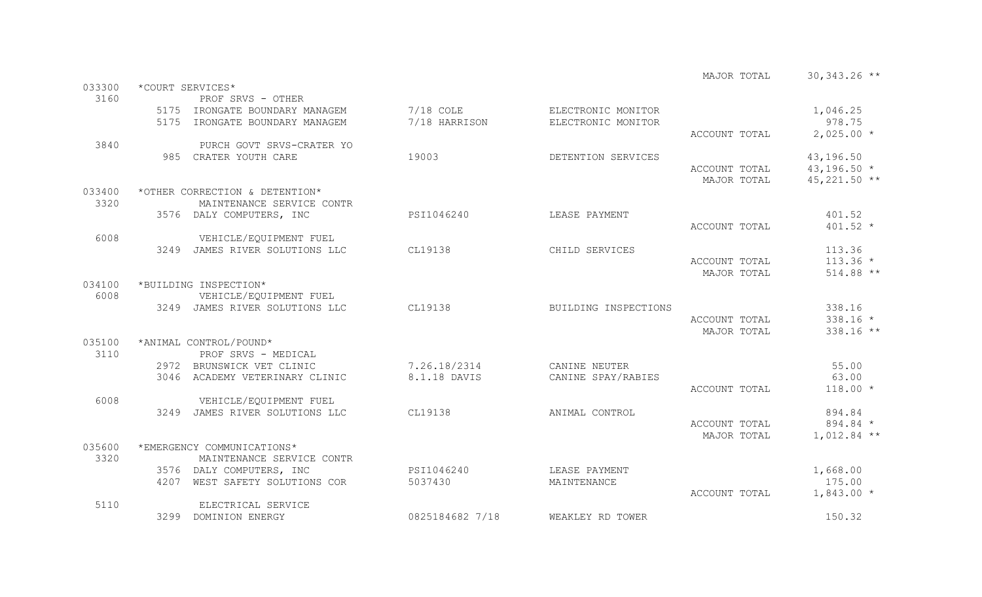|        |                                |                 |                      | MAJOR TOTAL   | $30,343.26$ ** |
|--------|--------------------------------|-----------------|----------------------|---------------|----------------|
| 033300 | *COURT SERVICES*               |                 |                      |               |                |
| 3160   | PROF SRVS - OTHER              |                 |                      |               |                |
|        | 5175 IRONGATE BOUNDARY MANAGEM | $7/18$ COLE     | ELECTRONIC MONITOR   |               | 1,046.25       |
|        | 5175 IRONGATE BOUNDARY MANAGEM | 7/18 HARRISON   | ELECTRONIC MONITOR   |               | 978.75         |
|        |                                |                 |                      | ACCOUNT TOTAL | $2,025.00*$    |
| 3840   | PURCH GOVT SRVS-CRATER YO      |                 |                      |               |                |
|        | 985 CRATER YOUTH CARE          | 19003           | DETENTION SERVICES   |               | 43,196.50      |
|        |                                |                 |                      | ACCOUNT TOTAL | $43, 196.50 *$ |
|        |                                |                 |                      | MAJOR TOTAL   | $45,221.50$ ** |
| 033400 | *OTHER CORRECTION & DETENTION* |                 |                      |               |                |
| 3320   | MAINTENANCE SERVICE CONTR      |                 |                      |               |                |
|        | 3576 DALY COMPUTERS, INC       | PSI1046240      | LEASE PAYMENT        |               | 401.52         |
|        |                                |                 |                      | ACCOUNT TOTAL | $401.52 *$     |
| 6008   | VEHICLE/EQUIPMENT FUEL         |                 |                      |               |                |
|        | 3249 JAMES RIVER SOLUTIONS LLC | CL19138         | CHILD SERVICES       |               | 113.36         |
|        |                                |                 |                      | ACCOUNT TOTAL | $113.36 *$     |
|        |                                |                 |                      | MAJOR TOTAL   | 514.88 **      |
| 034100 | *BUILDING INSPECTION*          |                 |                      |               |                |
| 6008   | VEHICLE/EQUIPMENT FUEL         |                 |                      |               |                |
|        | 3249 JAMES RIVER SOLUTIONS LLC | CL19138         | BUILDING INSPECTIONS |               | 338.16         |
|        |                                |                 |                      | ACCOUNT TOTAL | $338.16 *$     |
|        |                                |                 |                      | MAJOR TOTAL   | 338.16 **      |
| 035100 | *ANIMAL CONTROL/POUND*         |                 |                      |               |                |
| 3110   | PROF SRVS - MEDICAL            |                 |                      |               |                |
|        | 2972 BRUNSWICK VET CLINIC      | 7.26.18/2314    | CANINE NEUTER        |               | 55.00          |
|        | 3046 ACADEMY VETERINARY CLINIC | 8.1.18 DAVIS    | CANINE SPAY/RABIES   |               | 63.00          |
|        |                                |                 |                      | ACCOUNT TOTAL | $118.00 *$     |
| 6008   | VEHICLE/EQUIPMENT FUEL         |                 |                      |               |                |
|        | 3249 JAMES RIVER SOLUTIONS LLC | CL19138         | ANIMAL CONTROL       |               | 894.84         |
|        |                                |                 |                      | ACCOUNT TOTAL | 894.84 *       |
|        |                                |                 |                      | MAJOR TOTAL   | $1,012.84$ **  |
| 035600 | *EMERGENCY COMMUNICATIONS*     |                 |                      |               |                |
| 3320   | MAINTENANCE SERVICE CONTR      |                 |                      |               |                |
|        | 3576 DALY COMPUTERS, INC       | PSI1046240      | LEASE PAYMENT        |               | 1,668.00       |
|        | 4207 WEST SAFETY SOLUTIONS COR | 5037430         | MAINTENANCE          |               | 175.00         |
|        |                                |                 |                      | ACCOUNT TOTAL | $1,843.00*$    |
| 5110   | ELECTRICAL SERVICE             |                 |                      |               |                |
|        | 3299 DOMINION ENERGY           | 0825184682 7/18 | WEAKLEY RD TOWER     |               | 150.32         |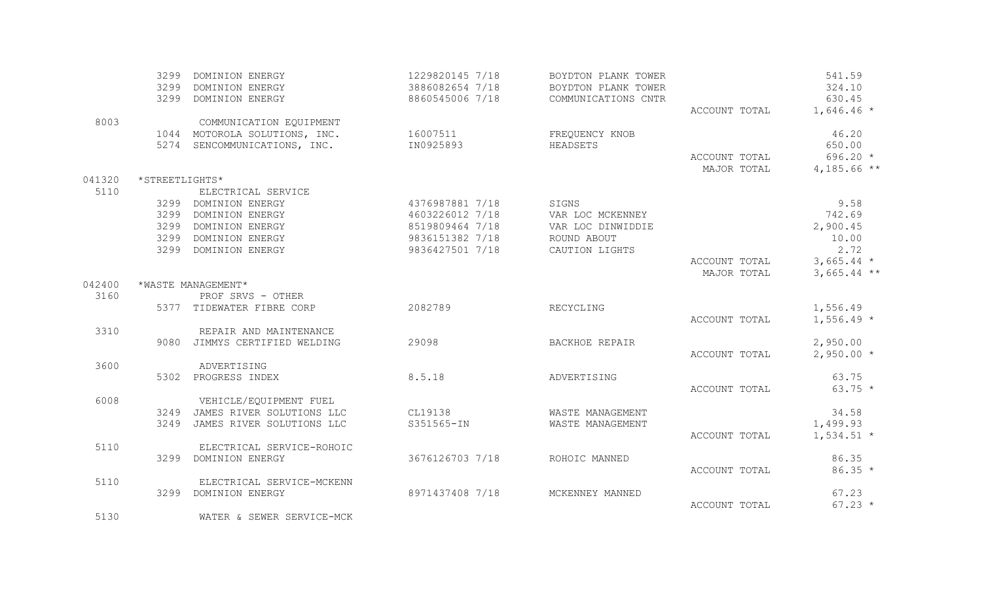|        |                | 3299 DOMINION ENERGY           | 1229820145 7/18 | BOYDTON PLANK TOWER |               | 541.59        |
|--------|----------------|--------------------------------|-----------------|---------------------|---------------|---------------|
|        |                | 3299 DOMINION ENERGY           | 3886082654 7/18 | BOYDTON PLANK TOWER |               | 324.10        |
|        |                | 3299 DOMINION ENERGY           | 8860545006 7/18 | COMMUNICATIONS CNTR |               | 630.45        |
|        |                |                                |                 |                     | ACCOUNT TOTAL | $1,646.46*$   |
| 8003   |                | COMMUNICATION EQUIPMENT        |                 |                     |               |               |
|        |                | 1044 MOTOROLA SOLUTIONS, INC.  | 16007511        | FREQUENCY KNOB      |               | 46.20         |
|        |                | 5274 SENCOMMUNICATIONS, INC.   | IN0925893       | HEADSETS            |               | 650.00        |
|        |                |                                |                 |                     | ACCOUNT TOTAL | $696.20 *$    |
|        |                |                                |                 |                     | MAJOR TOTAL   | $4,185.66$ ** |
| 041320 | *STREETLIGHTS* |                                |                 |                     |               |               |
| 5110   |                | ELECTRICAL SERVICE             |                 |                     |               |               |
|        |                | 3299 DOMINION ENERGY           | 4376987881 7/18 | SIGNS               |               | 9.58          |
|        |                | 3299 DOMINION ENERGY           | 4603226012 7/18 | VAR LOC MCKENNEY    |               | 742.69        |
|        |                | 3299 DOMINION ENERGY           | 8519809464 7/18 | VAR LOC DINWIDDIE   |               | 2,900.45      |
|        |                | 3299 DOMINION ENERGY           | 9836151382 7/18 | ROUND ABOUT         |               | 10.00         |
|        |                | 3299 DOMINION ENERGY           | 9836427501 7/18 | CAUTION LIGHTS      |               | 2.72          |
|        |                |                                |                 |                     | ACCOUNT TOTAL | $3,665.44$ *  |
|        |                |                                |                 |                     | MAJOR TOTAL   | $3,665.44$ ** |
| 042400 |                | *WASTE MANAGEMENT*             |                 |                     |               |               |
| 3160   |                | PROF SRVS - OTHER              |                 |                     |               |               |
|        |                | 5377 TIDEWATER FIBRE CORP      | 2082789         | RECYCLING           |               | 1,556.49      |
|        |                |                                |                 |                     | ACCOUNT TOTAL | $1,556.49$ *  |
| 3310   |                | REPAIR AND MAINTENANCE         |                 |                     |               |               |
|        |                | 9080 JIMMYS CERTIFIED WELDING  | 29098           | BACKHOE REPAIR      |               | 2,950.00      |
|        |                |                                |                 |                     | ACCOUNT TOTAL | $2,950.00*$   |
| 3600   |                | ADVERTISING                    |                 |                     |               |               |
|        |                | 5302 PROGRESS INDEX            | 8.5.18          | ADVERTISING         |               | 63.75         |
|        |                |                                |                 |                     | ACCOUNT TOTAL | $63.75 *$     |
| 6008   |                | VEHICLE/EQUIPMENT FUEL         |                 |                     |               |               |
|        |                | 3249 JAMES RIVER SOLUTIONS LLC | CL19138         | WASTE MANAGEMENT    |               | 34.58         |
|        |                | 3249 JAMES RIVER SOLUTIONS LLC | S351565-IN      | WASTE MANAGEMENT    |               | 1,499.93      |
|        |                |                                |                 |                     | ACCOUNT TOTAL | $1,534.51$ *  |
| 5110   |                | ELECTRICAL SERVICE-ROHOIC      |                 |                     |               |               |
|        |                | 3299 DOMINION ENERGY           | 3676126703 7/18 | ROHOIC MANNED       |               | 86.35         |
|        |                |                                |                 |                     | ACCOUNT TOTAL | $86.35 *$     |
| 5110   |                | ELECTRICAL SERVICE-MCKENN      |                 |                     |               |               |
|        |                | 3299 DOMINION ENERGY           | 8971437408 7/18 | MCKENNEY MANNED     |               | 67.23         |
|        |                |                                |                 |                     | ACCOUNT TOTAL | $67.23 *$     |
| 5130   |                | WATER & SEWER SERVICE-MCK      |                 |                     |               |               |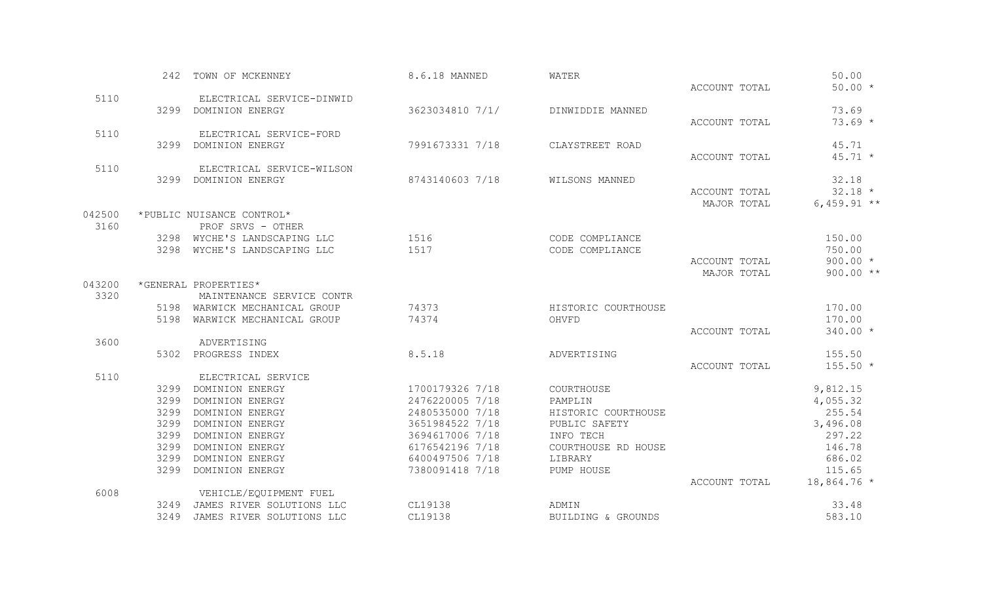|        |      | 242 TOWN OF MCKENNEY                                         | 8.6.18 MANNED   | WATER                              |                              | 50.00            |
|--------|------|--------------------------------------------------------------|-----------------|------------------------------------|------------------------------|------------------|
|        |      |                                                              |                 |                                    | ACCOUNT TOTAL                | $50.00 *$        |
| 5110   |      | ELECTRICAL SERVICE-DINWID                                    |                 |                                    |                              |                  |
|        |      | 3299 DOMINION ENERGY                                         | 3623034810 7/1/ | DINWIDDIE MANNED                   |                              | 73.69            |
|        |      |                                                              |                 |                                    | ACCOUNT TOTAL                | $73.69 *$        |
| 5110   |      | ELECTRICAL SERVICE-FORD                                      |                 |                                    |                              |                  |
|        |      | 3299 DOMINION ENERGY                                         | 7991673331 7/18 | CLAYSTREET ROAD                    |                              | 45.71            |
|        |      |                                                              |                 |                                    | ACCOUNT TOTAL                | $45.71 *$        |
| 5110   |      | ELECTRICAL SERVICE-WILSON                                    |                 |                                    |                              |                  |
|        |      | 3299 DOMINION ENERGY                                         | 8743140603 7/18 | WILSONS MANNED                     |                              | 32.18            |
|        |      |                                                              |                 |                                    | ACCOUNT TOTAL                | $32.18 *$        |
|        |      |                                                              |                 |                                    | MAJOR TOTAL                  | 6,459.91 $**$    |
| 042500 |      | *PUBLIC NUISANCE CONTROL*                                    |                 |                                    |                              |                  |
| 3160   |      | PROF SRVS - OTHER                                            |                 |                                    |                              |                  |
|        |      | 3298 WYCHE'S LANDSCAPING LLC<br>3298 WYCHE'S LANDSCAPING LLC | 1516<br>1517    | CODE COMPLIANCE<br>CODE COMPLIANCE |                              | 150.00<br>750.00 |
|        |      |                                                              |                 |                                    |                              | $900.00 *$       |
|        |      |                                                              |                 |                                    | ACCOUNT TOTAL<br>MAJOR TOTAL | $900.00**$       |
| 043200 |      | *GENERAL PROPERTIES*                                         |                 |                                    |                              |                  |
| 3320   |      | MAINTENANCE SERVICE CONTR                                    |                 |                                    |                              |                  |
|        |      | 5198 WARWICK MECHANICAL GROUP                                | 74373           | HISTORIC COURTHOUSE                |                              | 170.00           |
|        |      | 5198 WARWICK MECHANICAL GROUP                                | 74374           | OHVFD                              |                              | 170.00           |
|        |      |                                                              |                 |                                    | ACCOUNT TOTAL                | 340.00 *         |
| 3600   |      | ADVERTISING                                                  |                 |                                    |                              |                  |
|        |      | 5302 PROGRESS INDEX                                          | 8.5.18          | ADVERTISING                        |                              | 155.50           |
|        |      |                                                              |                 |                                    | ACCOUNT TOTAL                | $155.50*$        |
| 5110   |      | ELECTRICAL SERVICE                                           |                 |                                    |                              |                  |
|        |      | 3299 DOMINION ENERGY                                         | 1700179326 7/18 | COURTHOUSE                         |                              | 9,812.15         |
|        |      | 3299 DOMINION ENERGY                                         | 2476220005 7/18 | PAMPLIN                            |                              | 4,055.32         |
|        | 3299 | DOMINION ENERGY                                              | 2480535000 7/18 | HISTORIC COURTHOUSE                |                              | 255.54           |
|        | 3299 | DOMINION ENERGY                                              | 3651984522 7/18 | PUBLIC SAFETY                      |                              | 3,496.08         |
|        | 3299 | DOMINION ENERGY                                              | 3694617006 7/18 | INFO TECH                          |                              | 297.22           |
|        | 3299 | DOMINION ENERGY                                              | 6176542196 7/18 | COURTHOUSE RD HOUSE                |                              | 146.78           |
|        | 3299 | DOMINION ENERGY                                              | 6400497506 7/18 | LIBRARY                            |                              | 686.02           |
|        | 3299 | DOMINION ENERGY                                              | 7380091418 7/18 | PUMP HOUSE                         |                              | 115.65           |
|        |      |                                                              |                 |                                    | ACCOUNT TOTAL                | $18,864.76*$     |
| 6008   |      | VEHICLE/EQUIPMENT FUEL                                       |                 |                                    |                              |                  |
|        |      | 3249 JAMES RIVER SOLUTIONS LLC                               | CL19138         | ADMIN                              |                              | 33.48            |
|        | 3249 | JAMES RIVER SOLUTIONS LLC                                    | CL19138         | BUILDING & GROUNDS                 |                              | 583.10           |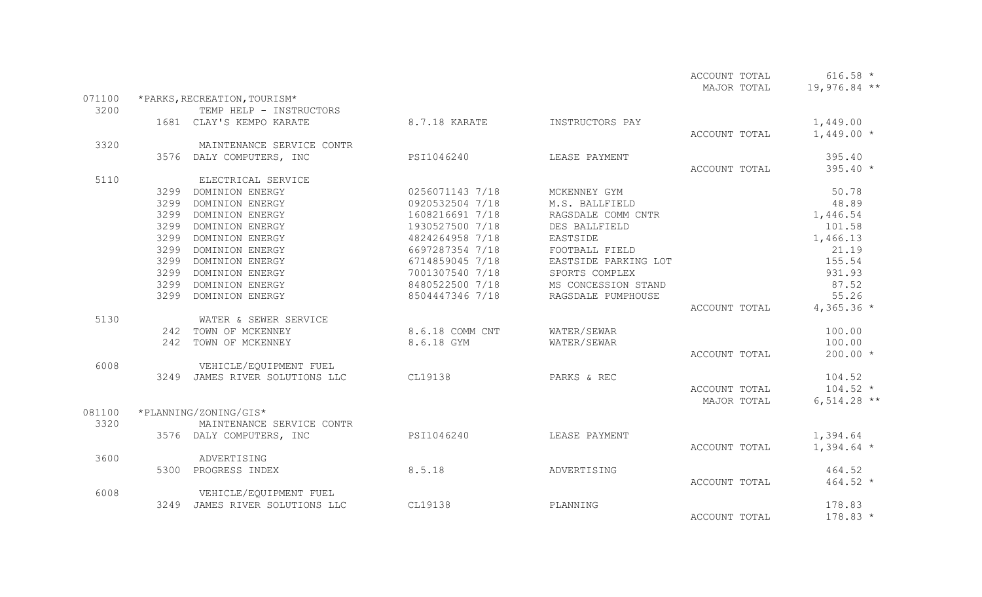|        |      |                                |                 |                      | ACCOUNT TOTAL | $616.58 *$     |
|--------|------|--------------------------------|-----------------|----------------------|---------------|----------------|
|        |      |                                |                 |                      | MAJOR TOTAL   | $19,976.84$ ** |
| 071100 |      | *PARKS, RECREATION, TOURISM*   |                 |                      |               |                |
| 3200   |      | TEMP HELP - INSTRUCTORS        |                 |                      |               |                |
|        |      | 1681 CLAY'S KEMPO KARATE       | 8.7.18 KARATE   | INSTRUCTORS PAY      |               | 1,449.00       |
|        |      |                                |                 |                      | ACCOUNT TOTAL | $1,449.00*$    |
| 3320   |      | MAINTENANCE SERVICE CONTR      |                 |                      |               |                |
|        |      | 3576 DALY COMPUTERS, INC       | PSI1046240      | LEASE PAYMENT        |               | 395.40         |
|        |      |                                |                 |                      | ACCOUNT TOTAL | $395.40*$      |
| 5110   |      | ELECTRICAL SERVICE             |                 |                      |               |                |
|        |      | 3299 DOMINION ENERGY           | 0256071143 7/18 | MCKENNEY GYM         |               | 50.78          |
|        | 3299 | DOMINION ENERGY                | 0920532504 7/18 | M.S. BALLFIELD       |               | 48.89          |
|        | 3299 | DOMINION ENERGY                | 1608216691 7/18 | RAGSDALE COMM CNTR   |               | 1,446.54       |
|        | 3299 | DOMINION ENERGY                | 1930527500 7/18 | DES BALLFIELD        |               | 101.58         |
|        | 3299 | DOMINION ENERGY                | 4824264958 7/18 | EASTSIDE             |               | 1,466.13       |
|        | 3299 | DOMINION ENERGY                | 6697287354 7/18 | FOOTBALL FIELD       |               | 21.19          |
|        | 3299 | DOMINION ENERGY                | 6714859045 7/18 | EASTSIDE PARKING LOT |               | 155.54         |
|        | 3299 | DOMINION ENERGY                | 7001307540 7/18 | SPORTS COMPLEX       |               | 931.93         |
|        | 3299 | DOMINION ENERGY                | 8480522500 7/18 | MS CONCESSION STAND  |               | 87.52          |
|        | 3299 | DOMINION ENERGY                | 8504447346 7/18 | RAGSDALE PUMPHOUSE   |               | 55.26          |
|        |      |                                |                 |                      | ACCOUNT TOTAL | $4,365.36$ *   |
| 5130   |      | WATER & SEWER SERVICE          |                 |                      |               |                |
|        |      | 242 TOWN OF MCKENNEY           | 8.6.18 COMM CNT | WATER/SEWAR          |               | 100.00         |
|        |      | 242 TOWN OF MCKENNEY           | 8.6.18 GYM      | WATER/SEWAR          |               | 100.00         |
|        |      |                                |                 |                      | ACCOUNT TOTAL | $200.00 *$     |
| 6008   |      | VEHICLE/EQUIPMENT FUEL         |                 |                      |               |                |
|        |      | 3249 JAMES RIVER SOLUTIONS LLC | CL19138         | PARKS & REC          |               | 104.52         |
|        |      |                                |                 |                      | ACCOUNT TOTAL | $104.52 *$     |
|        |      |                                |                 |                      | MAJOR TOTAL   | $6,514.28$ **  |
| 081100 |      | *PLANNING/ZONING/GIS*          |                 |                      |               |                |
| 3320   |      | MAINTENANCE SERVICE CONTR      |                 |                      |               |                |
|        |      | 3576 DALY COMPUTERS, INC       | PSI1046240      | LEASE PAYMENT        |               | 1,394.64       |
|        |      |                                |                 |                      | ACCOUNT TOTAL | $1,394.64$ *   |
| 3600   |      | ADVERTISING                    |                 |                      |               |                |
|        | 5300 | PROGRESS INDEX                 | 8.5.18          | ADVERTISING          |               | 464.52         |
|        |      |                                |                 |                      | ACCOUNT TOTAL | $464.52 *$     |
| 6008   |      | VEHICLE/EQUIPMENT FUEL         |                 |                      |               |                |
|        |      | 3249 JAMES RIVER SOLUTIONS LLC | CL19138         | PLANNING             |               | 178.83         |
|        |      |                                |                 |                      | ACCOUNT TOTAL | $178.83*$      |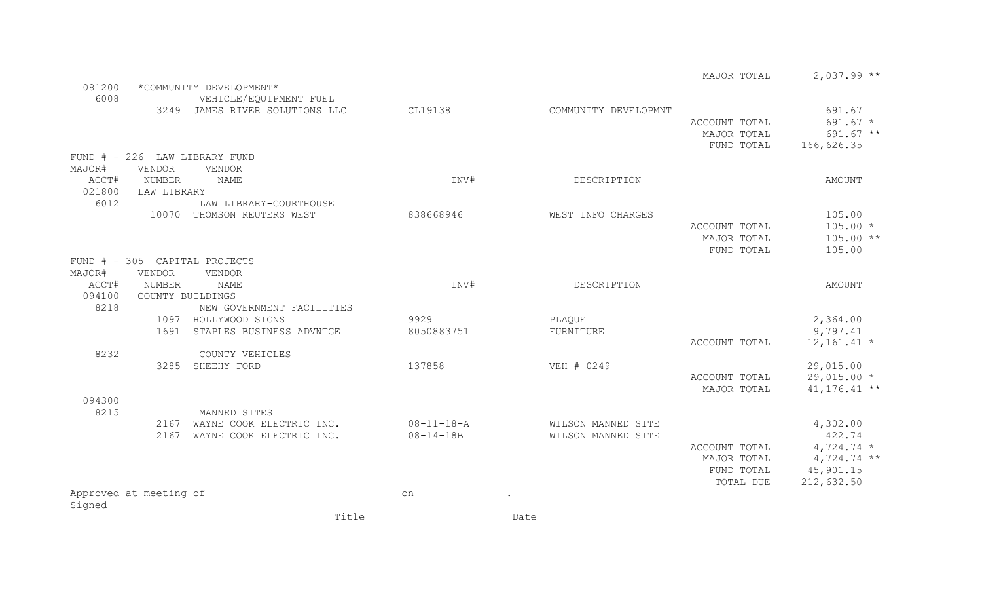|        |                        |                                |                    |      |                      | MAJOR TOTAL   | $2,037.99**$    |
|--------|------------------------|--------------------------------|--------------------|------|----------------------|---------------|-----------------|
| 081200 |                        | *COMMUNITY DEVELOPMENT*        |                    |      |                      |               |                 |
| 6008   |                        | VEHICLE/EQUIPMENT FUEL         |                    |      |                      |               |                 |
|        |                        | 3249 JAMES RIVER SOLUTIONS LLC | CL19138            |      | COMMUNITY DEVELOPMNT |               | 691.67          |
|        |                        |                                |                    |      |                      | ACCOUNT TOTAL | $691.67 *$      |
|        |                        |                                |                    |      |                      | MAJOR TOTAL   | 691.67 **       |
|        |                        |                                |                    |      |                      | FUND TOTAL    | 166,626.35      |
|        |                        | FUND # - 226 LAW LIBRARY FUND  |                    |      |                      |               |                 |
| MAJOR# | <b>VENDOR</b>          | VENDOR                         |                    |      |                      |               |                 |
| ACCT#  | NUMBER                 | <b>NAME</b>                    | INV#               |      | DESCRIPTION          |               | AMOUNT          |
| 021800 | LAW LIBRARY            |                                |                    |      |                      |               |                 |
|        |                        |                                |                    |      |                      |               |                 |
| 6012   |                        | LAW LIBRARY-COURTHOUSE         |                    |      |                      |               |                 |
|        |                        | 10070 THOMSON REUTERS WEST     | 838668946          |      | WEST INFO CHARGES    |               | 105.00          |
|        |                        |                                |                    |      |                      | ACCOUNT TOTAL | $105.00 *$      |
|        |                        |                                |                    |      |                      | MAJOR TOTAL   | $105.00**$      |
|        |                        |                                |                    |      |                      | FUND TOTAL    | 105.00          |
|        |                        | FUND # - 305 CAPITAL PROJECTS  |                    |      |                      |               |                 |
| MAJOR# | <b>VENDOR</b>          | VENDOR                         |                    |      |                      |               |                 |
| ACCT#  | <b>NUMBER</b>          | <b>NAME</b>                    | INV#               |      | DESCRIPTION          |               | AMOUNT          |
| 094100 | COUNTY BUILDINGS       |                                |                    |      |                      |               |                 |
| 8218   |                        | NEW GOVERNMENT FACILITIES      |                    |      |                      |               |                 |
|        |                        | 1097 HOLLYWOOD SIGNS           | 9929               |      | PLAQUE               |               | 2,364.00        |
|        | 1691                   | STAPLES BUSINESS ADVNTGE       | 8050883751         |      | FURNITURE            |               | 9,797.41        |
|        |                        |                                |                    |      |                      | ACCOUNT TOTAL | $12, 161.41$ *  |
| 8232   |                        | COUNTY VEHICLES                |                    |      |                      |               |                 |
|        |                        | 3285 SHEEHY FORD               | 137858             |      | VEH # 0249           |               | 29,015.00       |
|        |                        |                                |                    |      |                      | ACCOUNT TOTAL | $29,015.00*$    |
|        |                        |                                |                    |      |                      | MAJOR TOTAL   | $41, 176.41$ ** |
| 094300 |                        |                                |                    |      |                      |               |                 |
| 8215   |                        | MANNED SITES                   |                    |      |                      |               |                 |
|        |                        | 2167 WAYNE COOK ELECTRIC INC.  | $08 - 11 - 18 - A$ |      | WILSON MANNED SITE   |               | 4,302.00        |
|        | 2167                   | WAYNE COOK ELECTRIC INC.       | $08 - 14 - 18B$    |      | WILSON MANNED SITE   |               | 422.74          |
|        |                        |                                |                    |      |                      | ACCOUNT TOTAL | $4,724.74$ *    |
|        |                        |                                |                    |      |                      | MAJOR TOTAL   | $4,724.74$ **   |
|        |                        |                                |                    |      |                      | FUND TOTAL    | 45,901.15       |
|        |                        |                                |                    |      |                      | TOTAL DUE     | 212,632.50      |
|        | Approved at meeting of |                                | on                 |      |                      |               |                 |
| Signed |                        |                                |                    |      |                      |               |                 |
|        |                        | Title                          |                    | Date |                      |               |                 |
|        |                        |                                |                    |      |                      |               |                 |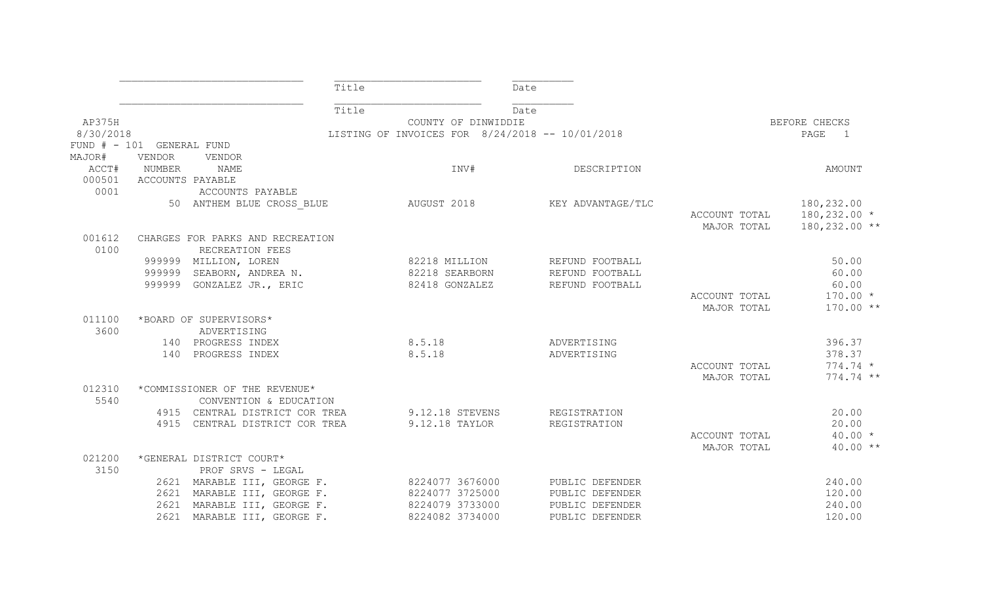|                |                           |                                                     | Title |                                                 | Date |                   |               |                        |
|----------------|---------------------------|-----------------------------------------------------|-------|-------------------------------------------------|------|-------------------|---------------|------------------------|
|                |                           |                                                     | Title |                                                 | Date |                   |               |                        |
| AP375H         |                           |                                                     |       | COUNTY OF DINWIDDIE                             |      |                   |               | BEFORE CHECKS          |
| 8/30/2018      |                           |                                                     |       | LISTING OF INVOICES FOR 8/24/2018 -- 10/01/2018 |      |                   |               | PAGE<br>$\overline{1}$ |
|                | FUND # - 101 GENERAL FUND |                                                     |       |                                                 |      |                   |               |                        |
| MAJOR#         | VENDOR                    | VENDOR                                              |       |                                                 |      |                   |               |                        |
|                | ACCT# NUMBER              | NAME                                                |       | INV#                                            |      | DESCRIPTION       |               | AMOUNT                 |
| 000501         | ACCOUNTS PAYABLE          |                                                     |       |                                                 |      |                   |               |                        |
| 0001           |                           | ACCOUNTS PAYABLE                                    |       |                                                 |      |                   |               |                        |
|                |                           | 50 ANTHEM BLUE CROSS BLUE                           |       | AUGUST 2018                                     |      | KEY ADVANTAGE/TLC |               | 180,232.00             |
|                |                           |                                                     |       |                                                 |      |                   | ACCOUNT TOTAL | $180, 232.00*$         |
|                |                           |                                                     |       |                                                 |      |                   | MAJOR TOTAL   | $180, 232.00$ **       |
| 001612<br>0100 |                           | CHARGES FOR PARKS AND RECREATION<br>RECREATION FEES |       |                                                 |      |                   |               |                        |
|                |                           | 999999 MILLION, LOREN                               |       | 82218 MILLION                                   |      | REFUND FOOTBALL   |               | 50.00                  |
|                |                           | 999999 SEABORN, ANDREA N.                           |       | 82218 SEARBORN                                  |      | REFUND FOOTBALL   |               | 60.00                  |
|                |                           | 999999 GONZALEZ JR., ERIC                           |       | 82418 GONZALEZ                                  |      | REFUND FOOTBALL   |               | 60.00                  |
|                |                           |                                                     |       |                                                 |      |                   | ACCOUNT TOTAL | $170.00 *$             |
|                |                           |                                                     |       |                                                 |      |                   | MAJOR TOTAL   | $170.00**$             |
| 011100         |                           | *BOARD OF SUPERVISORS*                              |       |                                                 |      |                   |               |                        |
| 3600           |                           | ADVERTISING                                         |       |                                                 |      |                   |               |                        |
|                |                           | 140 PROGRESS INDEX                                  |       | 8.5.18                                          |      | ADVERTISING       |               | 396.37                 |
|                |                           | 140 PROGRESS INDEX                                  |       | 8.5.18                                          |      | ADVERTISING       |               | 378.37                 |
|                |                           |                                                     |       |                                                 |      |                   | ACCOUNT TOTAL | $774.74 *$             |
|                |                           |                                                     |       |                                                 |      |                   | MAJOR TOTAL   | 774.74 **              |
| 012310         |                           | *COMMISSIONER OF THE REVENUE*                       |       |                                                 |      |                   |               |                        |
| 5540           |                           | CONVENTION & EDUCATION                              |       |                                                 |      |                   |               |                        |
|                |                           | 4915 CENTRAL DISTRICT COR TREA                      |       | 9.12.18 STEVENS                                 |      | REGISTRATION      |               | 20.00                  |
|                |                           | 4915 CENTRAL DISTRICT COR TREA                      |       | 9.12.18 TAYLOR                                  |      | REGISTRATION      |               | 20.00                  |
|                |                           |                                                     |       |                                                 |      |                   | ACCOUNT TOTAL | $40.00 *$              |
|                |                           |                                                     |       |                                                 |      |                   | MAJOR TOTAL   | $40.00**$              |
| 021200         |                           | *GENERAL DISTRICT COURT*                            |       |                                                 |      |                   |               |                        |
| 3150           |                           | PROF SRVS - LEGAL                                   |       |                                                 |      |                   |               |                        |
|                |                           | 2621 MARABLE III, GEORGE F.                         |       | 8224077 3676000                                 |      | PUBLIC DEFENDER   |               | 240.00                 |
|                |                           | 2621 MARABLE III, GEORGE F.                         |       | 8224077 3725000                                 |      | PUBLIC DEFENDER   |               | 120.00                 |
|                |                           | 2621 MARABLE III, GEORGE F.                         |       | 8224079 3733000                                 |      | PUBLIC DEFENDER   |               | 240.00                 |
|                |                           | 2621 MARABLE III, GEORGE F.                         |       | 8224082 3734000                                 |      | PUBLIC DEFENDER   |               | 120.00                 |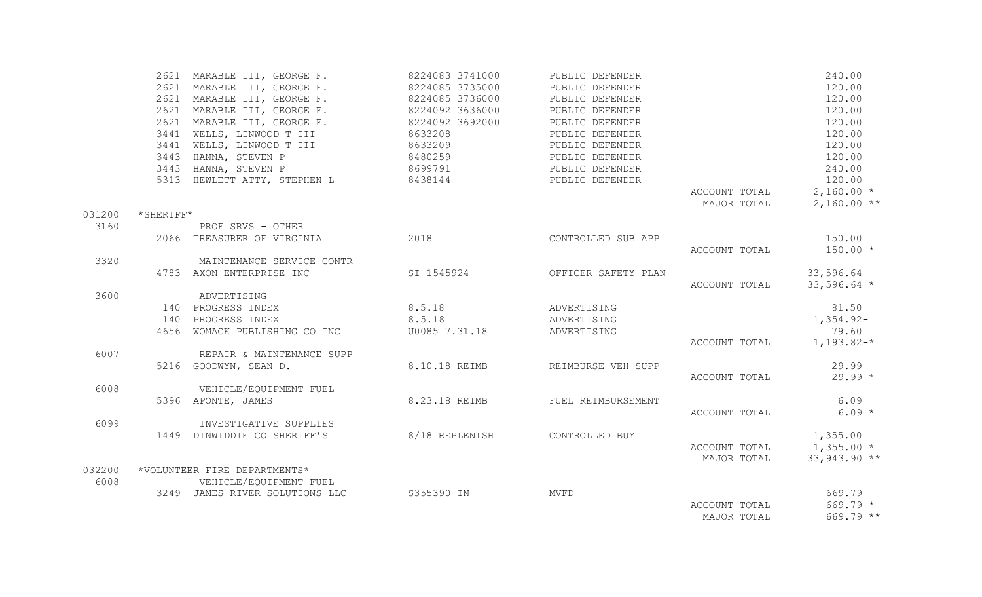|        |           | 2621 MARABLE III, GEORGE F.                                                                                                                                                    | 8224083 3741000                  | PUBLIC DEFENDER                |                             | 240.00        |
|--------|-----------|--------------------------------------------------------------------------------------------------------------------------------------------------------------------------------|----------------------------------|--------------------------------|-----------------------------|---------------|
|        |           | 2621 MARABLE III, GEORGE F. 8224085 3735000                                                                                                                                    |                                  | PUBLIC DEFENDER                |                             | 120.00        |
|        |           |                                                                                                                                                                                |                                  | PUBLIC DEFENDER                |                             | 120.00        |
|        |           |                                                                                                                                                                                |                                  | PUBLIC DEFENDER                |                             | 120.00        |
|        |           | 2621 MARABLE III, GEORGE F. 8224085 3736000<br>2621 MARABLE III, GEORGE F. 8224092 3636000<br>2621 MARABLE III, GEORGE F. 8224092 3692000<br>3441 WELLS, LINWOOD T III 8633208 |                                  | PUBLIC DEFENDER                |                             | 120.00        |
|        |           |                                                                                                                                                                                |                                  | PUBLIC DEFENDER                |                             | 120.00        |
|        |           | 3441 WELLS, LINWOOD T III 8633209                                                                                                                                              |                                  | PUBLIC DEFENDER                |                             | 120.00        |
|        |           | 3443 HANNA, STEVEN P                                                                                                                                                           | 8480259                          | PUBLIC DEFENDER                |                             | 120.00        |
|        |           | 3443 HANNA, STEVEN P 8699791                                                                                                                                                   |                                  | PUBLIC DEFENDER                |                             | 240.00        |
|        |           | 5313 HEWLETT ATTY, STEPHEN L 8438144                                                                                                                                           |                                  | PUBLIC DEFENDER                |                             | 120.00        |
|        |           |                                                                                                                                                                                |                                  |                                | ACCOUNT TOTAL               | $2,160.00*$   |
|        |           |                                                                                                                                                                                |                                  |                                | MAJOR TOTAL                 | $2,160.00**$  |
| 031200 | *SHERIFF* |                                                                                                                                                                                |                                  |                                |                             |               |
| 3160   |           | PROF SRVS - OTHER                                                                                                                                                              |                                  |                                |                             |               |
|        |           | 2066 TREASURER OF VIRGINIA 2018                                                                                                                                                |                                  | CONTROLLED SUB APP             |                             | 150.00        |
|        |           |                                                                                                                                                                                |                                  |                                | ACCOUNT TOTAL               | $150.00 *$    |
| 3320   |           | MAINTENANCE SERVICE CONTR                                                                                                                                                      |                                  |                                |                             |               |
|        |           | 4783 AXON ENTERPRISE INC                                                                                                                                                       |                                  | SI-1545924 OFFICER SAFETY PLAN |                             | 33,596.64     |
|        |           |                                                                                                                                                                                |                                  |                                | ACCOUNT TOTAL               | $33,596.64$ * |
| 3600   |           | ADVERTISING                                                                                                                                                                    |                                  |                                |                             |               |
|        |           | 140 PROGRESS INDEX 8.5.18                                                                                                                                                      |                                  | ADVERTISING                    |                             | 81.50         |
|        |           | 140 PROGRESS INDEX                                                                                                                                                             | 8.5.18                           | ADVERTISING                    |                             | $1,354.92-$   |
|        |           | 4656 WOMACK PUBLISHING CO INC                                                                                                                                                  | U0085 7.31.18                    | ADVERTISING                    |                             | 79.60         |
|        |           |                                                                                                                                                                                |                                  |                                | ACCOUNT TOTAL $1, 193.82-*$ |               |
| 6007   |           | REPAIR & MAINTENANCE SUPP                                                                                                                                                      |                                  |                                |                             |               |
|        |           | 5216 GOODWYN, SEAN D.                                                                                                                                                          | 8.10.18 REIMB REIMBURSE VEH SUPP |                                |                             | 29.99         |
|        |           |                                                                                                                                                                                |                                  |                                | ACCOUNT TOTAL               | $29.99 *$     |
| 6008   |           | VEHICLE/EQUIPMENT FUEL                                                                                                                                                         |                                  |                                |                             |               |
|        |           | 5396 APONTE, JAMES                                                                                                                                                             | 8.23.18 REIMB                    | FUEL REIMBURSEMENT             |                             | 6.09          |
|        |           |                                                                                                                                                                                |                                  |                                | ACCOUNT TOTAL               | $6.09 *$      |
| 6099   |           | INVESTIGATIVE SUPPLIES                                                                                                                                                         |                                  |                                |                             |               |
|        |           | 1449 DINWIDDIE CO SHERIFF'S 8/18 REPLENISH CONTROLLED BUY                                                                                                                      |                                  |                                |                             | 1,355.00      |
|        |           |                                                                                                                                                                                |                                  |                                | ACCOUNT TOTAL $1,355.00 *$  |               |
|        |           |                                                                                                                                                                                |                                  |                                | MAJOR TOTAL                 | 33,943.90 **  |
| 032200 |           | *VOLUNTEER FIRE DEPARTMENTS*                                                                                                                                                   |                                  |                                |                             |               |
| 6008   |           | VEHICLE/EQUIPMENT FUEL                                                                                                                                                         |                                  |                                |                             |               |
|        |           | 3249 JAMES RIVER SOLUTIONS LLC S355390-IN                                                                                                                                      |                                  | MVFD                           |                             | 669.79        |
|        |           |                                                                                                                                                                                |                                  |                                | ACCOUNT TOTAL               | $669.79 *$    |
|        |           |                                                                                                                                                                                |                                  |                                | MAJOR TOTAL                 | $669.79$ **   |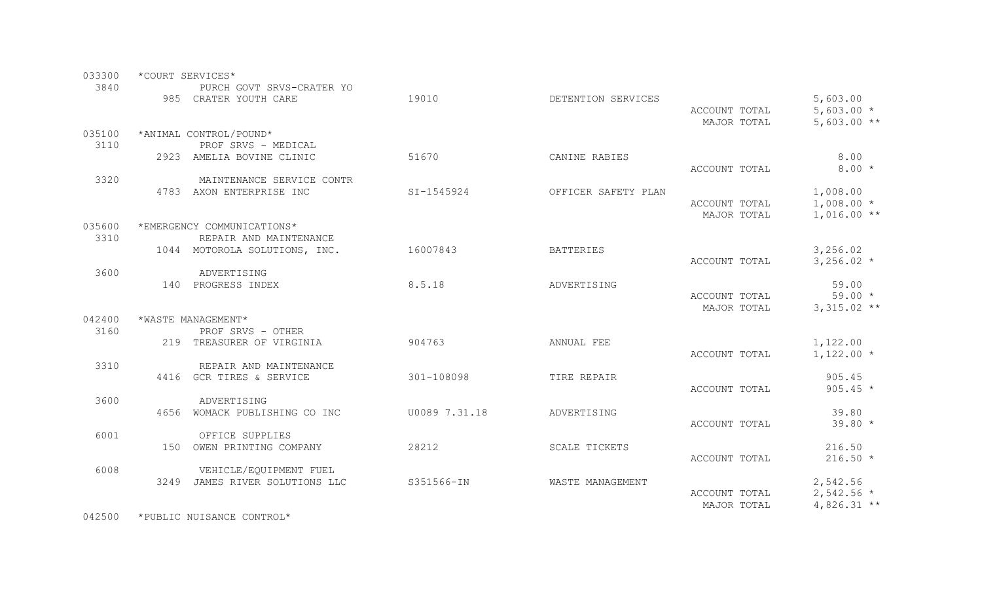| 033300         | *COURT SERVICES* |                                                         |               |                     |               |               |  |  |
|----------------|------------------|---------------------------------------------------------|---------------|---------------------|---------------|---------------|--|--|
| 3840           |                  | PURCH GOVT SRVS-CRATER YO                               |               |                     |               |               |  |  |
|                |                  | 985 CRATER YOUTH CARE                                   | 19010         | DETENTION SERVICES  |               | 5,603.00      |  |  |
|                |                  |                                                         |               |                     | ACCOUNT TOTAL | 5,603.00 $*$  |  |  |
|                |                  |                                                         |               |                     | MAJOR TOTAL   | $5,603.00**$  |  |  |
| 035100         |                  | *ANIMAL CONTROL/POUND*                                  |               |                     |               |               |  |  |
| 3110           |                  | PROF SRVS - MEDICAL                                     |               |                     |               |               |  |  |
|                |                  | 2923 AMELIA BOVINE CLINIC                               | 51670         | CANINE RABIES       |               | 8.00          |  |  |
|                |                  |                                                         |               |                     | ACCOUNT TOTAL | $8.00*$       |  |  |
| 3320           |                  | MAINTENANCE SERVICE CONTR                               |               |                     |               |               |  |  |
|                |                  | 4783 AXON ENTERPRISE INC                                | SI-1545924    | OFFICER SAFETY PLAN |               | 1,008.00      |  |  |
|                |                  |                                                         |               |                     | ACCOUNT TOTAL | $1,008.00*$   |  |  |
|                |                  |                                                         |               |                     | MAJOR TOTAL   | $1,016.00**$  |  |  |
| 035600<br>3310 |                  | *EMERGENCY COMMUNICATIONS*                              |               |                     |               |               |  |  |
|                |                  | REPAIR AND MAINTENANCE<br>1044 MOTOROLA SOLUTIONS, INC. | 16007843      | <b>BATTERIES</b>    |               | 3,256.02      |  |  |
|                |                  |                                                         |               |                     | ACCOUNT TOTAL | $3,256.02*$   |  |  |
| 3600           |                  | ADVERTISING                                             |               |                     |               |               |  |  |
|                |                  | 140 PROGRESS INDEX                                      | 8.5.18        | ADVERTISING         |               | 59.00         |  |  |
|                |                  |                                                         |               |                     | ACCOUNT TOTAL | $59.00 *$     |  |  |
|                |                  |                                                         |               |                     | MAJOR TOTAL   | $3,315.02$ ** |  |  |
| 042400         |                  | *WASTE MANAGEMENT*                                      |               |                     |               |               |  |  |
| 3160           |                  | PROF SRVS - OTHER                                       |               |                     |               |               |  |  |
|                |                  | 219 TREASURER OF VIRGINIA                               | 904763        | ANNUAL FEE          |               | 1,122.00      |  |  |
|                |                  |                                                         |               |                     | ACCOUNT TOTAL | $1,122.00*$   |  |  |
| 3310           |                  | REPAIR AND MAINTENANCE                                  |               |                     |               |               |  |  |
|                |                  | 4416 GCR TIRES & SERVICE                                | 301-108098    | TIRE REPAIR         |               | 905.45        |  |  |
|                |                  |                                                         |               |                     | ACCOUNT TOTAL | $905.45 *$    |  |  |
| 3600           |                  | ADVERTISING                                             |               |                     |               |               |  |  |
|                |                  | 4656 WOMACK PUBLISHING CO INC                           | U0089 7.31.18 | ADVERTISING         |               | 39.80         |  |  |
|                |                  |                                                         |               |                     | ACCOUNT TOTAL | 39.80 *       |  |  |
| 6001           |                  | OFFICE SUPPLIES<br>150 OWEN PRINTING COMPANY            | 28212         | SCALE TICKETS       |               | 216.50        |  |  |
|                |                  |                                                         |               |                     | ACCOUNT TOTAL | $216.50*$     |  |  |
| 6008           |                  | VEHICLE/EQUIPMENT FUEL                                  |               |                     |               |               |  |  |
|                |                  | 3249 JAMES RIVER SOLUTIONS LLC                          | S351566-IN    | WASTE MANAGEMENT    |               | 2,542.56      |  |  |
|                |                  |                                                         |               |                     | ACCOUNT TOTAL | $2,542.56$ *  |  |  |
|                |                  |                                                         |               |                     | MAJOR TOTAL   | $4,826.31$ ** |  |  |
|                |                  |                                                         |               |                     |               |               |  |  |

042500 \*PUBLIC NUISANCE CONTROL\*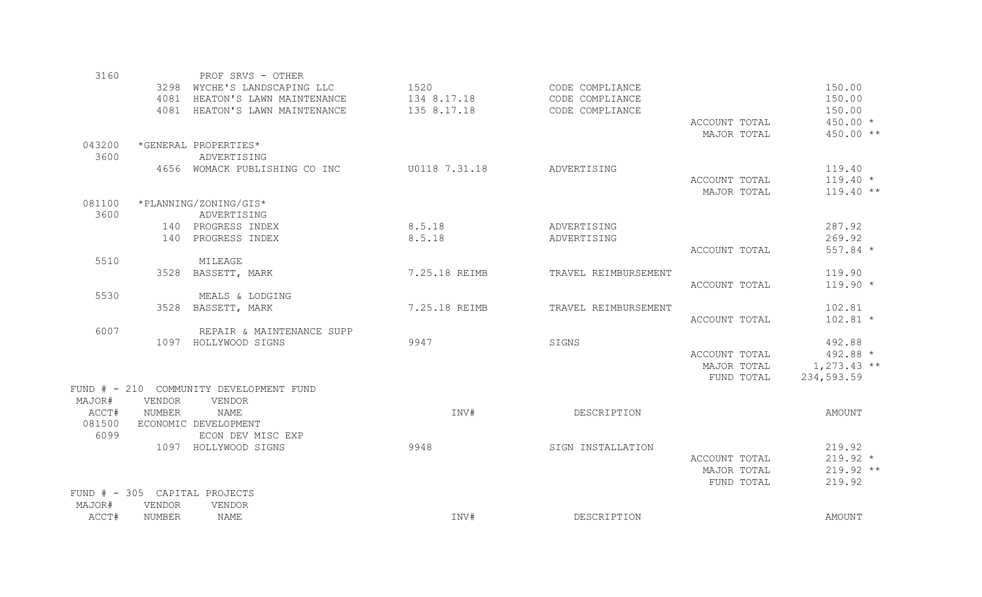| 3160   |               | PROF SRVS - OTHER                       |               |                      |               |               |
|--------|---------------|-----------------------------------------|---------------|----------------------|---------------|---------------|
|        |               | 3298 WYCHE'S LANDSCAPING LLC            | 1520          | CODE COMPLIANCE      |               | 150.00        |
|        | 4081          | HEATON'S LAWN MAINTENANCE               | 134 8.17.18   | CODE COMPLIANCE      |               | 150.00        |
|        |               | 4081 HEATON'S LAWN MAINTENANCE          | 135 8.17.18   | CODE COMPLIANCE      |               | 150.00        |
|        |               |                                         |               |                      | ACCOUNT TOTAL | $450.00 *$    |
|        |               |                                         |               |                      | MAJOR TOTAL   | 450.00 **     |
| 043200 |               | *GENERAL PROPERTIES*                    |               |                      |               |               |
| 3600   |               | ADVERTISING                             |               |                      |               |               |
|        |               | 4656 WOMACK PUBLISHING CO INC           | U0118 7.31.18 | ADVERTISING          |               | 119.40        |
|        |               |                                         |               |                      | ACCOUNT TOTAL | $119.40 *$    |
|        |               |                                         |               |                      | MAJOR TOTAL   | $119.40**$    |
| 081100 |               | *PLANNING/ZONING/GIS*                   |               |                      |               |               |
| 3600   |               | ADVERTISING                             |               |                      |               |               |
|        |               | 140 PROGRESS INDEX                      | 8.5.18        | ADVERTISING          |               | 287.92        |
|        |               | 140 PROGRESS INDEX                      | 8.5.18        | ADVERTISING          |               | 269.92        |
|        |               |                                         |               |                      | ACCOUNT TOTAL | 557.84 *      |
| 5510   |               | MILEAGE                                 |               |                      |               |               |
|        |               | 3528 BASSETT, MARK                      | 7.25.18 REIMB | TRAVEL REIMBURSEMENT |               | 119.90        |
|        |               |                                         |               |                      | ACCOUNT TOTAL | $119.90 *$    |
| 5530   |               | MEALS & LODGING                         |               |                      |               |               |
|        |               | 3528 BASSETT, MARK                      | 7.25.18 REIMB | TRAVEL REIMBURSEMENT |               | 102.81        |
|        |               |                                         |               |                      | ACCOUNT TOTAL | $102.81$ *    |
| 6007   |               | REPAIR & MAINTENANCE SUPP               |               |                      |               |               |
|        |               | 1097 HOLLYWOOD SIGNS                    | 9947          | SIGNS                |               | 492.88        |
|        |               |                                         |               |                      | ACCOUNT TOTAL | 492.88 *      |
|        |               |                                         |               |                      | MAJOR TOTAL   | $1,273.43$ ** |
|        |               |                                         |               |                      | FUND TOTAL    | 234,593.59    |
|        |               | FUND # - 210 COMMUNITY DEVELOPMENT FUND |               |                      |               |               |
| MAJOR# | <b>VENDOR</b> | VENDOR                                  |               |                      |               |               |
| ACCT#  | NUMBER        | <b>NAME</b>                             | INV#          | DESCRIPTION          |               | AMOUNT        |
| 081500 |               | ECONOMIC DEVELOPMENT                    |               |                      |               |               |
| 6099   |               | ECON DEV MISC EXP                       |               |                      |               |               |
|        |               | 1097 HOLLYWOOD SIGNS                    | 9948          | SIGN INSTALLATION    |               | 219.92        |
|        |               |                                         |               |                      | ACCOUNT TOTAL | $219.92 *$    |
|        |               |                                         |               |                      | MAJOR TOTAL   | 219.92 **     |
|        |               |                                         |               |                      | FUND TOTAL    | 219.92        |
|        |               | FUND # - 305 CAPITAL PROJECTS           |               |                      |               |               |
| MAJOR# | VENDOR        | VENDOR                                  |               |                      |               |               |
| ACCT#  | NUMBER        | NAME                                    | INV#          | DESCRIPTION          |               | AMOUNT        |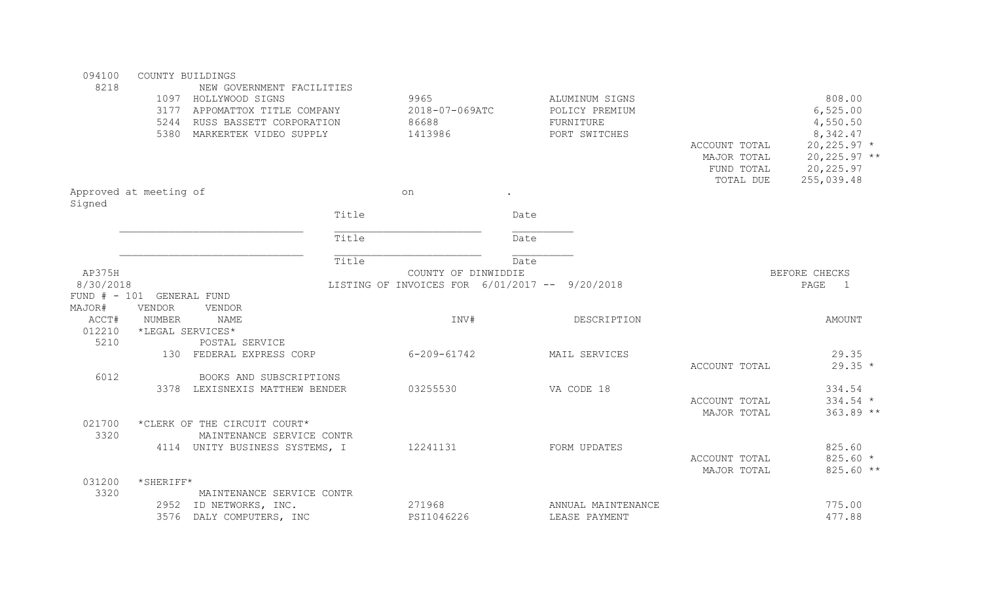| 094100    |                               | COUNTY BUILDINGS               |       |                                                |                |                             |               |                        |
|-----------|-------------------------------|--------------------------------|-------|------------------------------------------------|----------------|-----------------------------|---------------|------------------------|
| 8218      |                               | NEW GOVERNMENT FACILITIES      |       |                                                |                |                             |               |                        |
|           |                               | 1097 HOLLYWOOD SIGNS           | 9965  |                                                | ALUMINUM SIGNS |                             |               | 808.00                 |
|           |                               | 3177 APPOMATTOX TITLE COMPANY  |       | 2018-07-069ATC<br>86688                        |                | POLICY PREMIUM<br>FURNITURE |               | 6,525.00               |
|           |                               | 5244 RUSS BASSETT CORPORATION  |       |                                                |                |                             |               | 4,550.50               |
|           |                               | 5380 MARKERTEK VIDEO SUPPLY    |       | 1413986                                        |                | PORT SWITCHES               |               | 8,342.47               |
|           |                               |                                |       |                                                |                |                             | ACCOUNT TOTAL | $20, 225.97$ *         |
|           |                               |                                |       |                                                |                |                             | MAJOR TOTAL   | $20, 225.97$ **        |
|           |                               |                                |       |                                                |                |                             | FUND TOTAL    | 20, 225.97             |
|           |                               |                                |       |                                                |                |                             | TOTAL DUE     | 255,039.48             |
|           | Approved at meeting of        |                                |       | on                                             |                |                             |               |                        |
| Signed    |                               |                                |       |                                                |                |                             |               |                        |
|           |                               |                                | Title |                                                | Date           |                             |               |                        |
|           |                               |                                | Title |                                                | Date           |                             |               |                        |
|           |                               |                                | Title |                                                | Date           |                             |               |                        |
| AP375H    |                               |                                |       | COUNTY OF DINWIDDIE                            |                |                             |               | BEFORE CHECKS          |
| 8/30/2018 |                               |                                |       | LISTING OF INVOICES FOR 6/01/2017 -- 9/20/2018 |                |                             |               | PAGE<br>$\overline{1}$ |
|           | $FUND$ $#$ - 101 GENERAL FUND |                                |       |                                                |                |                             |               |                        |
| MAJOR#    | <b>VENDOR</b>                 | <b>VENDOR</b>                  |       |                                                |                |                             |               |                        |
| ACCT#     | NUMBER                        | <b>NAME</b>                    |       | INV#                                           |                | DESCRIPTION                 |               | <b>AMOUNT</b>          |
| 012210    |                               | *LEGAL SERVICES*               |       |                                                |                |                             |               |                        |
| 5210      |                               | POSTAL SERVICE                 |       |                                                |                |                             |               |                        |
|           |                               | 130 FEDERAL EXPRESS CORP       |       | $6 - 209 - 61742$                              |                | MAIL SERVICES               |               | 29.35                  |
|           |                               |                                |       |                                                |                |                             | ACCOUNT TOTAL | $29.35 *$              |
| 6012      |                               | BOOKS AND SUBSCRIPTIONS        |       |                                                |                |                             |               |                        |
|           |                               | 3378 LEXISNEXIS MATTHEW BENDER |       | 03255530                                       |                | VA CODE 18                  |               | 334.54                 |
|           |                               |                                |       |                                                |                |                             | ACCOUNT TOTAL | $334.54 *$             |
|           |                               |                                |       |                                                |                |                             | MAJOR TOTAL   | 363.89 **              |
| 021700    |                               | *CLERK OF THE CIRCUIT COURT*   |       |                                                |                |                             |               |                        |
| 3320      |                               | MAINTENANCE SERVICE CONTR      |       |                                                |                |                             |               |                        |
|           |                               | 4114 UNITY BUSINESS SYSTEMS, I |       | 12241131                                       |                | FORM UPDATES                |               | 825.60                 |
|           |                               |                                |       |                                                |                |                             | ACCOUNT TOTAL | $825.60*$              |
|           |                               |                                |       |                                                |                |                             | MAJOR TOTAL   | 825.60 **              |
| 031200    | *SHERIFF*                     |                                |       |                                                |                |                             |               |                        |
| 3320      |                               | MAINTENANCE SERVICE CONTR      |       |                                                |                |                             |               |                        |
|           |                               | 2952 ID NETWORKS, INC.         |       | 271968                                         |                | ANNUAL MAINTENANCE          |               | 775.00                 |
|           | 3576                          | DALY COMPUTERS, INC            |       | PSI1046226                                     |                | LEASE PAYMENT               |               | 477.88                 |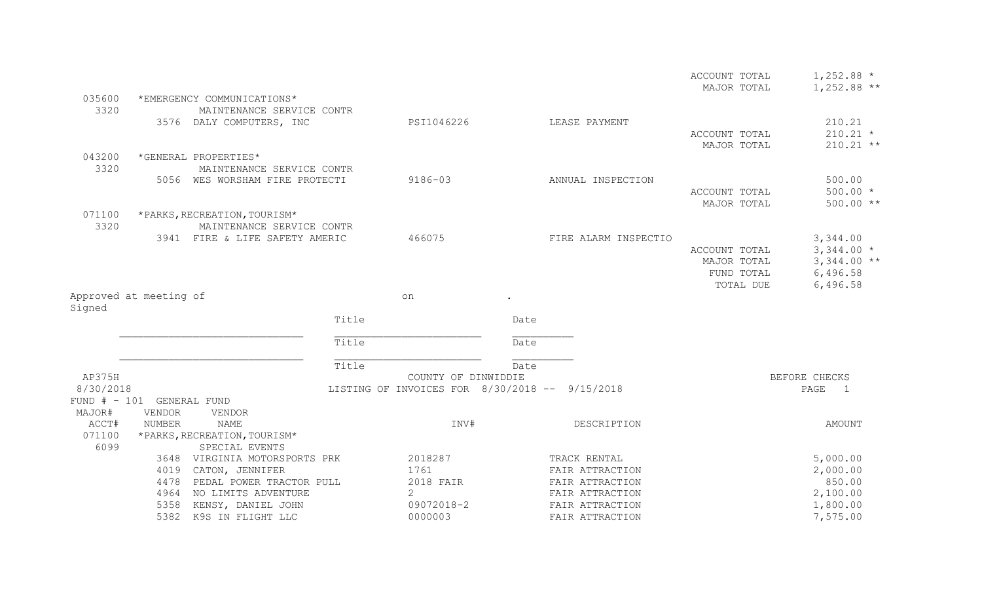|                        |                           |                                                             |       |                                                |      |                      | ACCOUNT TOTAL | $1,252.88$ *           |
|------------------------|---------------------------|-------------------------------------------------------------|-------|------------------------------------------------|------|----------------------|---------------|------------------------|
|                        |                           |                                                             |       |                                                |      |                      | MAJOR TOTAL   | $1,252.88$ **          |
| 035600                 |                           | *EMERGENCY COMMUNICATIONS*                                  |       |                                                |      |                      |               |                        |
| 3320                   |                           | MAINTENANCE SERVICE CONTR                                   |       |                                                |      |                      |               |                        |
|                        |                           | 3576 DALY COMPUTERS, INC                                    |       | PSI1046226                                     |      | LEASE PAYMENT        |               | 210.21                 |
|                        |                           |                                                             |       |                                                |      |                      | ACCOUNT TOTAL | $210.21$ *             |
|                        |                           |                                                             |       |                                                |      |                      | MAJOR TOTAL   | $210.21$ **            |
| 043200                 |                           | *GENERAL PROPERTIES*                                        |       |                                                |      |                      |               |                        |
| 3320                   |                           | MAINTENANCE SERVICE CONTR<br>5056 WES WORSHAM FIRE PROTECTI |       | $9186 - 03$                                    |      | ANNUAL INSPECTION    |               | 500.00                 |
|                        |                           |                                                             |       |                                                |      |                      | ACCOUNT TOTAL | $500.00 *$             |
|                        |                           |                                                             |       |                                                |      |                      | MAJOR TOTAL   | 500.00 **              |
| 071100                 |                           | *PARKS, RECREATION, TOURISM*                                |       |                                                |      |                      |               |                        |
| 3320                   |                           | MAINTENANCE SERVICE CONTR                                   |       |                                                |      |                      |               |                        |
|                        |                           | 3941 FIRE & LIFE SAFETY AMERIC                              |       | 466075                                         |      | FIRE ALARM INSPECTIO |               | 3,344.00               |
|                        |                           |                                                             |       |                                                |      |                      | ACCOUNT TOTAL | $3,344.00*$            |
|                        |                           |                                                             |       |                                                |      |                      | MAJOR TOTAL   | $3,344.00$ **          |
|                        |                           |                                                             |       |                                                |      |                      | FUND TOTAL    | 6,496.58               |
|                        |                           |                                                             |       |                                                |      |                      | TOTAL DUE     | 6,496.58               |
| Approved at meeting of |                           |                                                             |       | on                                             |      |                      |               |                        |
| Signed                 |                           |                                                             |       |                                                |      |                      |               |                        |
|                        |                           |                                                             | Title |                                                | Date |                      |               |                        |
|                        |                           |                                                             | Title |                                                | Date |                      |               |                        |
|                        |                           |                                                             | Title |                                                | Date |                      |               |                        |
| AP375H                 |                           |                                                             |       | COUNTY OF DINWIDDIE                            |      |                      |               | BEFORE CHECKS          |
| 8/30/2018              |                           |                                                             |       | LISTING OF INVOICES FOR 8/30/2018 -- 9/15/2018 |      |                      |               | PAGE<br>$\overline{1}$ |
|                        | FUND # - 101 GENERAL FUND |                                                             |       |                                                |      |                      |               |                        |
| MAJOR#                 | <b>VENDOR</b>             | VENDOR                                                      |       |                                                |      |                      |               |                        |
| ACCT#                  | NUMBER                    | <b>NAME</b>                                                 |       | INV#                                           |      | DESCRIPTION          |               | AMOUNT                 |
| 071100                 |                           | *PARKS, RECREATION, TOURISM*                                |       |                                                |      |                      |               |                        |
| 6099                   |                           | SPECIAL EVENTS                                              |       |                                                |      |                      |               |                        |
|                        |                           | 3648 VIRGINIA MOTORSPORTS PRK                               |       | 2018287                                        |      | TRACK RENTAL         |               | 5,000.00               |
|                        | 4019                      | CATON, JENNIFER                                             |       | 1761                                           |      | FAIR ATTRACTION      |               | 2,000.00               |
|                        | 4478                      | PEDAL POWER TRACTOR PULL                                    |       | 2018 FAIR                                      |      | FAIR ATTRACTION      |               | 850.00                 |
|                        | 4964                      | NO LIMITS ADVENTURE                                         |       | 2                                              |      | FAIR ATTRACTION      |               | 2,100.00               |
|                        | 5358                      | KENSY, DANIEL JOHN                                          |       | 09072018-2                                     |      | FAIR ATTRACTION      |               | 1,800.00               |
|                        | 5382                      | K9S IN FLIGHT LLC                                           |       | 0000003                                        |      | FAIR ATTRACTION      |               | 7,575.00               |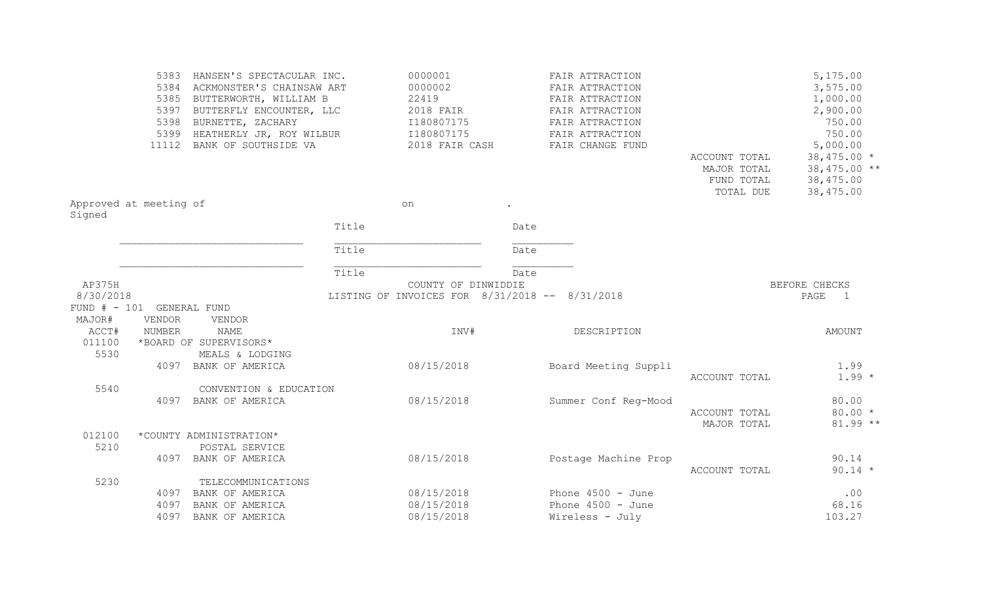|                                  | 5383          | HANSEN'S SPECTACULAR INC.      |       | 0000001                                        |      | FAIR ATTRACTION      |               | 5,175.00               |
|----------------------------------|---------------|--------------------------------|-------|------------------------------------------------|------|----------------------|---------------|------------------------|
|                                  |               | 5384 ACKMONSTER'S CHAINSAW ART |       | 0000002                                        |      | FAIR ATTRACTION      |               | 3,575.00               |
|                                  |               | 5385 BUTTERWORTH, WILLIAM B    |       | 22419                                          |      | FAIR ATTRACTION      |               | 1,000.00               |
|                                  | 5397          | BUTTERFLY ENCOUNTER, LLC       |       | 2018 FAIR                                      |      | FAIR ATTRACTION      |               | 2,900.00               |
|                                  | 5398          | BURNETTE, ZACHARY              |       | I180807175                                     |      | FAIR ATTRACTION      |               | 750.00                 |
|                                  |               | 5399 HEATHERLY JR, ROY WILBUR  |       | I180807175                                     |      | FAIR ATTRACTION      |               | 750.00                 |
|                                  | 11112         | BANK OF SOUTHSIDE VA           |       | 2018 FAIR CASH                                 |      | FAIR CHANGE FUND     |               | 5,000.00               |
|                                  |               |                                |       |                                                |      |                      | ACCOUNT TOTAL | $38,475.00*$           |
|                                  |               |                                |       |                                                |      |                      | MAJOR TOTAL   | 38,475.00 **           |
|                                  |               |                                |       |                                                |      |                      | FUND TOTAL    | 38,475.00              |
|                                  |               |                                |       |                                                |      |                      | TOTAL DUE     | 38,475.00              |
| Approved at meeting of<br>Signed |               |                                |       | on                                             |      |                      |               |                        |
|                                  |               |                                | Title |                                                | Date |                      |               |                        |
|                                  |               |                                | Title |                                                | Date |                      |               |                        |
|                                  |               |                                | Title |                                                | Date |                      |               |                        |
| AP375H                           |               |                                |       | COUNTY OF DINWIDDIE                            |      |                      |               | BEFORE CHECKS          |
| 8/30/2018                        |               |                                |       | LISTING OF INVOICES FOR 8/31/2018 -- 8/31/2018 |      |                      |               | PAGE<br>$\overline{1}$ |
| FUND # - 101 GENERAL FUND        |               |                                |       |                                                |      |                      |               |                        |
| MAJOR#                           | <b>VENDOR</b> | VENDOR                         |       |                                                |      |                      |               |                        |
| ACCT#                            | <b>NUMBER</b> | NAME                           |       | INV#                                           |      | DESCRIPTION          |               | <b>AMOUNT</b>          |
| 011100                           |               | *BOARD OF SUPERVISORS*         |       |                                                |      |                      |               |                        |
| 5530                             |               | MEALS & LODGING                |       |                                                |      |                      |               |                        |
|                                  | 4097          | BANK OF AMERICA                |       | 08/15/2018                                     |      | Board Meeting Suppli |               | 1.99                   |
|                                  |               |                                |       |                                                |      |                      | ACCOUNT TOTAL | $1.99 *$               |
| 5540                             |               | CONVENTION & EDUCATION         |       |                                                |      |                      |               |                        |
|                                  |               | 4097 BANK OF AMERICA           |       | 08/15/2018                                     |      | Summer Conf Reg-Mood |               | 80.00                  |
|                                  |               |                                |       |                                                |      |                      | ACCOUNT TOTAL | $80.00 *$              |
|                                  |               |                                |       |                                                |      |                      | MAJOR TOTAL   | $81.99**$              |
| 012100                           |               | *COUNTY ADMINISTRATION*        |       |                                                |      |                      |               |                        |
| 5210                             |               | POSTAL SERVICE                 |       |                                                |      |                      |               |                        |
|                                  | 4097          | BANK OF AMERICA                |       | 08/15/2018                                     |      | Postage Machine Prop |               | 90.14                  |
|                                  |               |                                |       |                                                |      |                      | ACCOUNT TOTAL | $90.14 *$              |
| 5230                             |               | TELECOMMUNICATIONS             |       |                                                |      |                      |               |                        |
|                                  | 4097          | BANK OF AMERICA                |       | 08/15/2018                                     |      | Phone $4500 - June$  |               | .00                    |
|                                  | 4097          | BANK OF AMERICA                |       | 08/15/2018                                     |      | Phone $4500 - June$  |               | 68.16                  |
|                                  | 4097          | BANK OF AMERICA                |       | 08/15/2018                                     |      | Wireless - July      |               | 103.27                 |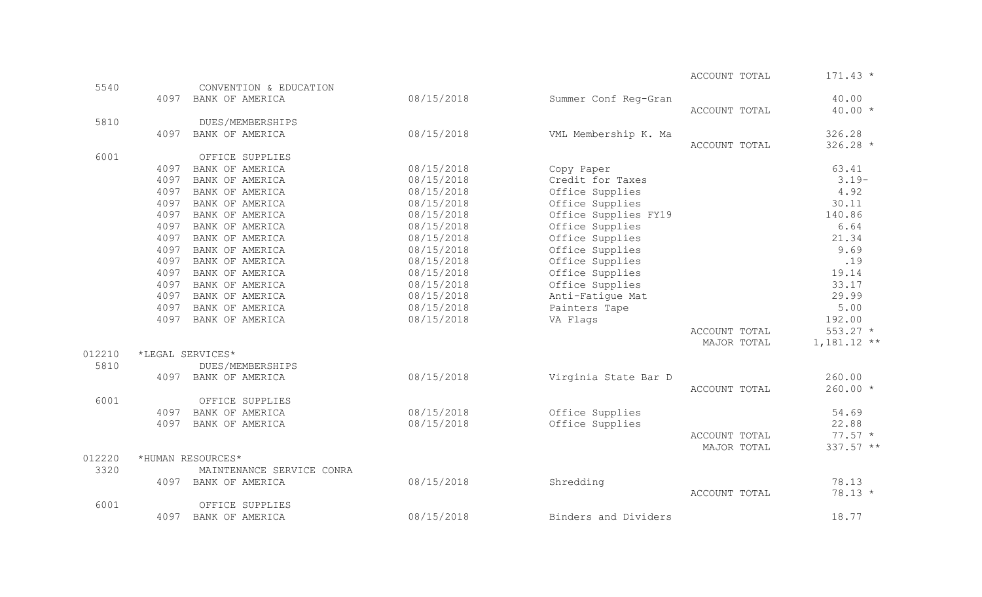ACCOUNT TOTAL  $171.43$  \*

| 5540   |      | CONVENTION & EDUCATION    |            |                      |               |               |
|--------|------|---------------------------|------------|----------------------|---------------|---------------|
|        | 4097 | BANK OF AMERICA           | 08/15/2018 | Summer Conf Reg-Gran |               | 40.00         |
|        |      |                           |            |                      | ACCOUNT TOTAL | $40.00 *$     |
| 5810   |      | DUES/MEMBERSHIPS          |            |                      |               |               |
|        | 4097 | BANK OF AMERICA           | 08/15/2018 | VML Membership K. Ma |               | 326.28        |
|        |      |                           |            |                      | ACCOUNT TOTAL | $326.28$ *    |
| 6001   |      | OFFICE SUPPLIES           |            |                      |               |               |
|        | 4097 | BANK OF AMERICA           | 08/15/2018 | Copy Paper           |               | 63.41         |
|        | 4097 | BANK OF AMERICA           | 08/15/2018 | Credit for Taxes     |               | $3.19-$       |
|        | 4097 | BANK OF AMERICA           | 08/15/2018 | Office Supplies      |               | 4.92          |
|        | 4097 | BANK OF AMERICA           | 08/15/2018 | Office Supplies      |               | 30.11         |
|        | 4097 | BANK OF AMERICA           | 08/15/2018 | Office Supplies FY19 |               | 140.86        |
|        | 4097 | BANK OF AMERICA           | 08/15/2018 | Office Supplies      |               | 6.64          |
|        | 4097 | BANK OF AMERICA           | 08/15/2018 | Office Supplies      |               | 21.34         |
|        | 4097 | BANK OF AMERICA           | 08/15/2018 | Office Supplies      |               | 9.69          |
|        | 4097 | BANK OF AMERICA           | 08/15/2018 | Office Supplies      |               | .19           |
|        | 4097 | BANK OF AMERICA           | 08/15/2018 | Office Supplies      |               | 19.14         |
|        | 4097 | BANK OF AMERICA           | 08/15/2018 | Office Supplies      |               | 33.17         |
|        | 4097 | BANK OF AMERICA           | 08/15/2018 | Anti-Fatique Mat     |               | 29.99         |
|        | 4097 | BANK OF AMERICA           | 08/15/2018 | Painters Tape        |               | 5.00          |
|        | 4097 | BANK OF AMERICA           | 08/15/2018 | VA Flags             |               | 192.00        |
|        |      |                           |            |                      | ACCOUNT TOTAL | $553.27$ *    |
|        |      |                           |            |                      | MAJOR TOTAL   | $1,181.12$ ** |
| 012210 |      | *LEGAL SERVICES*          |            |                      |               |               |
| 5810   |      | DUES/MEMBERSHIPS          |            |                      |               |               |
|        | 4097 | BANK OF AMERICA           | 08/15/2018 | Virginia State Bar D |               | 260.00        |
|        |      |                           |            |                      | ACCOUNT TOTAL | $260.00 *$    |
| 6001   |      | OFFICE SUPPLIES           |            |                      |               |               |
|        | 4097 | BANK OF AMERICA           | 08/15/2018 | Office Supplies      |               | 54.69         |
|        | 4097 | BANK OF AMERICA           | 08/15/2018 | Office Supplies      |               | 22.88         |
|        |      |                           |            |                      | ACCOUNT TOTAL | $77.57 *$     |
|        |      |                           |            |                      | MAJOR TOTAL   | 337.57 **     |
| 012220 |      | *HUMAN RESOURCES*         |            |                      |               |               |
| 3320   |      | MAINTENANCE SERVICE CONRA |            |                      |               |               |
|        | 4097 | BANK OF AMERICA           | 08/15/2018 | Shredding            |               | 78.13         |
|        |      |                           |            |                      | ACCOUNT TOTAL | $78.13 *$     |
| 6001   |      | OFFICE SUPPLIES           |            |                      |               |               |
|        | 4097 | BANK OF AMERICA           | 08/15/2018 | Binders and Dividers |               | 18.77         |
|        |      |                           |            |                      |               |               |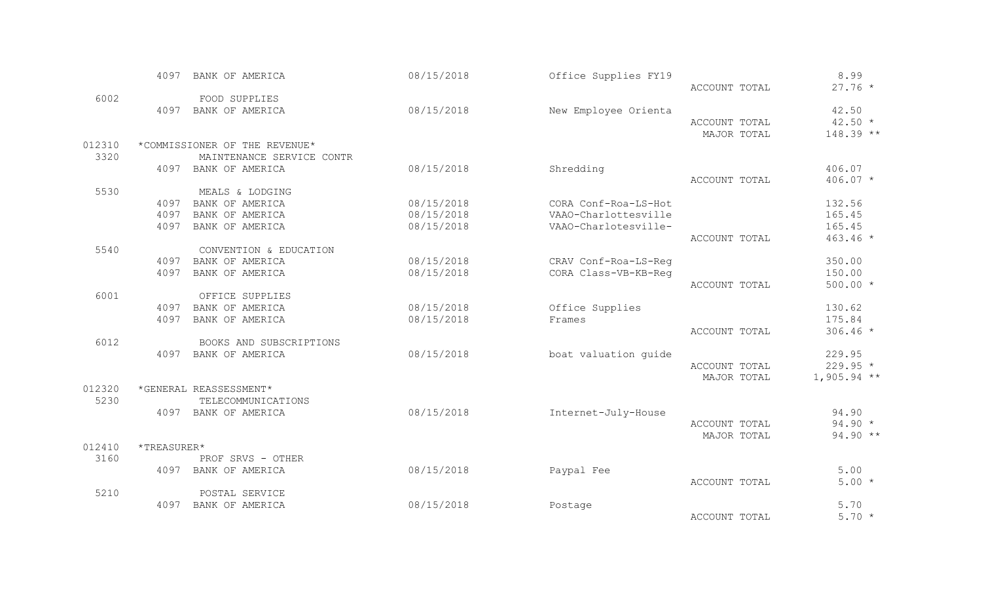|        | 4097                      | BANK OF AMERICA               | 08/15/2018 | Office Supplies FY19 |               | 8.99          |
|--------|---------------------------|-------------------------------|------------|----------------------|---------------|---------------|
|        |                           |                               |            |                      | ACCOUNT TOTAL | $27.76 *$     |
| 6002   |                           | FOOD SUPPLIES                 |            |                      |               |               |
|        | 4097                      | BANK OF AMERICA               | 08/15/2018 | New Employee Orienta |               | 42.50         |
|        |                           |                               |            |                      | ACCOUNT TOTAL | $42.50 *$     |
|        |                           |                               |            |                      | MAJOR TOTAL   | 148.39 **     |
| 012310 |                           | *COMMISSIONER OF THE REVENUE* |            |                      |               |               |
| 3320   |                           | MAINTENANCE SERVICE CONTR     |            |                      |               |               |
|        |                           | 4097 BANK OF AMERICA          | 08/15/2018 | Shredding            |               | 406.07        |
|        |                           |                               |            |                      | ACCOUNT TOTAL | 406.07 *      |
| 5530   |                           | MEALS & LODGING               |            |                      |               |               |
|        | 4097                      | BANK OF AMERICA               | 08/15/2018 | CORA Conf-Roa-LS-Hot |               | 132.56        |
|        | 4097                      | BANK OF AMERICA               | 08/15/2018 | VAAO-Charlottesville |               | 165.45        |
|        | 4097                      | BANK OF AMERICA               | 08/15/2018 | VAAO-Charlotesville- |               | 165.45        |
|        |                           |                               |            |                      | ACCOUNT TOTAL | $463.46 *$    |
| 5540   |                           | CONVENTION & EDUCATION        |            |                      |               |               |
|        |                           | 4097 BANK OF AMERICA          | 08/15/2018 | CRAV Conf-Roa-LS-Reg |               | 350.00        |
|        | 4097                      | BANK OF AMERICA               | 08/15/2018 | CORA Class-VB-KB-Req |               | 150.00        |
|        |                           |                               |            |                      | ACCOUNT TOTAL | $500.00 *$    |
| 6001   |                           | OFFICE SUPPLIES               |            |                      |               |               |
|        | 4097                      | BANK OF AMERICA               | 08/15/2018 | Office Supplies      |               | 130.62        |
|        | 4097                      | BANK OF AMERICA               | 08/15/2018 | Frames               |               | 175.84        |
|        |                           |                               |            |                      | ACCOUNT TOTAL | $306.46 *$    |
| 6012   |                           | BOOKS AND SUBSCRIPTIONS       |            |                      |               |               |
|        |                           | 4097 BANK OF AMERICA          | 08/15/2018 | boat valuation quide |               | 229.95        |
|        |                           |                               |            |                      | ACCOUNT TOTAL | $229.95 *$    |
|        |                           |                               |            |                      | MAJOR TOTAL   | $1,905.94$ ** |
| 012320 |                           | *GENERAL REASSESSMENT*        |            |                      |               |               |
| 5230   |                           | TELECOMMUNICATIONS            |            |                      |               |               |
|        |                           | 4097 BANK OF AMERICA          | 08/15/2018 | Internet-July-House  |               | 94.90         |
|        |                           |                               |            |                      | ACCOUNT TOTAL | $94.90 *$     |
|        |                           |                               |            |                      | MAJOR TOTAL   | $94.90**$     |
| 012410 | $\star$ TREASURER $\star$ |                               |            |                      |               |               |
| 3160   |                           | PROF SRVS - OTHER             |            |                      |               |               |
|        | 4097                      | BANK OF AMERICA               | 08/15/2018 | Paypal Fee           |               | 5.00          |
|        |                           |                               |            |                      | ACCOUNT TOTAL | $5.00*$       |
| 5210   |                           | POSTAL SERVICE                |            |                      |               |               |
|        | 4097                      | BANK OF AMERICA               | 08/15/2018 | Postage              |               | 5.70          |
|        |                           |                               |            |                      | ACCOUNT TOTAL | $5.70*$       |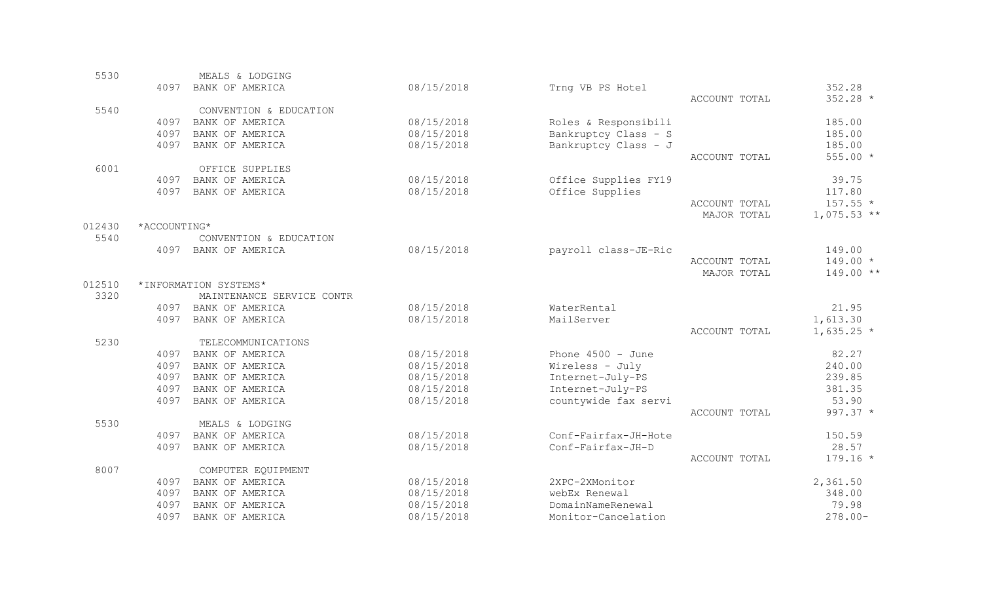| 5530   |              | MEALS & LODGING           |            |                      |               |               |
|--------|--------------|---------------------------|------------|----------------------|---------------|---------------|
|        | 4097         | BANK OF AMERICA           | 08/15/2018 | Trng VB PS Hotel     |               | 352.28        |
|        |              |                           |            |                      | ACCOUNT TOTAL | 352.28 *      |
| 5540   |              | CONVENTION & EDUCATION    |            |                      |               |               |
|        | 4097         | BANK OF AMERICA           | 08/15/2018 | Roles & Responsibili |               | 185.00        |
|        | 4097         | BANK OF AMERICA           | 08/15/2018 | Bankruptcy Class - S |               | 185.00        |
|        | 4097         | BANK OF AMERICA           | 08/15/2018 | Bankruptcy Class - J |               | 185.00        |
|        |              |                           |            |                      | ACCOUNT TOTAL | $555.00 *$    |
| 6001   |              | OFFICE SUPPLIES           |            |                      |               |               |
|        | 4097         | BANK OF AMERICA           | 08/15/2018 | Office Supplies FY19 |               | 39.75         |
|        | 4097         | BANK OF AMERICA           | 08/15/2018 | Office Supplies      |               | 117.80        |
|        |              |                           |            |                      | ACCOUNT TOTAL | $157.55 *$    |
|        |              |                           |            |                      | MAJOR TOTAL   | $1,075.53$ ** |
| 012430 | *ACCOUNTING* |                           |            |                      |               |               |
| 5540   |              | CONVENTION & EDUCATION    |            |                      |               |               |
|        | 4097         | BANK OF AMERICA           | 08/15/2018 | payroll class-JE-Ric |               | 149.00        |
|        |              |                           |            |                      | ACCOUNT TOTAL | $149.00 *$    |
|        |              |                           |            |                      | MAJOR TOTAL   | 149.00 **     |
| 012510 |              | *INFORMATION SYSTEMS*     |            |                      |               |               |
| 3320   |              | MAINTENANCE SERVICE CONTR |            |                      |               |               |
|        |              | 4097 BANK OF AMERICA      | 08/15/2018 | WaterRental          |               | 21.95         |
|        | 4097         | BANK OF AMERICA           | 08/15/2018 | MailServer           |               | 1,613.30      |
|        |              |                           |            |                      | ACCOUNT TOTAL | $1,635.25$ *  |
| 5230   |              | TELECOMMUNICATIONS        |            |                      |               |               |
|        | 4097         | BANK OF AMERICA           | 08/15/2018 | Phone $4500 - June$  |               | 82.27         |
|        | 4097         | BANK OF AMERICA           | 08/15/2018 | Wireless - July      |               | 240.00        |
|        | 4097         | BANK OF AMERICA           | 08/15/2018 | Internet-July-PS     |               | 239.85        |
|        | 4097         | BANK OF AMERICA           | 08/15/2018 | Internet-July-PS     |               | 381.35        |
|        | 4097         | BANK OF AMERICA           | 08/15/2018 | countywide fax servi |               | 53.90         |
|        |              |                           |            |                      | ACCOUNT TOTAL | 997.37 *      |
| 5530   |              | MEALS & LODGING           |            |                      |               |               |
|        | 4097         | BANK OF AMERICA           | 08/15/2018 | Conf-Fairfax-JH-Hote |               | 150.59        |
|        | 4097         | BANK OF AMERICA           | 08/15/2018 | Conf-Fairfax-JH-D    |               | 28.57         |
|        |              |                           |            |                      | ACCOUNT TOTAL | $179.16 *$    |
| 8007   |              | COMPUTER EQUIPMENT        |            |                      |               |               |
|        | 4097         | BANK OF AMERICA           | 08/15/2018 | 2XPC-2XMonitor       |               | 2,361.50      |
|        | 4097         | BANK OF AMERICA           | 08/15/2018 | webEx Renewal        |               | 348.00        |
|        | 4097         | BANK OF AMERICA           | 08/15/2018 | DomainNameRenewal    |               | 79.98         |
|        | 4097         | BANK OF AMERICA           | 08/15/2018 | Monitor-Cancelation  |               | $278.00 -$    |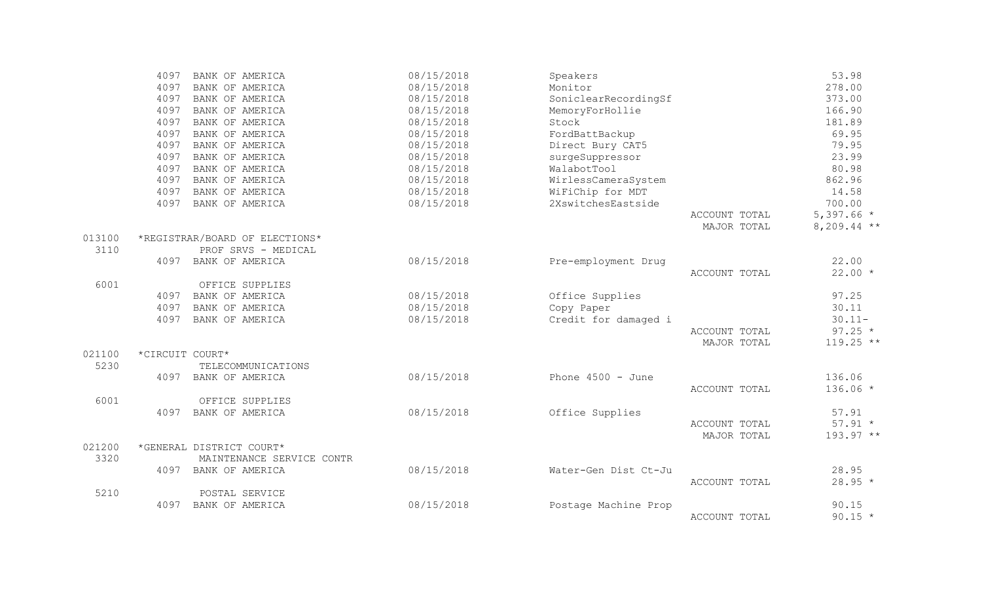|        | 4097<br>BANK OF AMERICA        | 08/15/2018 | Speakers             |               | 53.98         |
|--------|--------------------------------|------------|----------------------|---------------|---------------|
|        | 4097<br>BANK OF AMERICA        | 08/15/2018 | Monitor              |               | 278.00        |
|        | 4097<br>BANK OF AMERICA        | 08/15/2018 | SoniclearRecordingSf |               | 373.00        |
|        | 4097<br>BANK OF AMERICA        | 08/15/2018 | MemoryForHollie      |               | 166.90        |
|        | BANK OF AMERICA<br>4097        | 08/15/2018 | Stock                |               | 181.89        |
|        | BANK OF AMERICA<br>4097        | 08/15/2018 | FordBattBackup       |               | 69.95         |
|        | 4097<br>BANK OF AMERICA        | 08/15/2018 | Direct Bury CAT5     |               | 79.95         |
|        | 4097<br>BANK OF AMERICA        | 08/15/2018 | surgeSuppressor      |               | 23.99         |
|        | 4097<br>BANK OF AMERICA        | 08/15/2018 | WalabotTool          |               | 80.98         |
|        | 4097<br>BANK OF AMERICA        | 08/15/2018 | WirlessCameraSystem  |               | 862.96        |
|        | 4097<br>BANK OF AMERICA        | 08/15/2018 | WiFiChip for MDT     |               | 14.58         |
|        | 4097<br>BANK OF AMERICA        | 08/15/2018 | 2XswitchesEastside   |               | 700.00        |
|        |                                |            |                      | ACCOUNT TOTAL | $5,397.66$ *  |
|        |                                |            |                      | MAJOR TOTAL   | $8,209.44$ ** |
| 013100 | *REGISTRAR/BOARD OF ELECTIONS* |            |                      |               |               |
| 3110   | PROF SRVS - MEDICAL            |            |                      |               |               |
|        | 4097<br>BANK OF AMERICA        | 08/15/2018 | Pre-employment Drug  |               | 22.00         |
|        |                                |            |                      | ACCOUNT TOTAL | $22.00*$      |
| 6001   | OFFICE SUPPLIES                |            |                      |               |               |
|        | BANK OF AMERICA<br>4097        | 08/15/2018 | Office Supplies      |               | 97.25         |
|        | 4097<br>BANK OF AMERICA        | 08/15/2018 | Copy Paper           |               | 30.11         |
|        | 4097<br>BANK OF AMERICA        | 08/15/2018 | Credit for damaged i |               | $30.11 -$     |
|        |                                |            |                      | ACCOUNT TOTAL | $97.25 *$     |
|        |                                |            |                      | MAJOR TOTAL   | $119.25$ **   |
| 021100 | *CIRCUIT COURT*                |            |                      |               |               |
| 5230   | TELECOMMUNICATIONS             |            |                      |               |               |
|        | 4097<br>BANK OF AMERICA        | 08/15/2018 | Phone $4500 - June$  |               | 136.06        |
|        |                                |            |                      | ACCOUNT TOTAL | $136.06 *$    |
| 6001   | OFFICE SUPPLIES                |            |                      |               |               |
|        | BANK OF AMERICA<br>4097        | 08/15/2018 | Office Supplies      |               | 57.91         |
|        |                                |            |                      | ACCOUNT TOTAL | $57.91 *$     |
|        |                                |            |                      | MAJOR TOTAL   | 193.97 **     |
| 021200 | *GENERAL DISTRICT COURT*       |            |                      |               |               |
| 3320   | MAINTENANCE SERVICE CONTR      |            |                      |               |               |
|        | 4097<br>BANK OF AMERICA        | 08/15/2018 | Water-Gen Dist Ct-Ju |               | 28.95         |
|        |                                |            |                      | ACCOUNT TOTAL | $28.95 *$     |
| 5210   | POSTAL SERVICE                 |            |                      |               |               |
|        | BANK OF AMERICA<br>4097        | 08/15/2018 | Postage Machine Prop |               | 90.15         |
|        |                                |            |                      | ACCOUNT TOTAL | $90.15 *$     |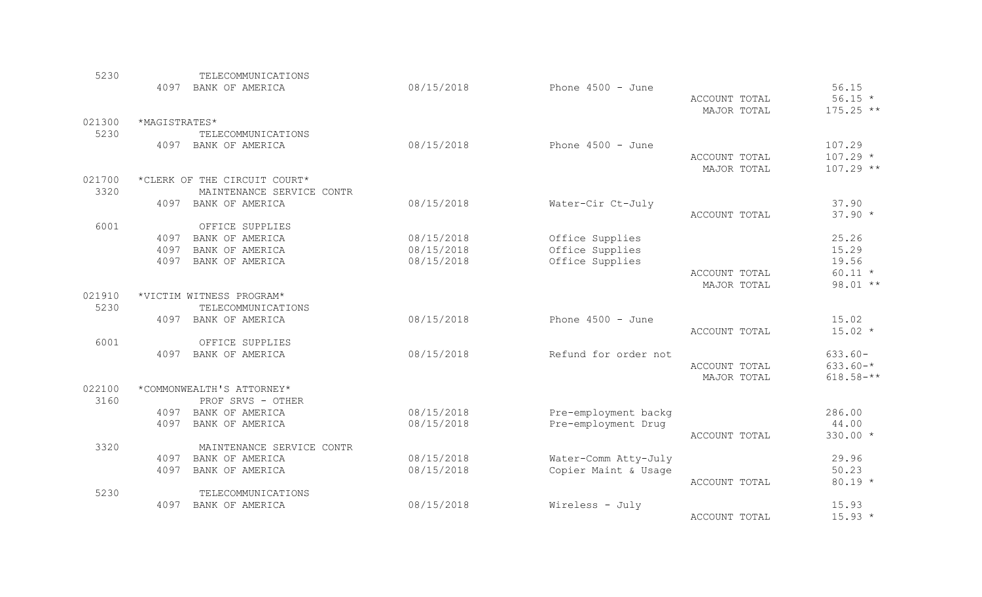| 5230   |               | TELECOMMUNICATIONS           |            |                      |               |               |
|--------|---------------|------------------------------|------------|----------------------|---------------|---------------|
|        | 4097          | BANK OF AMERICA              | 08/15/2018 | Phone $4500 - June$  |               | 56.15         |
|        |               |                              |            |                      | ACCOUNT TOTAL | $56.15 *$     |
|        |               |                              |            |                      | MAJOR TOTAL   | $175.25$ **   |
| 021300 | *MAGISTRATES* |                              |            |                      |               |               |
| 5230   |               | TELECOMMUNICATIONS           |            |                      |               |               |
|        | 4097          | BANK OF AMERICA              | 08/15/2018 | Phone $4500 - June$  |               | 107.29        |
|        |               |                              |            |                      | ACCOUNT TOTAL | $107.29 *$    |
|        |               |                              |            |                      | MAJOR TOTAL   | $107.29$ **   |
| 021700 |               | *CLERK OF THE CIRCUIT COURT* |            |                      |               |               |
| 3320   |               | MAINTENANCE SERVICE CONTR    |            |                      |               |               |
|        | 4097          | BANK OF AMERICA              | 08/15/2018 | Water-Cir Ct-July    |               | 37.90         |
|        |               |                              |            |                      | ACCOUNT TOTAL | $37.90 *$     |
| 6001   |               | OFFICE SUPPLIES              |            |                      |               |               |
|        | 4097          | BANK OF AMERICA              | 08/15/2018 | Office Supplies      |               | 25.26         |
|        | 4097          | BANK OF AMERICA              | 08/15/2018 | Office Supplies      |               | 15.29         |
|        | 4097          | BANK OF AMERICA              | 08/15/2018 | Office Supplies      |               | 19.56         |
|        |               |                              |            |                      | ACCOUNT TOTAL | $60.11 *$     |
|        |               |                              |            |                      | MAJOR TOTAL   | 98.01 **      |
| 021910 |               | *VICTIM WITNESS PROGRAM*     |            |                      |               |               |
| 5230   |               | TELECOMMUNICATIONS           |            |                      |               |               |
|        | 4097          | BANK OF AMERICA              | 08/15/2018 | Phone $4500 - June$  |               | 15.02         |
|        |               |                              |            |                      | ACCOUNT TOTAL | $15.02 *$     |
| 6001   |               | OFFICE SUPPLIES              |            |                      |               |               |
|        | 4097          | BANK OF AMERICA              | 08/15/2018 | Refund for order not |               | $633.60 -$    |
|        |               |                              |            |                      | ACCOUNT TOTAL | $633.60 - *$  |
|        |               |                              |            |                      | MAJOR TOTAL   | $618.58 - **$ |
| 022100 |               | *COMMONWEALTH'S ATTORNEY*    |            |                      |               |               |
| 3160   |               | PROF SRVS - OTHER            |            |                      |               |               |
|        |               | 4097 BANK OF AMERICA         | 08/15/2018 | Pre-employment backg |               | 286.00        |
|        | 4097          | BANK OF AMERICA              | 08/15/2018 | Pre-employment Drug  |               | 44.00         |
|        |               |                              |            |                      | ACCOUNT TOTAL | 330.00 *      |
| 3320   |               | MAINTENANCE SERVICE CONTR    |            |                      |               |               |
|        | 4097          | BANK OF AMERICA              | 08/15/2018 | Water-Comm Atty-July |               | 29.96         |
|        | 4097          | BANK OF AMERICA              | 08/15/2018 | Copier Maint & Usage |               | 50.23         |
|        |               |                              |            |                      | ACCOUNT TOTAL | $80.19 *$     |
| 5230   |               | TELECOMMUNICATIONS           |            |                      |               |               |
|        | 4097          | BANK OF AMERICA              | 08/15/2018 | Wireless - July      |               | 15.93         |
|        |               |                              |            |                      | ACCOUNT TOTAL | $15.93*$      |
|        |               |                              |            |                      |               |               |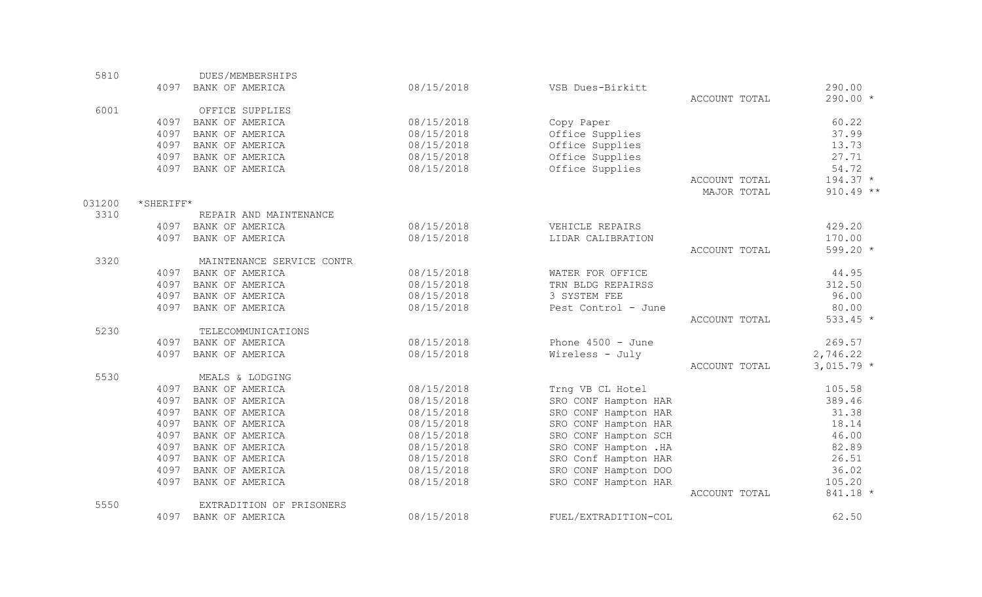| 5810   |           | DUES/MEMBERSHIPS          |            |                       |               |             |
|--------|-----------|---------------------------|------------|-----------------------|---------------|-------------|
|        |           | 4097 BANK OF AMERICA      | 08/15/2018 | VSB Dues-Birkitt      |               | 290.00      |
|        |           |                           |            |                       | ACCOUNT TOTAL | 290.00 *    |
| 6001   |           | OFFICE SUPPLIES           |            |                       |               |             |
|        | 4097      | BANK OF AMERICA           | 08/15/2018 | Copy Paper            |               | 60.22       |
|        | 4097      | BANK OF AMERICA           | 08/15/2018 | Office Supplies       |               | 37.99       |
|        | 4097      | BANK OF AMERICA           | 08/15/2018 | Office Supplies       |               | 13.73       |
|        | 4097      | BANK OF AMERICA           | 08/15/2018 | Office Supplies       |               | 27.71       |
|        | 4097      | BANK OF AMERICA           | 08/15/2018 | Office Supplies       |               | 54.72       |
|        |           |                           |            |                       | ACCOUNT TOTAL | $194.37 *$  |
|        |           |                           |            |                       | MAJOR TOTAL   | $910.49$ ** |
| 031200 | *SHERIFF* |                           |            |                       |               |             |
| 3310   |           | REPAIR AND MAINTENANCE    |            |                       |               |             |
|        |           | 4097 BANK OF AMERICA      | 08/15/2018 | VEHICLE REPAIRS       |               | 429.20      |
|        | 4097      | BANK OF AMERICA           | 08/15/2018 | LIDAR CALIBRATION     |               | 170.00      |
|        |           |                           |            |                       | ACCOUNT TOTAL | 599.20 *    |
| 3320   |           | MAINTENANCE SERVICE CONTR |            |                       |               |             |
|        |           | 4097 BANK OF AMERICA      | 08/15/2018 | WATER FOR OFFICE      |               | 44.95       |
|        | 4097      | BANK OF AMERICA           | 08/15/2018 | TRN BLDG REPAIRSS     |               | 312.50      |
|        | 4097      | BANK OF AMERICA           | 08/15/2018 | 3 SYSTEM FEE          |               | 96.00       |
|        | 4097      | BANK OF AMERICA           | 08/15/2018 | Pest Control - June   |               | 80.00       |
|        |           |                           |            |                       | ACCOUNT TOTAL | $533.45 *$  |
| 5230   |           | TELECOMMUNICATIONS        |            |                       |               |             |
|        | 4097      | BANK OF AMERICA           | 08/15/2018 | Phone $4500 - June$   |               | 269.57      |
|        | 4097      | BANK OF AMERICA           | 08/15/2018 | Wireless - July       |               | 2,746.22    |
|        |           |                           |            |                       | ACCOUNT TOTAL | $3,015.79*$ |
| 5530   |           | MEALS & LODGING           |            |                       |               |             |
|        | 4097      | BANK OF AMERICA           | 08/15/2018 | Trng VB CL Hotel      |               | 105.58      |
|        | 4097      | BANK OF AMERICA           | 08/15/2018 | SRO CONF Hampton HAR  |               | 389.46      |
|        | 4097      | BANK OF AMERICA           | 08/15/2018 | SRO CONF Hampton HAR  |               | 31.38       |
|        | 4097      | BANK OF AMERICA           | 08/15/2018 | SRO CONF Hampton HAR  |               | 18.14       |
|        | 4097      | BANK OF AMERICA           | 08/15/2018 | SRO CONF Hampton SCH  |               | 46.00       |
|        | 4097      | BANK OF AMERICA           | 08/15/2018 | SRO CONF Hampton . HA |               | 82.89       |
|        | 4097      | BANK OF AMERICA           | 08/15/2018 | SRO Conf Hampton HAR  |               | 26.51       |
|        | 4097      | BANK OF AMERICA           | 08/15/2018 | SRO CONF Hampton DOO  |               | 36.02       |
|        | 4097      | BANK OF AMERICA           | 08/15/2018 | SRO CONF Hampton HAR  |               | 105.20      |
|        |           |                           |            |                       | ACCOUNT TOTAL | 841.18 *    |
| 5550   |           | EXTRADITION OF PRISONERS  |            |                       |               |             |
|        | 4097      | BANK OF AMERICA           | 08/15/2018 | FUEL/EXTRADITION-COL  |               | 62.50       |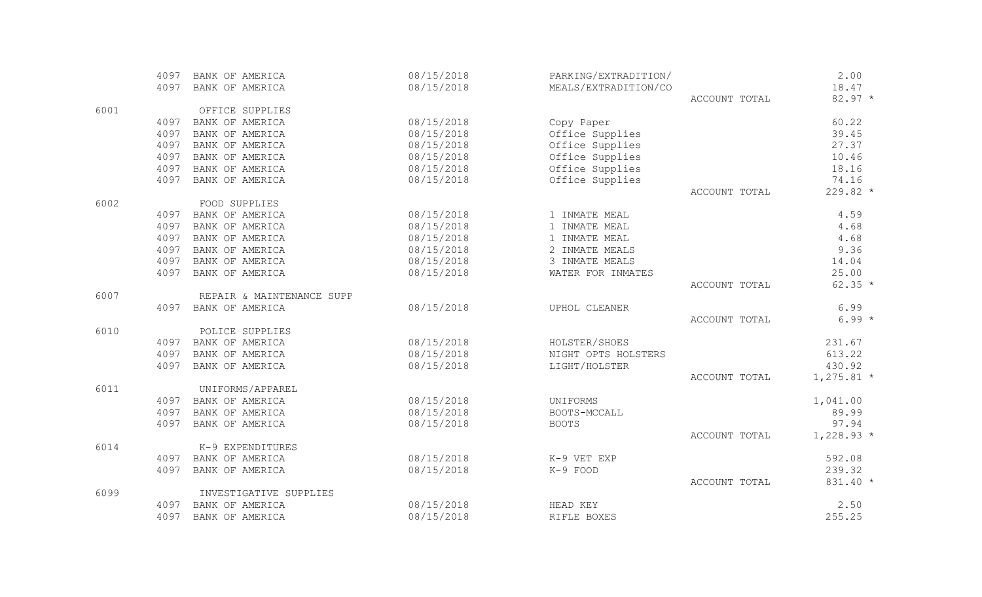|      | 4097 | BANK OF AMERICA           | 08/15/2018 | PARKING/EXTRADITION/ |               | 2.00         |
|------|------|---------------------------|------------|----------------------|---------------|--------------|
|      | 4097 | BANK OF AMERICA           | 08/15/2018 | MEALS/EXTRADITION/CO |               | 18.47        |
|      |      |                           |            |                      | ACCOUNT TOTAL | $82.97 *$    |
| 6001 |      | OFFICE SUPPLIES           |            |                      |               |              |
|      | 4097 | BANK OF AMERICA           | 08/15/2018 | Copy Paper           |               | 60.22        |
|      | 4097 | BANK OF AMERICA           | 08/15/2018 | Office Supplies      |               | 39.45        |
|      | 4097 | BANK OF AMERICA           | 08/15/2018 | Office Supplies      |               | 27.37        |
|      | 4097 | BANK OF AMERICA           | 08/15/2018 | Office Supplies      |               | 10.46        |
|      | 4097 | BANK OF AMERICA           | 08/15/2018 | Office Supplies      |               | 18.16        |
|      | 4097 | BANK OF AMERICA           | 08/15/2018 | Office Supplies      |               | 74.16        |
|      |      |                           |            |                      | ACCOUNT TOTAL | 229.82 *     |
| 6002 |      | FOOD SUPPLIES             |            |                      |               |              |
|      | 4097 | BANK OF AMERICA           | 08/15/2018 | 1 INMATE MEAL        |               | 4.59         |
|      | 4097 | BANK OF AMERICA           | 08/15/2018 | 1 INMATE MEAL        |               | 4.68         |
|      | 4097 | BANK OF AMERICA           | 08/15/2018 | 1 INMATE MEAL        |               | 4.68         |
|      | 4097 | BANK OF AMERICA           | 08/15/2018 | 2 INMATE MEALS       |               | 9.36         |
|      | 4097 | BANK OF AMERICA           | 08/15/2018 | 3 INMATE MEALS       |               | 14.04        |
|      | 4097 | BANK OF AMERICA           | 08/15/2018 | WATER FOR INMATES    |               | 25.00        |
|      |      |                           |            |                      | ACCOUNT TOTAL | $62.35 *$    |
| 6007 |      | REPAIR & MAINTENANCE SUPP |            |                      |               |              |
|      | 4097 | BANK OF AMERICA           | 08/15/2018 | UPHOL CLEANER        |               | 6.99         |
|      |      |                           |            |                      | ACCOUNT TOTAL | $6.99*$      |
| 6010 |      | POLICE SUPPLIES           |            |                      |               |              |
|      | 4097 | BANK OF AMERICA           | 08/15/2018 | HOLSTER/SHOES        |               | 231.67       |
|      | 4097 | BANK OF AMERICA           | 08/15/2018 | NIGHT OPTS HOLSTERS  |               | 613.22       |
|      | 4097 | BANK OF AMERICA           | 08/15/2018 | LIGHT/HOLSTER        |               | 430.92       |
|      |      |                           |            |                      | ACCOUNT TOTAL | $1,275.81$ * |
| 6011 |      | UNIFORMS/APPAREL          |            |                      |               |              |
|      | 4097 | BANK OF AMERICA           | 08/15/2018 | UNIFORMS             |               | 1,041.00     |
|      | 4097 | BANK OF AMERICA           | 08/15/2018 | BOOTS-MCCALL         |               | 89.99        |
|      | 4097 | BANK OF AMERICA           | 08/15/2018 | <b>BOOTS</b>         |               | 97.94        |
|      |      |                           |            |                      | ACCOUNT TOTAL | $1,228.93*$  |
| 6014 |      | K-9 EXPENDITURES          |            |                      |               |              |
|      | 4097 | BANK OF AMERICA           | 08/15/2018 | K-9 VET EXP          |               | 592.08       |
|      | 4097 | BANK OF AMERICA           | 08/15/2018 | K-9 FOOD             |               | 239.32       |
|      |      |                           |            |                      | ACCOUNT TOTAL | 831.40 *     |
| 6099 |      | INVESTIGATIVE SUPPLIES    |            |                      |               |              |
|      | 4097 | BANK OF AMERICA           | 08/15/2018 | HEAD KEY             |               | 2.50         |
|      | 4097 | BANK OF AMERICA           | 08/15/2018 | RIFLE BOXES          |               | 255.25       |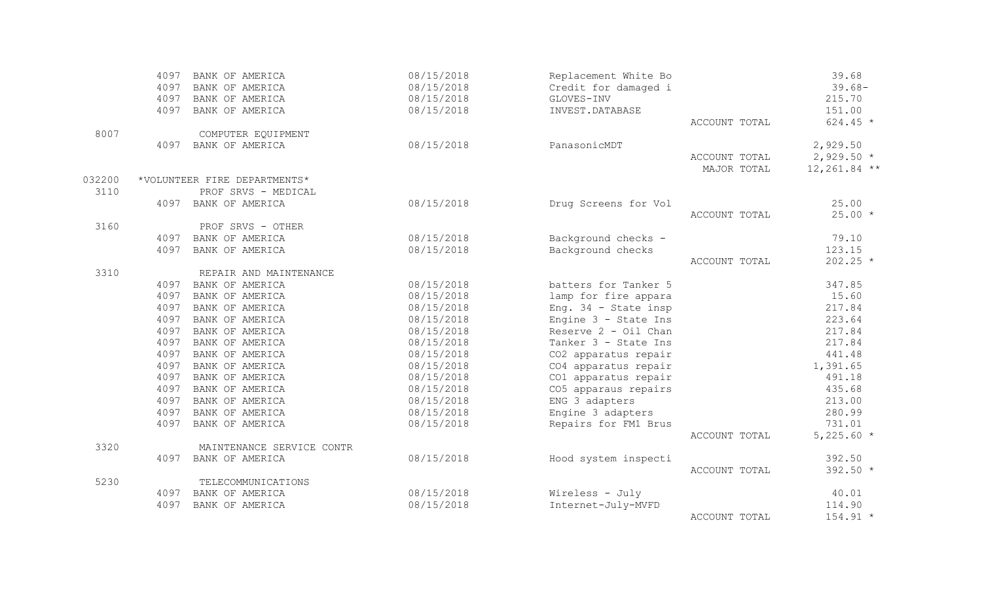|        | 4097 | BANK OF AMERICA              | 08/15/2018 | Replacement White Bo   |               | 39.68          |
|--------|------|------------------------------|------------|------------------------|---------------|----------------|
|        | 4097 | BANK OF AMERICA              | 08/15/2018 | Credit for damaged i   |               | $39.68 -$      |
|        | 4097 | BANK OF AMERICA              | 08/15/2018 | GLOVES-INV             |               | 215.70         |
|        | 4097 | BANK OF AMERICA              | 08/15/2018 | INVEST.DATABASE        |               | 151.00         |
|        |      |                              |            |                        | ACCOUNT TOTAL | $624.45 *$     |
| 8007   |      | COMPUTER EQUIPMENT           |            |                        |               |                |
|        | 4097 | BANK OF AMERICA              | 08/15/2018 | PanasonicMDT           |               | 2,929.50       |
|        |      |                              |            |                        | ACCOUNT TOTAL | $2,929.50*$    |
|        |      |                              |            |                        | MAJOR TOTAL   | $12,261.84$ ** |
| 032200 |      | *VOLUNTEER FIRE DEPARTMENTS* |            |                        |               |                |
| 3110   |      | PROF SRVS - MEDICAL          |            |                        |               |                |
|        | 4097 | BANK OF AMERICA              | 08/15/2018 | Drug Screens for Vol   |               | 25.00          |
|        |      |                              |            |                        | ACCOUNT TOTAL | $25.00*$       |
| 3160   |      | PROF SRVS - OTHER            |            |                        |               |                |
|        | 4097 | BANK OF AMERICA              | 08/15/2018 | Background checks -    |               | 79.10          |
|        | 4097 | BANK OF AMERICA              | 08/15/2018 | Background checks      |               | 123.15         |
|        |      |                              |            |                        | ACCOUNT TOTAL | $202.25$ *     |
| 3310   |      | REPAIR AND MAINTENANCE       |            |                        |               |                |
|        | 4097 | BANK OF AMERICA              | 08/15/2018 | batters for Tanker 5   |               | 347.85         |
|        | 4097 | BANK OF AMERICA              | 08/15/2018 | lamp for fire appara   |               | 15.60          |
|        | 4097 | BANK OF AMERICA              | 08/15/2018 | Eng. $34$ - State insp |               | 217.84         |
|        | 4097 | BANK OF AMERICA              | 08/15/2018 | Engine 3 - State Ins   |               | 223.64         |
|        | 4097 | BANK OF AMERICA              | 08/15/2018 | Reserve 2 - Oil Chan   |               | 217.84         |
|        | 4097 | BANK OF AMERICA              | 08/15/2018 | Tanker 3 - State Ins   |               | 217.84         |
|        | 4097 | BANK OF AMERICA              | 08/15/2018 | CO2 apparatus repair   |               | 441.48         |
|        | 4097 | BANK OF AMERICA              | 08/15/2018 | CO4 apparatus repair   |               | 1,391.65       |
|        | 4097 | BANK OF AMERICA              | 08/15/2018 | CO1 apparatus repair   |               | 491.18         |
|        | 4097 | BANK OF AMERICA              | 08/15/2018 | CO5 apparaus repairs   |               | 435.68         |
|        | 4097 | BANK OF AMERICA              | 08/15/2018 | ENG 3 adapters         |               | 213.00         |
|        | 4097 | BANK OF AMERICA              | 08/15/2018 | Engine 3 adapters      |               | 280.99         |
|        | 4097 | BANK OF AMERICA              | 08/15/2018 | Repairs for FM1 Brus   |               | 731.01         |
|        |      |                              |            |                        | ACCOUNT TOTAL | $5,225.60*$    |
| 3320   |      | MAINTENANCE SERVICE CONTR    |            |                        |               |                |
|        | 4097 | BANK OF AMERICA              | 08/15/2018 | Hood system inspecti   |               | 392.50         |
|        |      |                              |            |                        | ACCOUNT TOTAL | 392.50 *       |
| 5230   |      | TELECOMMUNICATIONS           |            |                        |               |                |
|        | 4097 | BANK OF AMERICA              | 08/15/2018 | Wireless - July        |               | 40.01          |
|        | 4097 | BANK OF AMERICA              | 08/15/2018 | Internet-July-MVFD     |               | 114.90         |
|        |      |                              |            |                        | ACCOUNT TOTAL | $154.91 *$     |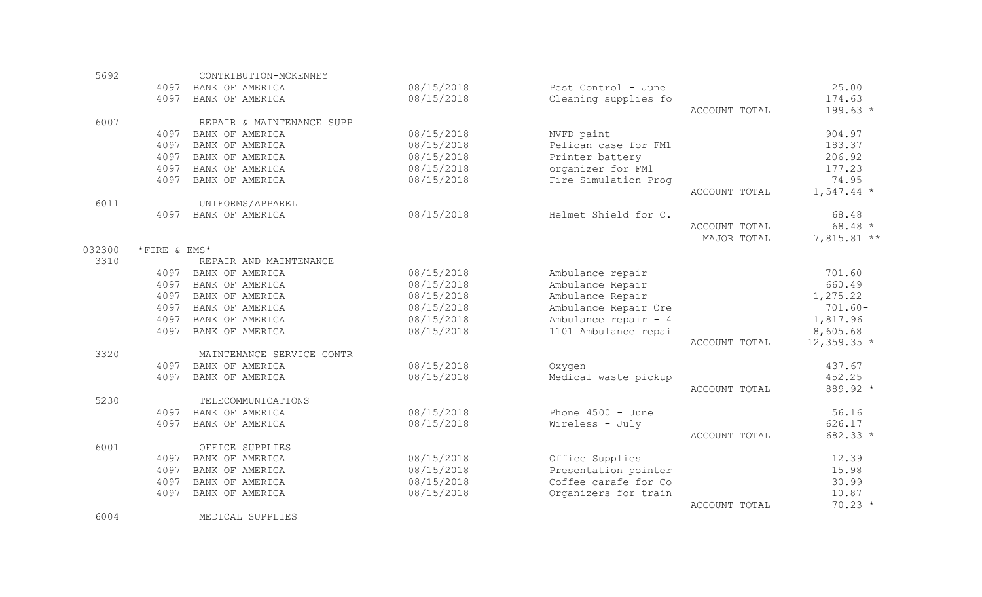| 5692   |              | CONTRIBUTION-MCKENNEY     |            |                      |               |               |
|--------|--------------|---------------------------|------------|----------------------|---------------|---------------|
|        | 4097         | BANK OF AMERICA           | 08/15/2018 | Pest Control - June  |               | 25.00         |
|        | 4097         | BANK OF AMERICA           | 08/15/2018 | Cleaning supplies fo |               | 174.63        |
|        |              |                           |            |                      | ACCOUNT TOTAL | $199.63 *$    |
| 6007   |              | REPAIR & MAINTENANCE SUPP |            |                      |               |               |
|        | 4097         | BANK OF AMERICA           | 08/15/2018 | NVFD paint           |               | 904.97        |
|        | 4097         | BANK OF AMERICA           | 08/15/2018 | Pelican case for FM1 |               | 183.37        |
|        | 4097         | BANK OF AMERICA           | 08/15/2018 | Printer battery      |               | 206.92        |
|        | 4097         | BANK OF AMERICA           | 08/15/2018 | organizer for FM1    |               | 177.23        |
|        | 4097         | BANK OF AMERICA           | 08/15/2018 | Fire Simulation Prog |               | 74.95         |
|        |              |                           |            |                      | ACCOUNT TOTAL | $1,547.44$ *  |
| 6011   |              | UNIFORMS/APPAREL          |            |                      |               |               |
|        | 4097         | BANK OF AMERICA           | 08/15/2018 | Helmet Shield for C. |               | 68.48         |
|        |              |                           |            |                      | ACCOUNT TOTAL | $68.48*$      |
|        |              |                           |            |                      | MAJOR TOTAL   | $7,815.81**$  |
| 032300 | *FIRE & EMS* |                           |            |                      |               |               |
| 3310   |              | REPAIR AND MAINTENANCE    |            |                      |               |               |
|        | 4097         | BANK OF AMERICA           | 08/15/2018 | Ambulance repair     |               | 701.60        |
|        | 4097         | BANK OF AMERICA           | 08/15/2018 | Ambulance Repair     |               | 660.49        |
|        | 4097         | BANK OF AMERICA           | 08/15/2018 | Ambulance Repair     |               | 1,275.22      |
|        | 4097         | BANK OF AMERICA           | 08/15/2018 | Ambulance Repair Cre |               | $701.60 -$    |
|        | 4097         | BANK OF AMERICA           | 08/15/2018 | Ambulance repair - 4 |               | 1,817.96      |
|        | 4097         | BANK OF AMERICA           | 08/15/2018 | 1101 Ambulance repai |               | 8,605.68      |
|        |              |                           |            |                      | ACCOUNT TOTAL | $12,359.35$ * |
| 3320   |              | MAINTENANCE SERVICE CONTR |            |                      |               |               |
|        | 4097         | BANK OF AMERICA           | 08/15/2018 | Oxygen               |               | 437.67        |
|        | 4097         | BANK OF AMERICA           | 08/15/2018 | Medical waste pickup |               | 452.25        |
|        |              |                           |            |                      | ACCOUNT TOTAL | 889.92 *      |
| 5230   |              | TELECOMMUNICATIONS        |            |                      |               |               |
|        | 4097         | BANK OF AMERICA           | 08/15/2018 | Phone $4500 - June$  |               | 56.16         |
|        | 4097         | BANK OF AMERICA           | 08/15/2018 | Wireless - July      |               | 626.17        |
|        |              |                           |            |                      | ACCOUNT TOTAL | 682.33 *      |
| 6001   |              | OFFICE SUPPLIES           |            |                      |               |               |
|        | 4097         | BANK OF AMERICA           | 08/15/2018 | Office Supplies      |               | 12.39         |
|        | 4097         | BANK OF AMERICA           | 08/15/2018 | Presentation pointer |               | 15.98         |
|        | 4097         | BANK OF AMERICA           | 08/15/2018 | Coffee carafe for Co |               | 30.99         |
|        | 4097         | BANK OF AMERICA           | 08/15/2018 | Organizers for train |               | 10.87         |
|        |              |                           |            |                      | ACCOUNT TOTAL | $70.23 *$     |

6004 MEDICAL SUPPLIES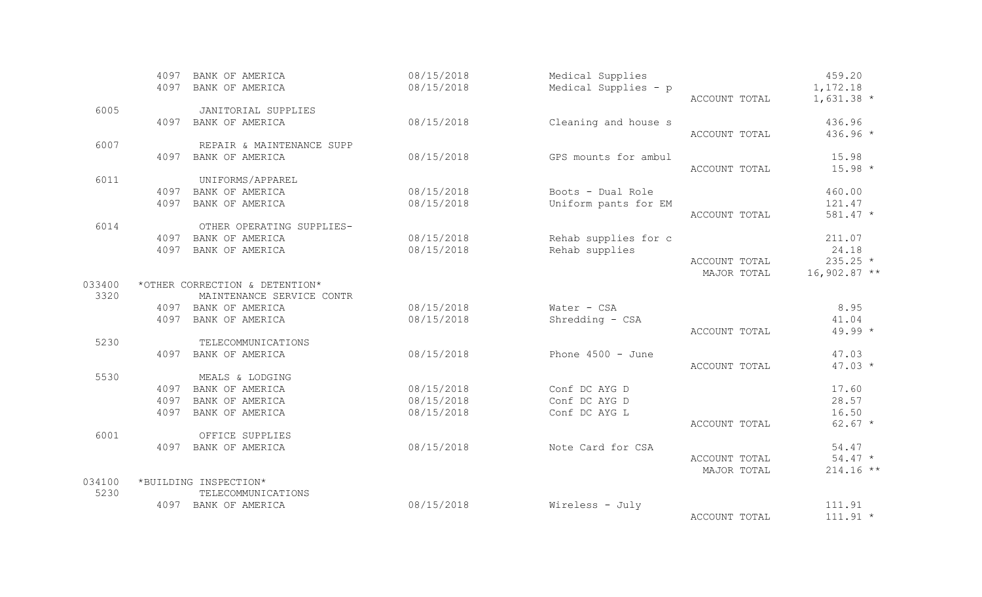|        | 4097 | BANK OF AMERICA                | 08/15/2018 | Medical Supplies     |               | 459.20         |
|--------|------|--------------------------------|------------|----------------------|---------------|----------------|
|        | 4097 | BANK OF AMERICA                | 08/15/2018 | Medical Supplies - p |               | 1,172.18       |
|        |      |                                |            |                      | ACCOUNT TOTAL | $1,631.38$ *   |
| 6005   |      | JANITORIAL SUPPLIES            |            |                      |               |                |
|        | 4097 | BANK OF AMERICA                | 08/15/2018 | Cleaning and house s |               | 436.96         |
|        |      |                                |            |                      | ACCOUNT TOTAL | $436.96 *$     |
| 6007   |      | REPAIR & MAINTENANCE SUPP      |            |                      |               |                |
|        | 4097 | BANK OF AMERICA                | 08/15/2018 | GPS mounts for ambul |               | 15.98          |
|        |      |                                |            |                      | ACCOUNT TOTAL | $15.98 *$      |
| 6011   |      | UNIFORMS/APPAREL               |            |                      |               |                |
|        | 4097 | BANK OF AMERICA                | 08/15/2018 | Boots - Dual Role    |               | 460.00         |
|        | 4097 | BANK OF AMERICA                | 08/15/2018 | Uniform pants for EM |               | 121.47         |
|        |      |                                |            |                      | ACCOUNT TOTAL | $581.47 *$     |
| 6014   |      | OTHER OPERATING SUPPLIES-      |            |                      |               |                |
|        |      | 4097 BANK OF AMERICA           | 08/15/2018 | Rehab supplies for c |               | 211.07         |
|        | 4097 | BANK OF AMERICA                | 08/15/2018 | Rehab supplies       |               | 24.18          |
|        |      |                                |            |                      | ACCOUNT TOTAL | $235.25 *$     |
|        |      |                                |            |                      | MAJOR TOTAL   | $16,902.87$ ** |
| 033400 |      | *OTHER CORRECTION & DETENTION* |            |                      |               |                |
| 3320   |      | MAINTENANCE SERVICE CONTR      |            |                      |               |                |
|        |      | 4097 BANK OF AMERICA           | 08/15/2018 | Water - CSA          |               | 8.95           |
|        | 4097 | BANK OF AMERICA                | 08/15/2018 | Shredding - CSA      |               | 41.04          |
|        |      |                                |            |                      | ACCOUNT TOTAL | $49.99 *$      |
| 5230   |      | TELECOMMUNICATIONS             |            |                      |               |                |
|        |      | 4097 BANK OF AMERICA           | 08/15/2018 | Phone $4500 - June$  |               | 47.03          |
|        |      |                                |            |                      | ACCOUNT TOTAL | $47.03 *$      |
| 5530   |      | MEALS & LODGING                |            |                      |               |                |
|        | 4097 | BANK OF AMERICA                | 08/15/2018 | Conf DC AYG D        |               | 17.60          |
|        | 4097 | BANK OF AMERICA                | 08/15/2018 | Conf DC AYG D        |               | 28.57          |
|        | 4097 | BANK OF AMERICA                | 08/15/2018 | Conf DC AYG L        |               | 16.50          |
|        |      |                                |            |                      | ACCOUNT TOTAL | $62.67 *$      |
| 6001   |      | OFFICE SUPPLIES                |            |                      |               |                |
|        | 4097 | BANK OF AMERICA                | 08/15/2018 | Note Card for CSA    |               | 54.47          |
|        |      |                                |            |                      | ACCOUNT TOTAL | $54.47 *$      |
|        |      |                                |            |                      | MAJOR TOTAL   | $214.16$ **    |
| 034100 |      | *BUILDING INSPECTION*          |            |                      |               |                |
| 5230   |      | TELECOMMUNICATIONS             |            |                      |               |                |
|        | 4097 | BANK OF AMERICA                | 08/15/2018 | Wireless - July      |               | 111.91         |
|        |      |                                |            |                      | ACCOUNT TOTAL | $111.91 *$     |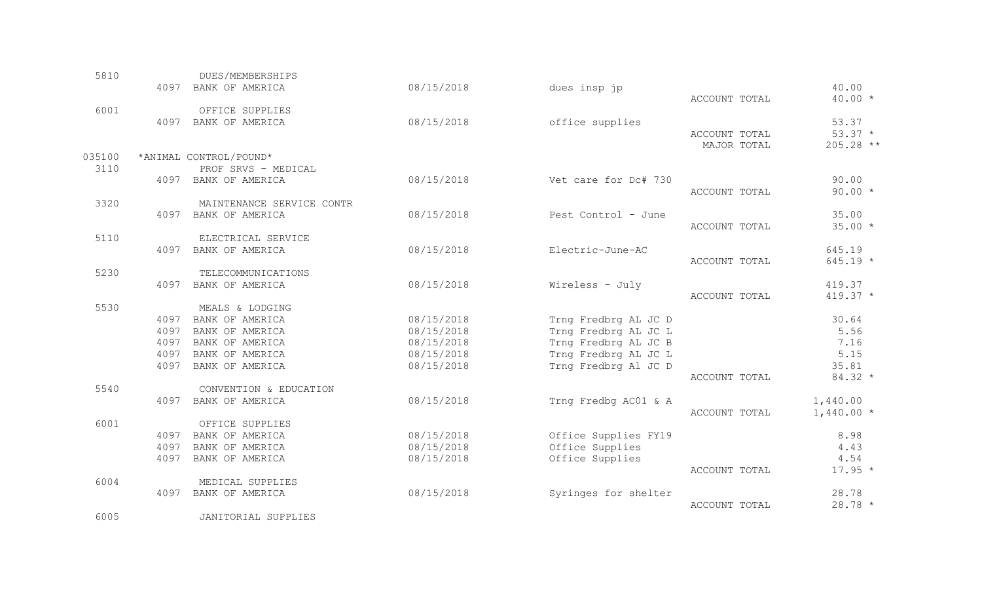| 5810   |      | DUES/MEMBERSHIPS                    |            |                      |               |             |
|--------|------|-------------------------------------|------------|----------------------|---------------|-------------|
|        |      | 4097 BANK OF AMERICA                | 08/15/2018 | dues insp jp         |               | 40.00       |
|        |      |                                     |            |                      | ACCOUNT TOTAL | $40.00 *$   |
| 6001   |      | OFFICE SUPPLIES                     |            |                      |               |             |
|        | 4097 | BANK OF AMERICA                     | 08/15/2018 | office supplies      |               | 53.37       |
|        |      |                                     |            |                      | ACCOUNT TOTAL | $53.37 *$   |
|        |      |                                     |            |                      | MAJOR TOTAL   | 205.28 **   |
| 035100 |      | *ANIMAL CONTROL/POUND*              |            |                      |               |             |
| 3110   |      | PROF SRVS - MEDICAL                 |            |                      |               |             |
|        |      | 4097 BANK OF AMERICA                | 08/15/2018 | Vet care for Dc# 730 |               | 90.00       |
|        |      |                                     |            |                      | ACCOUNT TOTAL | $90.00 *$   |
| 3320   |      | MAINTENANCE SERVICE CONTR           |            |                      |               |             |
|        |      | 4097 BANK OF AMERICA                | 08/15/2018 | Pest Control - June  |               | 35.00       |
|        |      |                                     |            |                      | ACCOUNT TOTAL | $35.00*$    |
| 5110   |      | ELECTRICAL SERVICE                  |            |                      |               |             |
|        | 4097 | BANK OF AMERICA                     | 08/15/2018 | Electric-June-AC     |               | 645.19      |
|        |      |                                     |            |                      | ACCOUNT TOTAL | $645.19 *$  |
| 5230   |      | TELECOMMUNICATIONS                  |            |                      |               |             |
|        | 4097 | BANK OF AMERICA                     | 08/15/2018 | Wireless - July      |               | 419.37      |
|        |      |                                     |            |                      | ACCOUNT TOTAL | $419.37 *$  |
| 5530   |      | MEALS & LODGING                     |            |                      |               |             |
|        | 4097 | BANK OF AMERICA                     | 08/15/2018 | Trng Fredbrg AL JC D |               | 30.64       |
|        | 4097 | BANK OF AMERICA                     | 08/15/2018 | Trng Fredbrg AL JC L |               | 5.56        |
|        | 4097 | BANK OF AMERICA                     | 08/15/2018 | Trng Fredbrg AL JC B |               | 7.16        |
|        | 4097 | BANK OF AMERICA                     | 08/15/2018 | Trng Fredbrg AL JC L |               | 5.15        |
|        | 4097 | BANK OF AMERICA                     | 08/15/2018 | Trng Fredbrg Al JC D |               | 35.81       |
|        |      |                                     |            |                      | ACCOUNT TOTAL | $84.32 *$   |
| 5540   |      | CONVENTION & EDUCATION              |            |                      |               |             |
|        | 4097 | BANK OF AMERICA                     | 08/15/2018 | Trng Fredbg AC01 & A |               | 1,440.00    |
|        |      |                                     |            |                      | ACCOUNT TOTAL | $1,440.00*$ |
| 6001   |      | OFFICE SUPPLIES                     |            |                      |               |             |
|        | 4097 | BANK OF AMERICA                     | 08/15/2018 | Office Supplies FY19 |               | 8.98        |
|        | 4097 | BANK OF AMERICA                     | 08/15/2018 | Office Supplies      |               | 4.43        |
|        | 4097 | BANK OF AMERICA                     | 08/15/2018 | Office Supplies      |               | 4.54        |
| 6004   |      |                                     |            |                      | ACCOUNT TOTAL | $17.95 *$   |
|        | 4097 | MEDICAL SUPPLIES<br>BANK OF AMERICA | 08/15/2018 | Syringes for shelter |               | 28.78       |
|        |      |                                     |            |                      | ACCOUNT TOTAL | $28.78 *$   |
|        |      |                                     |            |                      |               |             |

6005 JANITORIAL SUPPLIES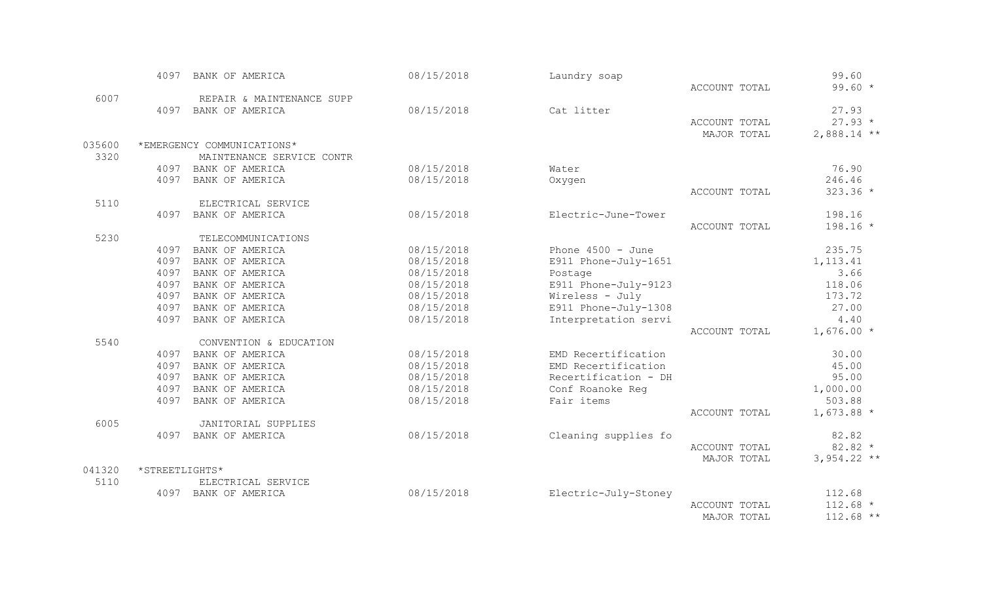|        | 4097           | BANK OF AMERICA            | 08/15/2018 | Laundry soap         |               | 99.60         |
|--------|----------------|----------------------------|------------|----------------------|---------------|---------------|
|        |                |                            |            |                      | ACCOUNT TOTAL | $99.60 *$     |
| 6007   |                | REPAIR & MAINTENANCE SUPP  |            |                      |               |               |
|        |                | 4097 BANK OF AMERICA       | 08/15/2018 | Cat litter           |               | 27.93         |
|        |                |                            |            |                      | ACCOUNT TOTAL | $27.93*$      |
|        |                |                            |            |                      | MAJOR TOTAL   | $2,888.14$ ** |
| 035600 |                | *EMERGENCY COMMUNICATIONS* |            |                      |               |               |
| 3320   |                | MAINTENANCE SERVICE CONTR  |            |                      |               |               |
|        | 4097           | BANK OF AMERICA            | 08/15/2018 | Water                |               | 76.90         |
|        | 4097           | BANK OF AMERICA            | 08/15/2018 | Oxygen               |               | 246.46        |
|        |                |                            |            |                      | ACCOUNT TOTAL | $323.36 *$    |
| 5110   |                | ELECTRICAL SERVICE         |            |                      |               |               |
|        | 4097           | BANK OF AMERICA            | 08/15/2018 | Electric-June-Tower  |               | 198.16        |
|        |                |                            |            |                      | ACCOUNT TOTAL | $198.16 *$    |
| 5230   |                | TELECOMMUNICATIONS         |            |                      |               |               |
|        | 4097           | BANK OF AMERICA            | 08/15/2018 | Phone $4500 - June$  |               | 235.75        |
|        | 4097           | BANK OF AMERICA            | 08/15/2018 | E911 Phone-July-1651 |               | 1, 113.41     |
|        | 4097           | BANK OF AMERICA            | 08/15/2018 | Postage              |               | 3.66          |
|        | 4097           | BANK OF AMERICA            | 08/15/2018 | E911 Phone-July-9123 |               | 118.06        |
|        | 4097           | BANK OF AMERICA            | 08/15/2018 | Wireless - July      |               | 173.72        |
|        | 4097           | BANK OF AMERICA            | 08/15/2018 | E911 Phone-July-1308 |               | 27.00         |
|        | 4097           | BANK OF AMERICA            | 08/15/2018 | Interpretation servi |               | 4.40          |
|        |                |                            |            |                      | ACCOUNT TOTAL | $1,676.00*$   |
| 5540   |                | CONVENTION & EDUCATION     |            |                      |               |               |
|        |                | 4097 BANK OF AMERICA       | 08/15/2018 | EMD Recertification  |               | 30.00         |
|        | 4097           | BANK OF AMERICA            | 08/15/2018 | EMD Recertification  |               | 45.00         |
|        | 4097           | BANK OF AMERICA            | 08/15/2018 | Recertification - DH |               | 95.00         |
|        | 4097           | BANK OF AMERICA            | 08/15/2018 | Conf Roanoke Req     |               | 1,000.00      |
|        | 4097           | BANK OF AMERICA            | 08/15/2018 | Fair items           |               | 503.88        |
|        |                |                            |            |                      | ACCOUNT TOTAL | $1,673.88$ *  |
| 6005   |                | <b>JANITORIAL SUPPLIES</b> |            |                      |               |               |
|        |                | 4097 BANK OF AMERICA       | 08/15/2018 | Cleaning supplies fo |               | 82.82         |
|        |                |                            |            |                      | ACCOUNT TOTAL | $82.82 *$     |
|        |                |                            |            |                      | MAJOR TOTAL   | $3,954.22$ ** |
| 041320 | *STREETLIGHTS* |                            |            |                      |               |               |
| 5110   |                | ELECTRICAL SERVICE         |            |                      |               |               |
|        | 4097           | BANK OF AMERICA            | 08/15/2018 | Electric-July-Stoney |               | 112.68        |
|        |                |                            |            |                      | ACCOUNT TOTAL | $112.68 *$    |
|        |                |                            |            |                      | MAJOR TOTAL   | $112.68$ **   |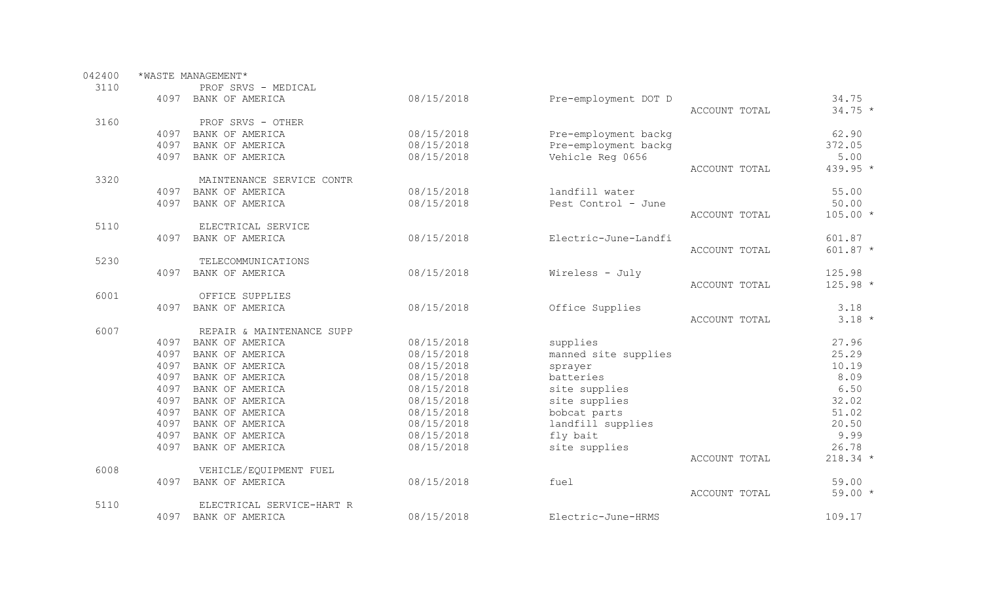| 042400 |                     | *WASTE MANAGEMENT*        |            |                      |               |            |  |  |
|--------|---------------------|---------------------------|------------|----------------------|---------------|------------|--|--|
| 3110   | PROF SRVS - MEDICAL |                           |            |                      |               |            |  |  |
|        | 4097                | BANK OF AMERICA           | 08/15/2018 | Pre-employment DOT D |               | 34.75      |  |  |
|        |                     |                           |            |                      | ACCOUNT TOTAL | $34.75 *$  |  |  |
| 3160   |                     | PROF SRVS - OTHER         |            |                      |               |            |  |  |
|        | 4097                | BANK OF AMERICA           | 08/15/2018 | Pre-employment backg |               | 62.90      |  |  |
|        | 4097                | BANK OF AMERICA           | 08/15/2018 | Pre-employment backg |               | 372.05     |  |  |
|        | 4097                | BANK OF AMERICA           | 08/15/2018 | Vehicle Reg 0656     |               | 5.00       |  |  |
|        |                     |                           |            |                      | ACCOUNT TOTAL | 439.95 *   |  |  |
| 3320   |                     | MAINTENANCE SERVICE CONTR |            |                      |               |            |  |  |
|        | 4097                | BANK OF AMERICA           | 08/15/2018 | landfill water       |               | 55.00      |  |  |
|        | 4097                | BANK OF AMERICA           | 08/15/2018 | Pest Control - June  |               | 50.00      |  |  |
|        |                     |                           |            |                      | ACCOUNT TOTAL | $105.00 *$ |  |  |
| 5110   |                     | ELECTRICAL SERVICE        |            |                      |               |            |  |  |
|        | 4097                | BANK OF AMERICA           | 08/15/2018 | Electric-June-Landfi |               | 601.87     |  |  |
|        |                     |                           |            |                      | ACCOUNT TOTAL | $601.87 *$ |  |  |
| 5230   |                     | TELECOMMUNICATIONS        |            |                      |               |            |  |  |
|        | 4097                | BANK OF AMERICA           | 08/15/2018 | Wireless - July      |               | 125.98     |  |  |
|        |                     |                           |            |                      | ACCOUNT TOTAL | $125.98 *$ |  |  |
| 6001   |                     | OFFICE SUPPLIES           |            |                      |               |            |  |  |
|        | 4097                | BANK OF AMERICA           | 08/15/2018 | Office Supplies      |               | 3.18       |  |  |
|        |                     |                           |            |                      | ACCOUNT TOTAL | $3.18 *$   |  |  |
| 6007   |                     | REPAIR & MAINTENANCE SUPP |            |                      |               |            |  |  |
|        | 4097                | BANK OF AMERICA           | 08/15/2018 | supplies             |               | 27.96      |  |  |
|        | 4097                | BANK OF AMERICA           | 08/15/2018 | manned site supplies |               | 25.29      |  |  |
|        | 4097                | BANK OF AMERICA           | 08/15/2018 | sprayer              |               | 10.19      |  |  |
|        | 4097                | BANK OF AMERICA           | 08/15/2018 | batteries            |               | 8.09       |  |  |
|        | 4097                | BANK OF AMERICA           | 08/15/2018 | site supplies        |               | 6.50       |  |  |
|        | 4097                | BANK OF AMERICA           | 08/15/2018 | site supplies        |               | 32.02      |  |  |
|        | 4097                | BANK OF AMERICA           | 08/15/2018 | bobcat parts         |               | 51.02      |  |  |
|        | 4097                | BANK OF AMERICA           | 08/15/2018 | landfill supplies    |               | 20.50      |  |  |
|        | 4097                | BANK OF AMERICA           | 08/15/2018 | fly bait             |               | 9.99       |  |  |
|        | 4097                | BANK OF AMERICA           | 08/15/2018 | site supplies        |               | 26.78      |  |  |
|        |                     |                           |            |                      | ACCOUNT TOTAL | $218.34$ * |  |  |
| 6008   |                     | VEHICLE/EQUIPMENT FUEL    |            |                      |               |            |  |  |
|        | 4097                | BANK OF AMERICA           | 08/15/2018 | fuel                 |               | 59.00      |  |  |
|        |                     |                           |            |                      | ACCOUNT TOTAL | $59.00 *$  |  |  |
| 5110   |                     | ELECTRICAL SERVICE-HART R |            |                      |               |            |  |  |
|        | 4097                | BANK OF AMERICA           | 08/15/2018 | Electric-June-HRMS   |               | 109.17     |  |  |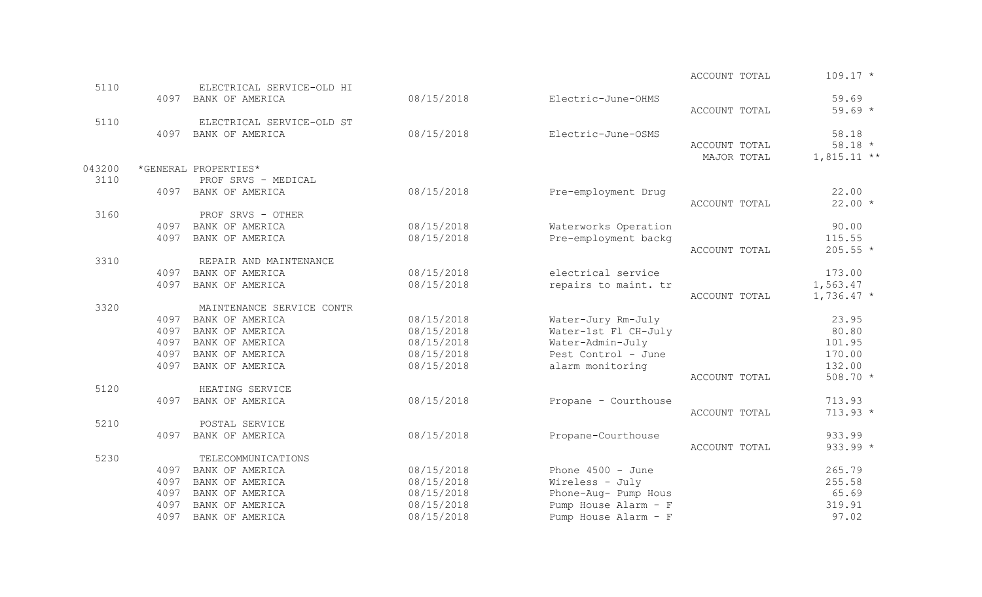|        |      |                           |            |                      | ACCOUNT TOTAL | $109.17 *$               |
|--------|------|---------------------------|------------|----------------------|---------------|--------------------------|
| 5110   |      | ELECTRICAL SERVICE-OLD HI |            |                      |               |                          |
|        |      | 4097 BANK OF AMERICA      | 08/15/2018 | Electric-June-OHMS   | ACCOUNT TOTAL | 59.69<br>$59.69 *$       |
| 5110   |      | ELECTRICAL SERVICE-OLD ST |            |                      |               |                          |
|        |      | 4097 BANK OF AMERICA      | 08/15/2018 | Electric-June-OSMS   |               | 58.18                    |
|        |      |                           |            |                      | ACCOUNT TOTAL | $58.18 *$                |
|        |      |                           |            |                      | MAJOR TOTAL   | $1,815.11**$             |
| 043200 |      | *GENERAL PROPERTIES*      |            |                      |               |                          |
| 3110   |      | PROF SRVS - MEDICAL       |            |                      |               |                          |
|        | 4097 | BANK OF AMERICA           | 08/15/2018 | Pre-employment Drug  |               | 22.00                    |
|        |      |                           |            |                      | ACCOUNT TOTAL | $22.00*$                 |
| 3160   |      | PROF SRVS - OTHER         |            |                      |               |                          |
|        |      | 4097 BANK OF AMERICA      | 08/15/2018 | Waterworks Operation |               | 90.00                    |
|        | 4097 | BANK OF AMERICA           | 08/15/2018 | Pre-employment backg |               | 115.55                   |
|        |      |                           |            |                      | ACCOUNT TOTAL | $205.55 *$               |
| 3310   |      | REPAIR AND MAINTENANCE    |            |                      |               |                          |
|        |      | 4097 BANK OF AMERICA      | 08/15/2018 | electrical service   |               | 173.00                   |
|        | 4097 | BANK OF AMERICA           | 08/15/2018 | repairs to maint. tr | ACCOUNT TOTAL | 1,563.47<br>$1,736.47$ * |
| 3320   |      | MAINTENANCE SERVICE CONTR |            |                      |               |                          |
|        | 4097 | BANK OF AMERICA           | 08/15/2018 | Water-Jury Rm-July   |               | 23.95                    |
|        | 4097 | BANK OF AMERICA           | 08/15/2018 | Water-1st Fl CH-July |               | 80.80                    |
|        | 4097 | BANK OF AMERICA           | 08/15/2018 | Water-Admin-July     |               | 101.95                   |
|        | 4097 | BANK OF AMERICA           | 08/15/2018 | Pest Control - June  |               | 170.00                   |
|        | 4097 | BANK OF AMERICA           | 08/15/2018 | alarm monitoring     |               | 132.00                   |
|        |      |                           |            |                      | ACCOUNT TOTAL | 508.70 *                 |
| 5120   |      | HEATING SERVICE           |            |                      |               |                          |
|        | 4097 | BANK OF AMERICA           | 08/15/2018 | Propane - Courthouse |               | 713.93                   |
|        |      |                           |            |                      | ACCOUNT TOTAL | $713.93 *$               |
| 5210   |      | POSTAL SERVICE            |            |                      |               |                          |
|        | 4097 | BANK OF AMERICA           | 08/15/2018 | Propane-Courthouse   |               | 933.99                   |
|        |      |                           |            |                      | ACCOUNT TOTAL | $933.99 *$               |
| 5230   |      | TELECOMMUNICATIONS        |            |                      |               |                          |
|        | 4097 | BANK OF AMERICA           | 08/15/2018 | Phone $4500 - June$  |               | 265.79                   |
|        | 4097 | BANK OF AMERICA           | 08/15/2018 | Wireless - July      |               | 255.58                   |
|        | 4097 | BANK OF AMERICA           | 08/15/2018 | Phone-Aug- Pump Hous |               | 65.69                    |
|        | 4097 | BANK OF AMERICA           | 08/15/2018 | Pump House Alarm - F |               | 319.91                   |
|        | 4097 | BANK OF AMERICA           | 08/15/2018 | Pump House Alarm - F |               | 97.02                    |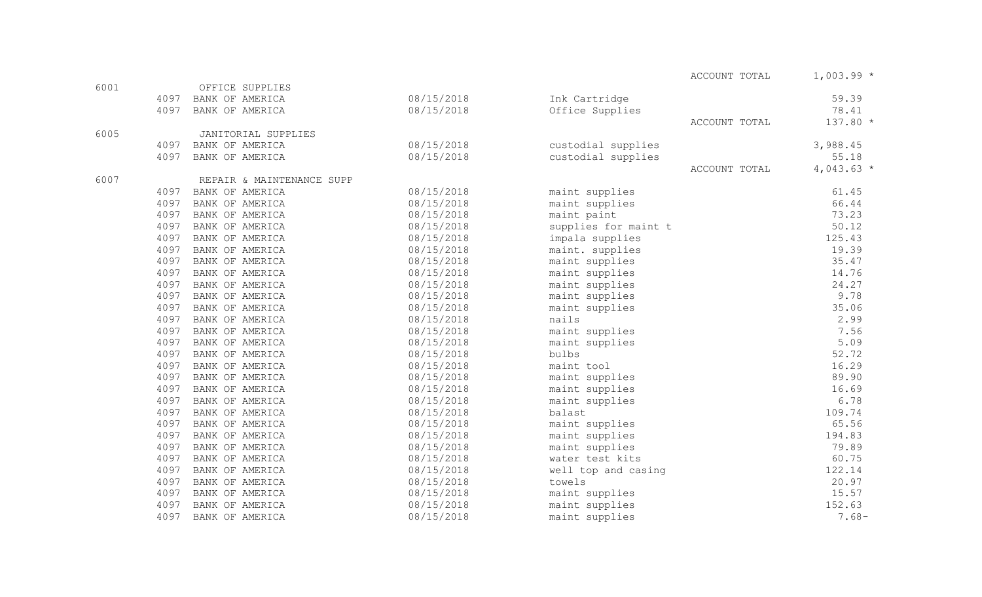|      |      |                           |            |                      | ACCOUNT TOTAL | $1,003.99*$ |
|------|------|---------------------------|------------|----------------------|---------------|-------------|
| 6001 |      | OFFICE SUPPLIES           |            |                      |               |             |
|      | 4097 | BANK OF AMERICA           | 08/15/2018 | Ink Cartridge        |               | 59.39       |
|      | 4097 | BANK OF AMERICA           | 08/15/2018 | Office Supplies      |               | 78.41       |
|      |      |                           |            |                      | ACCOUNT TOTAL | 137.80 *    |
| 6005 |      | JANITORIAL SUPPLIES       |            |                      |               |             |
|      | 4097 | BANK OF AMERICA           | 08/15/2018 | custodial supplies   |               | 3,988.45    |
|      | 4097 | BANK OF AMERICA           | 08/15/2018 | custodial supplies   |               | 55.18       |
|      |      |                           |            |                      | ACCOUNT TOTAL | $4,043.63*$ |
| 6007 |      | REPAIR & MAINTENANCE SUPP |            |                      |               |             |
|      | 4097 | BANK OF AMERICA           | 08/15/2018 | maint supplies       |               | 61.45       |
|      | 4097 | BANK OF AMERICA           | 08/15/2018 | maint supplies       |               | 66.44       |
|      | 4097 | BANK OF AMERICA           | 08/15/2018 | maint paint          |               | 73.23       |
|      | 4097 | BANK OF AMERICA           | 08/15/2018 | supplies for maint t |               | 50.12       |
|      | 4097 | BANK OF AMERICA           | 08/15/2018 | impala supplies      |               | 125.43      |
|      | 4097 | BANK OF AMERICA           | 08/15/2018 | maint. supplies      |               | 19.39       |
|      | 4097 | BANK OF AMERICA           | 08/15/2018 | maint supplies       |               | 35.47       |
|      | 4097 | BANK OF AMERICA           | 08/15/2018 | maint supplies       |               | 14.76       |
|      | 4097 | BANK OF AMERICA           | 08/15/2018 | maint supplies       |               | 24.27       |
|      | 4097 | BANK OF AMERICA           | 08/15/2018 | maint supplies       |               | 9.78        |
|      | 4097 | BANK OF AMERICA           | 08/15/2018 | maint supplies       |               | 35.06       |
|      | 4097 | BANK OF AMERICA           | 08/15/2018 | nails                |               | 2.99        |
|      | 4097 | BANK OF AMERICA           | 08/15/2018 | maint supplies       |               | 7.56        |
|      | 4097 | BANK OF AMERICA           | 08/15/2018 | maint supplies       |               | 5.09        |
|      | 4097 | BANK OF AMERICA           | 08/15/2018 | bulbs                |               | 52.72       |
|      | 4097 | BANK OF AMERICA           | 08/15/2018 | maint tool           |               | 16.29       |
|      | 4097 | BANK OF AMERICA           | 08/15/2018 | maint supplies       |               | 89.90       |
|      | 4097 | BANK OF AMERICA           | 08/15/2018 | maint supplies       |               | 16.69       |
|      | 4097 | BANK OF AMERICA           | 08/15/2018 | maint supplies       |               | 6.78        |
|      | 4097 | BANK OF AMERICA           | 08/15/2018 | balast               |               | 109.74      |
|      | 4097 | BANK OF AMERICA           | 08/15/2018 | maint supplies       |               | 65.56       |
|      | 4097 | BANK OF AMERICA           | 08/15/2018 | maint supplies       |               | 194.83      |
|      | 4097 | BANK OF AMERICA           | 08/15/2018 | maint supplies       |               | 79.89       |
|      | 4097 | BANK OF AMERICA           | 08/15/2018 | water test kits      |               | 60.75       |
|      | 4097 | BANK OF AMERICA           | 08/15/2018 | well top and casing  |               | 122.14      |
|      | 4097 | BANK OF AMERICA           | 08/15/2018 | towels               |               | 20.97       |
|      | 4097 | BANK OF AMERICA           | 08/15/2018 | maint supplies       |               | 15.57       |
|      | 4097 | BANK OF AMERICA           | 08/15/2018 | maint supplies       |               | 152.63      |
|      | 4097 | BANK OF AMERICA           | 08/15/2018 | maint supplies       |               | $7.68-$     |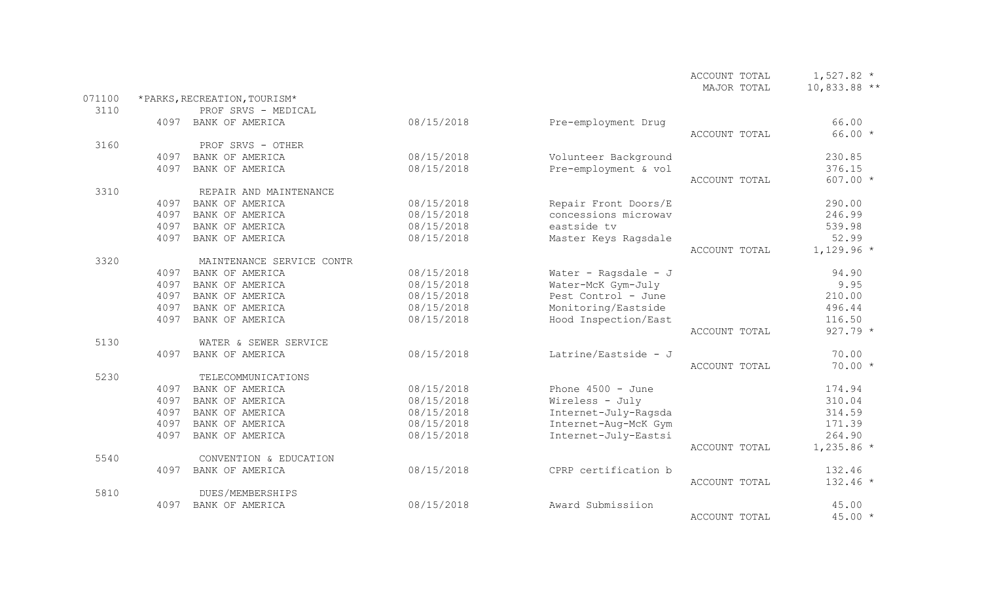|        |      |                              |            |                      | MAJOR TOTAL   | $10,833.88$ ** |
|--------|------|------------------------------|------------|----------------------|---------------|----------------|
| 071100 |      | *PARKS, RECREATION, TOURISM* |            |                      |               |                |
| 3110   |      | PROF SRVS - MEDICAL          |            |                      |               |                |
|        | 4097 | BANK OF AMERICA              | 08/15/2018 | Pre-employment Drug  |               | 66.00          |
|        |      |                              |            |                      | ACCOUNT TOTAL | $66.00 *$      |
| 3160   |      | PROF SRVS - OTHER            |            |                      |               |                |
|        | 4097 | BANK OF AMERICA              | 08/15/2018 | Volunteer Background |               | 230.85         |
|        | 4097 | BANK OF AMERICA              | 08/15/2018 | Pre-employment & vol |               | 376.15         |
|        |      |                              |            |                      | ACCOUNT TOTAL | $607.00 *$     |
| 3310   |      | REPAIR AND MAINTENANCE       |            |                      |               |                |
|        | 4097 | BANK OF AMERICA              | 08/15/2018 | Repair Front Doors/E |               | 290.00         |
|        | 4097 | BANK OF AMERICA              | 08/15/2018 | concessions microwav |               | 246.99         |
|        | 4097 | BANK OF AMERICA              | 08/15/2018 | eastside tv          |               | 539.98         |
|        | 4097 | BANK OF AMERICA              | 08/15/2018 | Master Keys Ragsdale |               | 52.99          |
|        |      |                              |            |                      | ACCOUNT TOTAL | $1,129.96$ *   |
| 3320   |      | MAINTENANCE SERVICE CONTR    |            |                      |               |                |
|        | 4097 | BANK OF AMERICA              | 08/15/2018 | Water - Ragsdale - J |               | 94.90          |
|        | 4097 | BANK OF AMERICA              | 08/15/2018 | Water-McK Gym-July   |               | 9.95           |
|        | 4097 | BANK OF AMERICA              | 08/15/2018 | Pest Control - June  |               | 210.00         |
|        | 4097 | BANK OF AMERICA              | 08/15/2018 | Monitoring/Eastside  |               | 496.44         |
|        | 4097 | BANK OF AMERICA              | 08/15/2018 | Hood Inspection/East |               | 116.50         |
|        |      |                              |            |                      | ACCOUNT TOTAL | $927.79 *$     |
| 5130   |      | WATER & SEWER SERVICE        |            |                      |               |                |
|        | 4097 | BANK OF AMERICA              | 08/15/2018 | Latrine/Eastside - J |               | 70.00          |
|        |      |                              |            |                      | ACCOUNT TOTAL | $70.00 *$      |
| 5230   |      | TELECOMMUNICATIONS           |            |                      |               |                |
|        | 4097 | BANK OF AMERICA              | 08/15/2018 | Phone $4500 - June$  |               | 174.94         |
|        | 4097 | BANK OF AMERICA              | 08/15/2018 | Wireless - July      |               | 310.04         |
|        | 4097 | BANK OF AMERICA              | 08/15/2018 | Internet-July-Ragsda |               | 314.59         |
|        | 4097 | BANK OF AMERICA              | 08/15/2018 | Internet-Aug-McK Gym |               | 171.39         |
|        | 4097 | BANK OF AMERICA              | 08/15/2018 | Internet-July-Eastsi |               | 264.90         |
|        |      |                              |            |                      | ACCOUNT TOTAL | $1,235.86$ *   |
| 5540   |      | CONVENTION & EDUCATION       |            |                      |               |                |
|        | 4097 | BANK OF AMERICA              | 08/15/2018 | CPRP certification b |               | 132.46         |
|        |      |                              |            |                      | ACCOUNT TOTAL | 132.46 *       |
| 5810   |      | DUES/MEMBERSHIPS             |            |                      |               |                |
|        | 4097 | BANK OF AMERICA              | 08/15/2018 | Award Submissiion    |               | 45.00          |
|        |      |                              |            |                      | ACCOUNT TOTAL | $45.00*$       |

ACCOUNT TOTAL  $1,527.82$  \*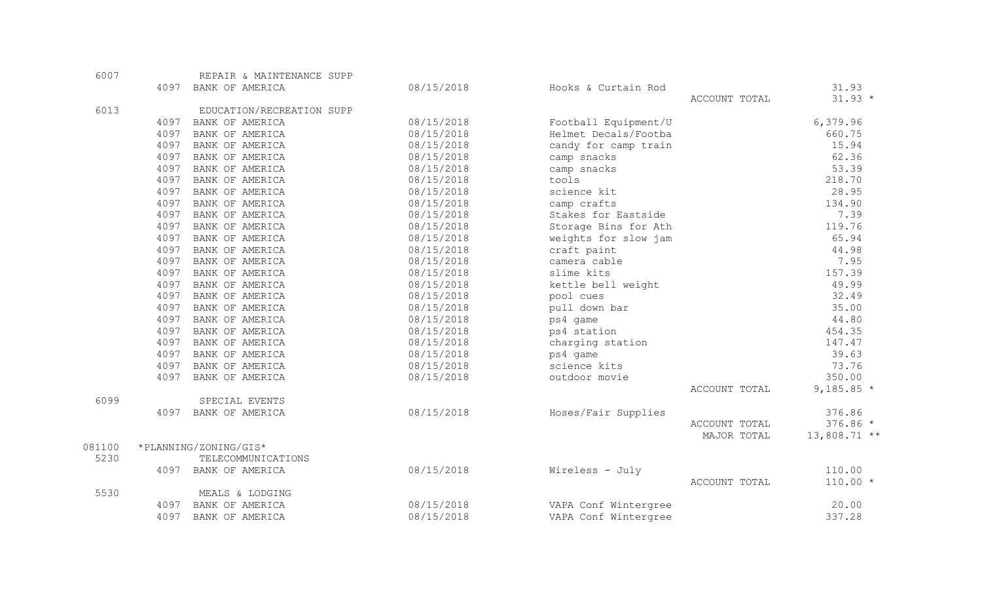| 6007   |      | REPAIR & MAINTENANCE SUPP |            |                      |               |                |
|--------|------|---------------------------|------------|----------------------|---------------|----------------|
|        | 4097 | BANK OF AMERICA           | 08/15/2018 | Hooks & Curtain Rod  |               | 31.93          |
|        |      |                           |            |                      | ACCOUNT TOTAL | $31.93 *$      |
| 6013   |      | EDUCATION/RECREATION SUPP |            |                      |               |                |
|        | 4097 | BANK OF AMERICA           | 08/15/2018 | Football Equipment/U |               | 6,379.96       |
|        | 4097 | BANK OF AMERICA           | 08/15/2018 | Helmet Decals/Footba |               | 660.75         |
|        | 4097 | BANK OF AMERICA           | 08/15/2018 | candy for camp train |               | 15.94          |
|        | 4097 | BANK OF AMERICA           | 08/15/2018 | camp snacks          |               | 62.36          |
|        | 4097 | BANK OF AMERICA           | 08/15/2018 | camp snacks          |               | 53.39          |
|        | 4097 | BANK OF AMERICA           | 08/15/2018 | tools                |               | 218.70         |
|        | 4097 | BANK OF AMERICA           | 08/15/2018 | science kit          |               | 28.95          |
|        | 4097 | BANK OF AMERICA           | 08/15/2018 | camp crafts          |               | 134.90         |
|        | 4097 | BANK OF AMERICA           | 08/15/2018 | Stakes for Eastside  |               | 7.39           |
|        | 4097 | BANK OF AMERICA           | 08/15/2018 | Storage Bins for Ath |               | 119.76         |
|        | 4097 | BANK OF AMERICA           | 08/15/2018 | weights for slow jam |               | 65.94          |
|        | 4097 | BANK OF AMERICA           | 08/15/2018 | craft paint          |               | 44.98          |
|        | 4097 | BANK OF AMERICA           | 08/15/2018 | camera cable         |               | 7.95           |
|        | 4097 | BANK OF AMERICA           | 08/15/2018 | slime kits           |               | 157.39         |
|        | 4097 | BANK OF AMERICA           | 08/15/2018 | kettle bell weight   |               | 49.99          |
|        | 4097 | BANK OF AMERICA           | 08/15/2018 | pool cues            |               | 32.49          |
|        | 4097 | BANK OF AMERICA           | 08/15/2018 | pull down bar        |               | 35.00          |
|        | 4097 | BANK OF AMERICA           | 08/15/2018 | ps4 game             |               | 44.80          |
|        | 4097 | BANK OF AMERICA           | 08/15/2018 | ps4 station          |               | 454.35         |
|        | 4097 | BANK OF AMERICA           | 08/15/2018 | charging station     |               | 147.47         |
|        | 4097 | BANK OF AMERICA           | 08/15/2018 | ps4 game             |               | 39.63          |
|        | 4097 | BANK OF AMERICA           | 08/15/2018 | science kits         |               | 73.76          |
|        | 4097 | BANK OF AMERICA           | 08/15/2018 | outdoor movie        |               | 350.00         |
|        |      |                           |            |                      | ACCOUNT TOTAL | 9,185.85 $*$   |
| 6099   |      | SPECIAL EVENTS            |            |                      |               |                |
|        | 4097 | BANK OF AMERICA           | 08/15/2018 | Hoses/Fair Supplies  |               | 376.86         |
|        |      |                           |            |                      | ACCOUNT TOTAL | $376.86 *$     |
|        |      |                           |            |                      | MAJOR TOTAL   | $13,808.71$ ** |
| 081100 |      | *PLANNING/ZONING/GIS*     |            |                      |               |                |
| 5230   |      | TELECOMMUNICATIONS        |            |                      |               |                |
|        | 4097 | BANK OF AMERICA           | 08/15/2018 | Wireless - July      |               | 110.00         |
|        |      |                           |            |                      | ACCOUNT TOTAL | $110.00 *$     |
| 5530   |      | MEALS & LODGING           |            |                      |               |                |
|        | 4097 | BANK OF AMERICA           | 08/15/2018 | VAPA Conf Wintergree |               | 20.00          |
|        | 4097 | BANK OF AMERICA           | 08/15/2018 | VAPA Conf Wintergree |               | 337.28         |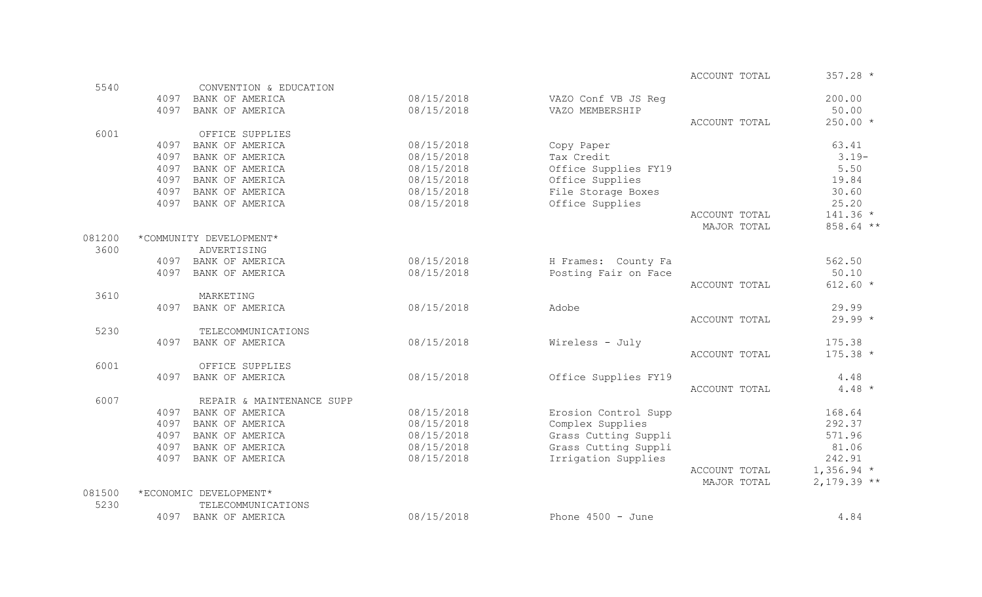|        |      |                           |            |                      | ACCOUNT TOTAL | $357.28$ *   |
|--------|------|---------------------------|------------|----------------------|---------------|--------------|
| 5540   |      | CONVENTION & EDUCATION    |            |                      |               |              |
|        | 4097 | BANK OF AMERICA           | 08/15/2018 | VAZO Conf VB JS Req  |               | 200.00       |
|        | 4097 | BANK OF AMERICA           | 08/15/2018 | VAZO MEMBERSHIP      |               | 50.00        |
|        |      |                           |            |                      | ACCOUNT TOTAL | $250.00*$    |
| 6001   |      | OFFICE SUPPLIES           |            |                      |               |              |
|        | 4097 | BANK OF AMERICA           | 08/15/2018 | Copy Paper           |               | 63.41        |
|        | 4097 | BANK OF AMERICA           | 08/15/2018 | Tax Credit           |               | $3.19-$      |
|        | 4097 | BANK OF AMERICA           | 08/15/2018 | Office Supplies FY19 |               | 5.50         |
|        | 4097 | BANK OF AMERICA           | 08/15/2018 | Office Supplies      |               | 19.84        |
|        | 4097 | BANK OF AMERICA           | 08/15/2018 | File Storage Boxes   |               | 30.60        |
|        | 4097 | BANK OF AMERICA           | 08/15/2018 | Office Supplies      |               | 25.20        |
|        |      |                           |            |                      | ACCOUNT TOTAL | $141.36 *$   |
|        |      |                           |            |                      | MAJOR TOTAL   | 858.64 **    |
| 081200 |      | *COMMUNITY DEVELOPMENT*   |            |                      |               |              |
| 3600   |      | ADVERTISING               |            |                      |               |              |
|        |      | 4097 BANK OF AMERICA      | 08/15/2018 | H Frames: County Fa  |               | 562.50       |
|        | 4097 | BANK OF AMERICA           | 08/15/2018 | Posting Fair on Face |               | 50.10        |
|        |      |                           |            |                      | ACCOUNT TOTAL | $612.60 *$   |
| 3610   |      | MARKETING                 |            |                      |               |              |
|        | 4097 | BANK OF AMERICA           | 08/15/2018 | Adobe                |               | 29.99        |
|        |      |                           |            |                      | ACCOUNT TOTAL | $29.99 *$    |
| 5230   |      | TELECOMMUNICATIONS        |            |                      |               |              |
|        | 4097 | BANK OF AMERICA           | 08/15/2018 | Wireless - July      |               | 175.38       |
|        |      |                           |            |                      | ACCOUNT TOTAL | $175.38 *$   |
| 6001   |      | OFFICE SUPPLIES           |            |                      |               |              |
|        | 4097 | BANK OF AMERICA           | 08/15/2018 | Office Supplies FY19 |               | 4.48         |
|        |      |                           |            |                      | ACCOUNT TOTAL | $4.48*$      |
| 6007   |      | REPAIR & MAINTENANCE SUPP |            |                      |               |              |
|        | 4097 | BANK OF AMERICA           | 08/15/2018 | Erosion Control Supp |               | 168.64       |
|        | 4097 | BANK OF AMERICA           | 08/15/2018 | Complex Supplies     |               | 292.37       |
|        | 4097 | BANK OF AMERICA           | 08/15/2018 | Grass Cutting Suppli |               | 571.96       |
|        | 4097 | BANK OF AMERICA           | 08/15/2018 | Grass Cutting Suppli |               | 81.06        |
|        | 4097 | BANK OF AMERICA           | 08/15/2018 | Irrigation Supplies  |               | 242.91       |
|        |      |                           |            |                      | ACCOUNT TOTAL | $1,356.94$ * |
|        |      |                           |            |                      | MAJOR TOTAL   | $2,179.39**$ |
| 081500 |      | *ECONOMIC DEVELOPMENT*    |            |                      |               |              |
| 5230   |      | TELECOMMUNICATIONS        |            |                      |               |              |

4097 BANK OF AMERICA  $08/15/2018$  Phone 4500 - June 4.84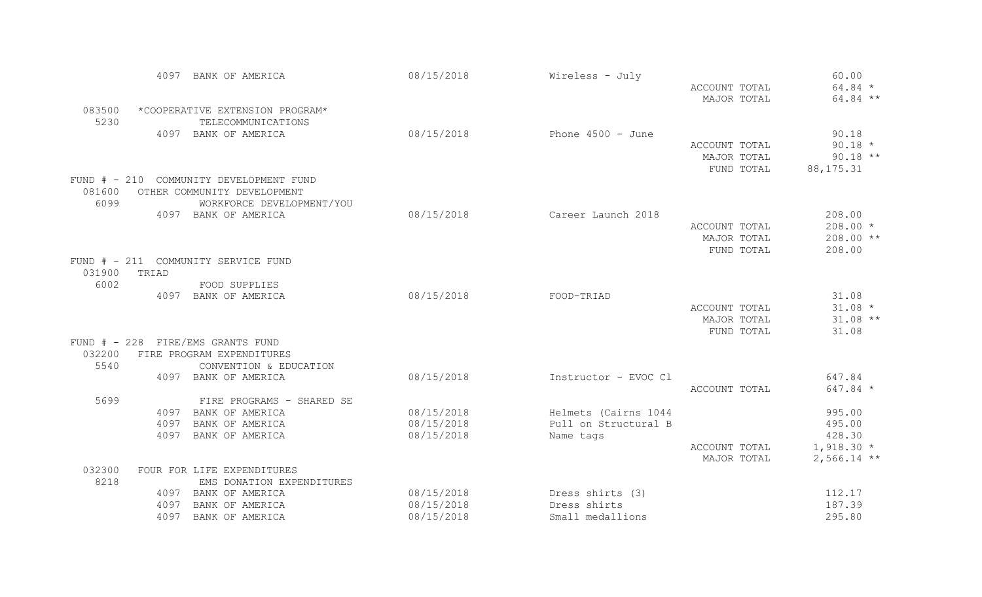|                    | 4097                                | BANK OF AMERICA           | 08/15/2018 | Wireless - July      |               | 60.00         |
|--------------------|-------------------------------------|---------------------------|------------|----------------------|---------------|---------------|
|                    |                                     |                           |            |                      | ACCOUNT TOTAL | $64.84 *$     |
|                    |                                     |                           |            |                      | MAJOR TOTAL   | 64.84 **      |
| 083500             | *COOPERATIVE EXTENSION PROGRAM*     |                           |            |                      |               |               |
| 5230               |                                     | TELECOMMUNICATIONS        |            |                      |               |               |
|                    | 4097 BANK OF AMERICA                |                           | 08/15/2018 | Phone $4500 - June$  |               | 90.18         |
|                    |                                     |                           |            |                      | ACCOUNT TOTAL | $90.18 *$     |
|                    |                                     |                           |            |                      | MAJOR TOTAL   | $90.18$ **    |
|                    |                                     |                           |            |                      | FUND TOTAL    | 88, 175. 31   |
| $FUND$ $#$ $-$ 210 | COMMUNITY DEVELOPMENT FUND          |                           |            |                      |               |               |
| 081600             | OTHER COMMUNITY DEVELOPMENT         |                           |            |                      |               |               |
| 6099               |                                     | WORKFORCE DEVELOPMENT/YOU |            |                      |               |               |
|                    | 4097 BANK OF AMERICA                |                           | 08/15/2018 | Career Launch 2018   |               | 208.00        |
|                    |                                     |                           |            |                      | ACCOUNT TOTAL | $208.00*$     |
|                    |                                     |                           |            |                      | MAJOR TOTAL   | 208.00 **     |
|                    |                                     |                           |            |                      | FUND TOTAL    | 208.00        |
|                    | FUND # - 211 COMMUNITY SERVICE FUND |                           |            |                      |               |               |
| 031900             | TRIAD                               |                           |            |                      |               |               |
| 6002               |                                     | FOOD SUPPLIES             |            |                      |               |               |
|                    | 4097 BANK OF AMERICA                |                           | 08/15/2018 | FOOD-TRIAD           |               | 31.08         |
|                    |                                     |                           |            |                      | ACCOUNT TOTAL | $31.08 *$     |
|                    |                                     |                           |            |                      | MAJOR TOTAL   | $31.08**$     |
|                    |                                     |                           |            |                      | FUND TOTAL    | 31.08         |
|                    | FUND # - 228 FIRE/EMS GRANTS FUND   |                           |            |                      |               |               |
| 032200             | FIRE PROGRAM EXPENDITURES           |                           |            |                      |               |               |
| 5540               |                                     | CONVENTION & EDUCATION    |            |                      |               |               |
|                    | 4097 BANK OF AMERICA                |                           | 08/15/2018 | Instructor - EVOC Cl |               | 647.84        |
|                    |                                     |                           |            |                      | ACCOUNT TOTAL | 647.84 *      |
| 5699               |                                     | FIRE PROGRAMS - SHARED SE |            |                      |               |               |
|                    | BANK OF AMERICA<br>4097             |                           | 08/15/2018 | Helmets (Cairns 1044 |               | 995.00        |
|                    | 4097                                | BANK OF AMERICA           | 08/15/2018 | Pull on Structural B |               | 495.00        |
|                    | 4097                                | BANK OF AMERICA           | 08/15/2018 | Name tags            |               | 428.30        |
|                    |                                     |                           |            |                      | ACCOUNT TOTAL | $1,918.30*$   |
|                    |                                     |                           |            |                      | MAJOR TOTAL   | $2,566.14$ ** |
| 032300             | FOUR FOR LIFE EXPENDITURES          |                           |            |                      |               |               |
| 8218               |                                     | EMS DONATION EXPENDITURES |            |                      |               |               |
|                    | 4097<br>BANK OF AMERICA             |                           | 08/15/2018 | Dress shirts (3)     |               | 112.17        |
|                    | BANK OF AMERICA<br>4097             |                           | 08/15/2018 | Dress shirts         |               | 187.39        |
|                    | 4097                                | BANK OF AMERICA           | 08/15/2018 | Small medallions     |               | 295.80        |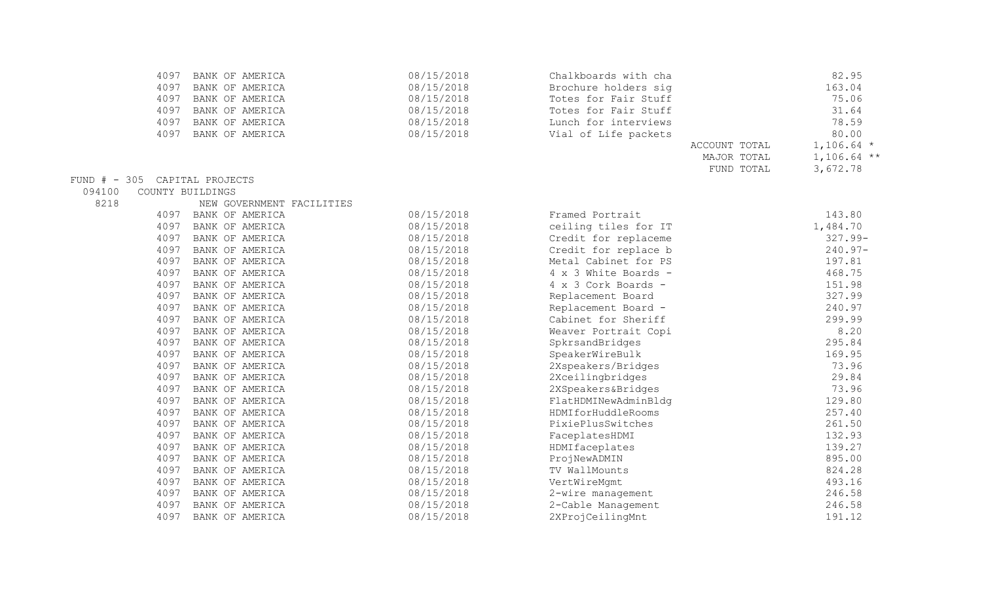|        | 4097 | BANK OF AMERICA               | 08/15/2018 | Chalkboards with cha |               | 82.95         |
|--------|------|-------------------------------|------------|----------------------|---------------|---------------|
|        | 4097 | BANK OF AMERICA               | 08/15/2018 | Brochure holders sig |               | 163.04        |
|        | 4097 | BANK OF AMERICA               | 08/15/2018 | Totes for Fair Stuff |               | 75.06         |
|        | 4097 | BANK OF AMERICA               | 08/15/2018 | Totes for Fair Stuff |               | 31.64         |
|        | 4097 | BANK OF AMERICA               | 08/15/2018 | Lunch for interviews |               | 78.59         |
|        | 4097 | BANK OF AMERICA               | 08/15/2018 | Vial of Life packets |               | 80.00         |
|        |      |                               |            |                      | ACCOUNT TOTAL | $1,106.64$ *  |
|        |      |                               |            |                      | MAJOR TOTAL   | $1,106.64$ ** |
|        |      |                               |            |                      | FUND TOTAL    | 3,672.78      |
|        |      | FUND # - 305 CAPITAL PROJECTS |            |                      |               |               |
| 094100 |      | COUNTY BUILDINGS              |            |                      |               |               |
| 8218   |      | NEW GOVERNMENT FACILITIES     |            |                      |               |               |
|        | 4097 | BANK OF AMERICA               | 08/15/2018 | Framed Portrait      |               | 143.80        |
|        | 4097 | BANK OF AMERICA               | 08/15/2018 | ceiling tiles for IT |               | 1,484.70      |
|        | 4097 | BANK OF AMERICA               | 08/15/2018 | Credit for replaceme |               | $327.99 -$    |
|        | 4097 | BANK OF AMERICA               | 08/15/2018 | Credit for replace b |               | $240.97 -$    |
|        | 4097 | BANK OF AMERICA               | 08/15/2018 | Metal Cabinet for PS |               | 197.81        |
|        | 4097 | BANK OF AMERICA               | 08/15/2018 | 4 x 3 White Boards - |               | 468.75        |
|        | 4097 | BANK OF AMERICA               | 08/15/2018 | 4 x 3 Cork Boards -  |               | 151.98        |
|        | 4097 | BANK OF AMERICA               | 08/15/2018 | Replacement Board    |               | 327.99        |
|        | 4097 | BANK OF AMERICA               | 08/15/2018 | Replacement Board -  |               | 240.97        |
|        | 4097 | BANK OF AMERICA               | 08/15/2018 | Cabinet for Sheriff  |               | 299.99        |
|        | 4097 | BANK OF AMERICA               | 08/15/2018 | Weaver Portrait Copi |               | 8.20          |
|        | 4097 | BANK OF AMERICA               | 08/15/2018 | SpkrsandBridges      |               | 295.84        |
|        | 4097 | BANK OF AMERICA               | 08/15/2018 | SpeakerWireBulk      |               | 169.95        |
|        | 4097 | BANK OF AMERICA               | 08/15/2018 | 2Xspeakers/Bridges   |               | 73.96         |
|        | 4097 | BANK OF AMERICA               | 08/15/2018 | 2Xceilingbridges     |               | 29.84         |
|        | 4097 | BANK OF AMERICA               | 08/15/2018 | 2XSpeakers&Bridges   |               | 73.96         |
|        | 4097 | BANK OF AMERICA               | 08/15/2018 | FlatHDMINewAdminBldg |               | 129.80        |
|        | 4097 | BANK OF AMERICA               | 08/15/2018 | HDMIforHuddleRooms   |               | 257.40        |
|        | 4097 | BANK OF AMERICA               | 08/15/2018 | PixiePlusSwitches    |               | 261.50        |
|        | 4097 | BANK OF AMERICA               | 08/15/2018 | FaceplatesHDMI       |               | 132.93        |
|        | 4097 | BANK OF AMERICA               | 08/15/2018 | HDMIfaceplates       |               | 139.27        |
|        | 4097 | BANK OF AMERICA               | 08/15/2018 | ProjNewADMIN         |               | 895.00        |
|        | 4097 | BANK OF AMERICA               | 08/15/2018 | TV WallMounts        |               | 824.28        |
|        | 4097 | BANK OF AMERICA               | 08/15/2018 | VertWireMgmt         |               | 493.16        |
|        | 4097 | BANK OF AMERICA               | 08/15/2018 | 2-wire management    |               | 246.58        |
|        | 4097 | BANK OF AMERICA               | 08/15/2018 | 2-Cable Management   |               | 246.58        |
|        | 4097 | BANK OF AMERICA               | 08/15/2018 | 2XProjCeilingMnt     |               | 191.12        |
|        |      |                               |            |                      |               |               |

 $FUND$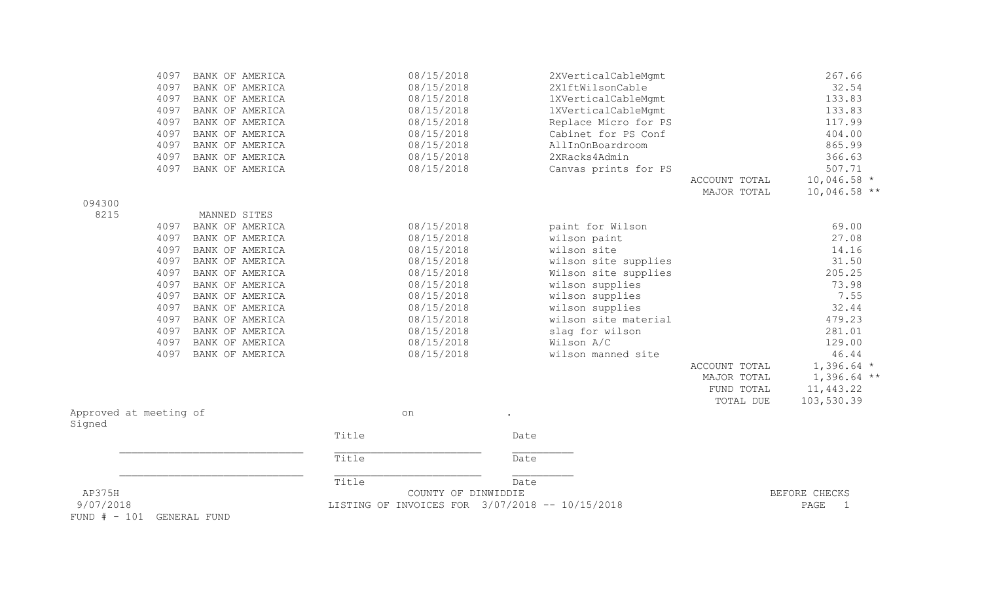| 9/07/2018<br>FUND # - 101 GENERAL FUND |              |                                    |       | LISTING OF INVOICES FOR 3/07/2018 -- 10/15/2018 |      |                                         |                                        | PAGE<br>$\overline{1}$                    |
|----------------------------------------|--------------|------------------------------------|-------|-------------------------------------------------|------|-----------------------------------------|----------------------------------------|-------------------------------------------|
| AP375H                                 |              |                                    | Title | COUNTY OF DINWIDDIE                             | Date |                                         |                                        | BEFORE CHECKS                             |
|                                        |              |                                    | Title |                                                 | Date |                                         |                                        |                                           |
|                                        |              |                                    | Title |                                                 | Date |                                         |                                        |                                           |
| Approved at meeting of<br>Signed       |              |                                    |       | on                                              |      |                                         |                                        |                                           |
|                                        |              |                                    |       |                                                 |      |                                         | MAJOR TOTAL<br>FUND TOTAL<br>TOTAL DUE | $1,396.64$ **<br>11, 443.22<br>103,530.39 |
|                                        | 4097         | BANK OF AMERICA                    |       | 08/15/2018                                      |      | wilson manned site                      | ACCOUNT TOTAL                          | 46.44<br>$1,396.64$ *                     |
|                                        | 4097         | BANK OF AMERICA                    |       | 08/15/2018                                      |      | Wilson A/C                              |                                        | 129.00                                    |
|                                        | 4097         | BANK OF AMERICA                    |       | 08/15/2018                                      |      | slag for wilson                         |                                        | 281.01                                    |
|                                        | 4097         | BANK OF AMERICA                    |       | 08/15/2018                                      |      | wilson site material                    |                                        | 479.23                                    |
|                                        | 4097         | BANK OF AMERICA                    |       | 08/15/2018                                      |      | wilson supplies                         |                                        | 32.44                                     |
|                                        | 4097         | BANK OF AMERICA                    |       | 08/15/2018                                      |      | wilson supplies                         |                                        | 7.55                                      |
|                                        | 4097         | BANK OF AMERICA                    |       | 08/15/2018                                      |      | wilson supplies                         |                                        | 73.98                                     |
|                                        | 4097         | BANK OF AMERICA                    |       | 08/15/2018                                      |      | Wilson site supplies                    |                                        | 205.25                                    |
|                                        | 4097         | BANK OF AMERICA                    |       | 08/15/2018                                      |      | wilson site supplies                    |                                        | 31.50                                     |
|                                        | 4097         | BANK OF AMERICA                    |       | 08/15/2018                                      |      | wilson site                             |                                        | 14.16                                     |
|                                        | 4097<br>4097 | BANK OF AMERICA<br>BANK OF AMERICA |       | 08/15/2018<br>08/15/2018                        |      | paint for Wilson<br>wilson paint        |                                        | 69.00<br>27.08                            |
| 8215                                   |              | MANNED SITES                       |       |                                                 |      |                                         |                                        |                                           |
| 094300                                 |              |                                    |       |                                                 |      |                                         | MAJOR TOTAL                            | $10,046.58$ **                            |
|                                        |              |                                    |       |                                                 |      |                                         | ACCOUNT TOTAL                          | $10,046.58$ *                             |
|                                        | 4097         | BANK OF AMERICA                    |       | 08/15/2018                                      |      | Canvas prints for PS                    |                                        | 507.71                                    |
|                                        | 4097         | BANK OF AMERICA<br>BANK OF AMERICA |       | 08/15/2018<br>08/15/2018                        |      | 2XRacks4Admin                           |                                        | 865.99<br>366.63                          |
|                                        | 4097<br>4097 | BANK OF AMERICA                    |       | 08/15/2018                                      |      | Cabinet for PS Conf<br>AllInOnBoardroom |                                        | 404.00                                    |
|                                        | 4097         | BANK OF AMERICA                    |       | 08/15/2018                                      |      | Replace Micro for PS                    |                                        | 117.99                                    |
|                                        | 4097         | BANK OF AMERICA                    |       | 08/15/2018                                      |      | 1XVerticalCableMgmt                     |                                        | 133.83                                    |
|                                        | 4097         | BANK OF AMERICA                    |       | 08/15/2018                                      |      | 1XVerticalCableMgmt                     |                                        | 133.83                                    |
|                                        | 4097         | BANK OF AMERICA                    |       | 08/15/2018                                      |      | 2X1ftWilsonCable                        |                                        | 32.54                                     |
|                                        | 4097         | BANK OF AMERICA                    |       | 08/15/2018                                      |      | 2XVerticalCableMgmt                     |                                        | 267.66                                    |
|                                        |              |                                    |       |                                                 |      |                                         |                                        |                                           |

 $FUND$ #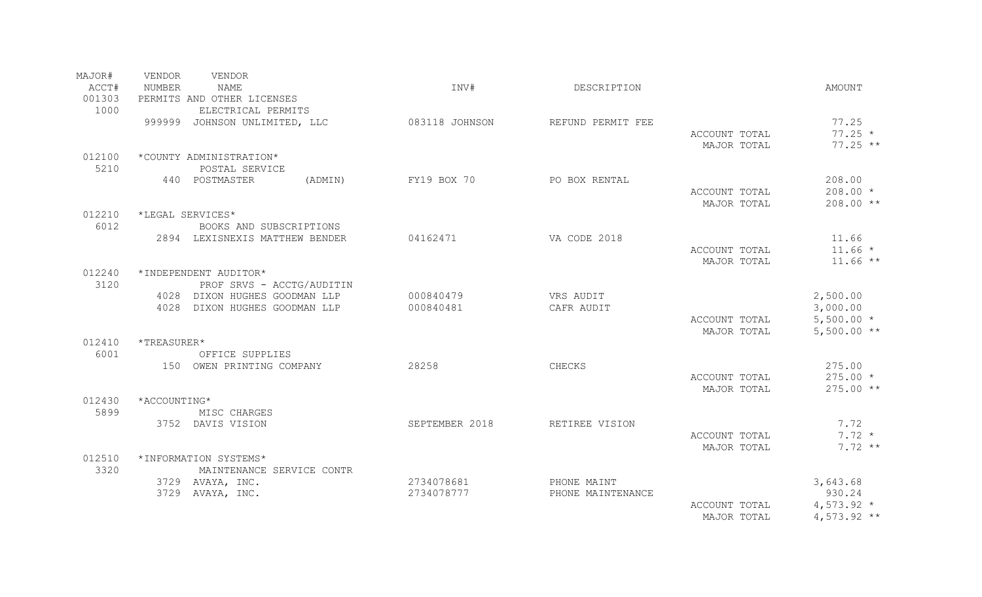| MAJOR#<br>ACCT#<br>001303 | VENDOR<br>VENDOR<br>NUMBER<br><b>NAME</b><br>PERMITS AND OTHER LICENSES | INV#                   | DESCRIPTION             |                              | <b>AMOUNT</b>                      |
|---------------------------|-------------------------------------------------------------------------|------------------------|-------------------------|------------------------------|------------------------------------|
| 1000                      | ELECTRICAL PERMITS<br>999999 JOHNSON UNLIMITED, LLC                     | 083118 JOHNSON         | REFUND PERMIT FEE       | ACCOUNT TOTAL<br>MAJOR TOTAL | 77.25<br>$77.25 *$<br>$77.25$ **   |
| 012100                    | *COUNTY ADMINISTRATION*                                                 |                        |                         |                              |                                    |
| 5210                      | POSTAL SERVICE                                                          |                        |                         |                              |                                    |
|                           | 440 POSTMASTER                                                          | FY19 BOX 70<br>(ADMIN) | PO BOX RENTAL           | ACCOUNT TOTAL<br>MAJOR TOTAL | 208.00<br>$208.00 *$<br>208.00 **  |
| 012210                    | *LEGAL SERVICES*                                                        |                        |                         |                              |                                    |
| 6012                      | BOOKS AND SUBSCRIPTIONS<br>2894 LEXISNEXIS MATTHEW BENDER               | 04162471               | VA CODE 2018            |                              | 11.66                              |
|                           |                                                                         |                        |                         | ACCOUNT TOTAL                | $11.66 *$                          |
| 012240                    | *INDEPENDENT AUDITOR*                                                   |                        |                         | MAJOR TOTAL                  | $11.66**$                          |
| 3120                      | PROF SRVS - ACCTG/AUDITIN                                               |                        |                         |                              |                                    |
|                           | 4028 DIXON HUGHES GOODMAN LLP<br>4028 DIXON HUGHES GOODMAN LLP          | 000840479<br>000840481 | VRS AUDIT<br>CAFR AUDIT |                              | 2,500.00<br>3,000.00               |
|                           |                                                                         |                        |                         | ACCOUNT TOTAL<br>MAJOR TOTAL | $5,500.00*$<br>$5,500.00**$        |
| 012410                    | *TREASURER*                                                             |                        |                         |                              |                                    |
| 6001                      | OFFICE SUPPLIES                                                         |                        |                         |                              |                                    |
|                           | 150 OWEN PRINTING COMPANY                                               | 28258                  | CHECKS                  | ACCOUNT TOTAL<br>MAJOR TOTAL | 275.00<br>$275.00*$<br>$275.00$ ** |
| 012430                    | *ACCOUNTING*                                                            |                        |                         |                              |                                    |
| 5899                      | MISC CHARGES                                                            |                        |                         |                              |                                    |
|                           | 3752 DAVIS VISION                                                       | SEPTEMBER 2018         | RETIREE VISION          | ACCOUNT TOTAL<br>MAJOR TOTAL | 7.72<br>$7.72 *$<br>$7.72**$       |
| 012510<br>3320            | *INFORMATION SYSTEMS*<br>MAINTENANCE SERVICE CONTR                      |                        |                         |                              |                                    |
|                           | 3729 AVAYA, INC.                                                        | 2734078681             | PHONE MAINT             |                              | 3,643.68                           |
|                           | 3729 AVAYA, INC.                                                        | 2734078777             | PHONE MAINTENANCE       |                              | 930.24                             |
|                           |                                                                         |                        |                         | ACCOUNT TOTAL<br>MAJOR TOTAL | $4,573.92*$<br>$4,573.92$ **       |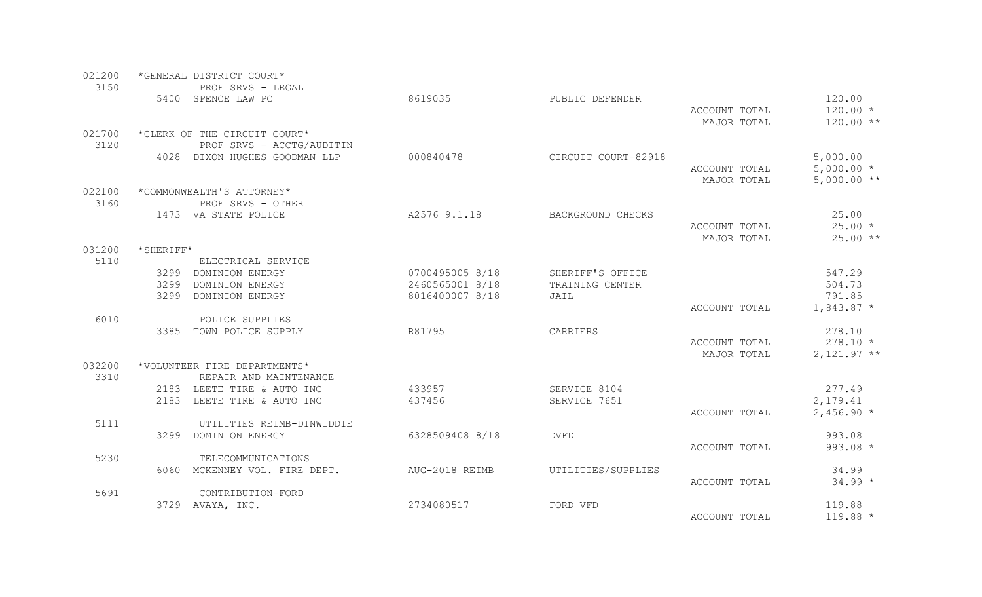| 021200 |                         | *GENERAL DISTRICT COURT*      |                 |                     |               |                   |
|--------|-------------------------|-------------------------------|-----------------|---------------------|---------------|-------------------|
| 3150   |                         | PROF SRVS - LEGAL             |                 |                     |               |                   |
|        |                         | 5400 SPENCE LAW PC            | 8619035         | PUBLIC DEFENDER     |               | 120.00            |
|        |                         |                               |                 |                     | ACCOUNT TOTAL | $120.00 *$        |
|        |                         |                               |                 |                     | MAJOR TOTAL   | $120.00**$        |
| 021700 |                         | *CLERK OF THE CIRCUIT COURT*  |                 |                     |               |                   |
| 3120   |                         | PROF SRVS - ACCTG/AUDITIN     |                 |                     |               |                   |
|        |                         | 4028 DIXON HUGHES GOODMAN LLP | 000840478       | CIRCUIT COURT-82918 |               | 5,000.00          |
|        |                         |                               |                 |                     | ACCOUNT TOTAL | $5,000.00*$       |
|        |                         |                               |                 |                     | MAJOR TOTAL   | $5,000.00**$      |
| 022100 |                         | *COMMONWEALTH'S ATTORNEY*     |                 |                     |               |                   |
| 3160   |                         | PROF SRVS - OTHER             | A2576 9.1.18    |                     |               |                   |
|        |                         | 1473 VA STATE POLICE          |                 | BACKGROUND CHECKS   | ACCOUNT TOTAL | 25.00<br>$25.00*$ |
|        |                         |                               |                 |                     | MAJOR TOTAL   | $25.00**$         |
| 031200 | $\star$ SHERIFF $\star$ |                               |                 |                     |               |                   |
| 5110   |                         | ELECTRICAL SERVICE            |                 |                     |               |                   |
|        |                         | 3299 DOMINION ENERGY          | 0700495005 8/18 | SHERIFF'S OFFICE    |               | 547.29            |
|        | 3299                    | DOMINION ENERGY               | 2460565001 8/18 | TRAINING CENTER     |               | 504.73            |
|        | 3299                    | DOMINION ENERGY               | 8016400007 8/18 | JAIL                |               | 791.85            |
|        |                         |                               |                 |                     | ACCOUNT TOTAL | $1,843.87$ *      |
| 6010   |                         | POLICE SUPPLIES               |                 |                     |               |                   |
|        |                         | 3385 TOWN POLICE SUPPLY       | R81795          | CARRIERS            |               | 278.10            |
|        |                         |                               |                 |                     | ACCOUNT TOTAL | $278.10 *$        |
|        |                         |                               |                 |                     | MAJOR TOTAL   | $2,121.97**$      |
| 032200 |                         | *VOLUNTEER FIRE DEPARTMENTS*  |                 |                     |               |                   |
| 3310   |                         | REPAIR AND MAINTENANCE        |                 |                     |               |                   |
|        |                         | 2183 LEETE TIRE & AUTO INC    | 433957          | SERVICE 8104        |               | 277.49            |
|        |                         | 2183 LEETE TIRE & AUTO INC    | 437456          | SERVICE 7651        |               | 2,179.41          |
|        |                         |                               |                 |                     | ACCOUNT TOTAL | $2,456.90*$       |
| 5111   |                         | UTILITIES REIMB-DINWIDDIE     |                 |                     |               |                   |
|        |                         | 3299 DOMINION ENERGY          | 6328509408 8/18 | <b>DVFD</b>         |               | 993.08            |
|        |                         |                               |                 |                     | ACCOUNT TOTAL | $993.08 *$        |
| 5230   |                         | TELECOMMUNICATIONS            |                 |                     |               |                   |
|        |                         | 6060 MCKENNEY VOL. FIRE DEPT. | AUG-2018 REIMB  | UTILITIES/SUPPLIES  |               | 34.99             |
| 5691   |                         | CONTRIBUTION-FORD             |                 |                     | ACCOUNT TOTAL | $34.99 *$         |
|        |                         | 3729 AVAYA, INC.              | 2734080517      | FORD VFD            |               | 119.88            |
|        |                         |                               |                 |                     | ACCOUNT TOTAL | $119.88*$         |
|        |                         |                               |                 |                     |               |                   |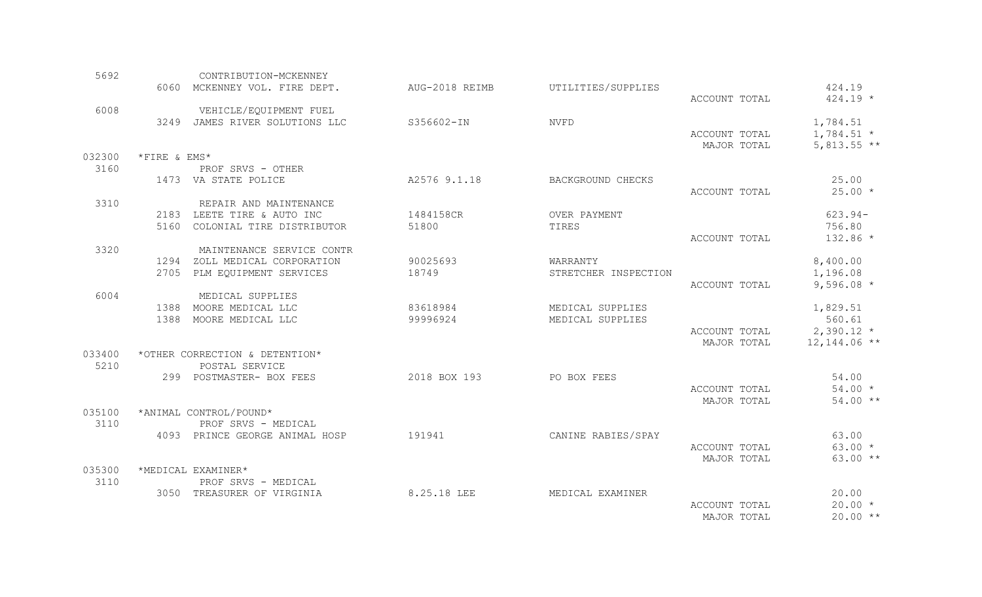| 5692   |              | CONTRIBUTION-MCKENNEY                      |                |                      |               |                |
|--------|--------------|--------------------------------------------|----------------|----------------------|---------------|----------------|
|        |              | 6060 MCKENNEY VOL. FIRE DEPT.              | AUG-2018 REIMB | UTILITIES/SUPPLIES   |               | 424.19         |
| 6008   |              | VEHICLE/EQUIPMENT FUEL                     |                |                      | ACCOUNT TOTAL | $424.19 *$     |
|        |              | 3249 JAMES RIVER SOLUTIONS LLC             | S356602-IN     | <b>NVFD</b>          |               | 1,784.51       |
|        |              |                                            |                |                      | ACCOUNT TOTAL | $1,784.51$ *   |
|        |              |                                            |                |                      | MAJOR TOTAL   | $5,813.55$ **  |
| 032300 | *FIRE & EMS* |                                            |                |                      |               |                |
| 3160   |              | PROF SRVS - OTHER                          |                |                      |               |                |
|        |              | 1473 VA STATE POLICE                       | A2576 9.1.18   | BACKGROUND CHECKS    |               | 25.00          |
|        |              |                                            |                |                      | ACCOUNT TOTAL | $25.00*$       |
| 3310   |              | REPAIR AND MAINTENANCE                     |                |                      |               |                |
|        |              | 2183 LEETE TIRE & AUTO INC                 | 1484158CR      | OVER PAYMENT         |               | $623.94-$      |
|        |              | 5160 COLONIAL TIRE DISTRIBUTOR             | 51800          | TIRES                |               | 756.80         |
|        |              |                                            |                |                      | ACCOUNT TOTAL | 132.86 *       |
| 3320   |              | MAINTENANCE SERVICE CONTR                  |                |                      |               |                |
|        |              | 1294 ZOLL MEDICAL CORPORATION              | 90025693       | WARRANTY             |               | 8,400.00       |
|        |              | 2705 PLM EQUIPMENT SERVICES                | 18749          | STRETCHER INSPECTION |               | 1,196.08       |
|        |              |                                            |                |                      | ACCOUNT TOTAL | 9,596.08 $*$   |
| 6004   |              | MEDICAL SUPPLIES<br>1388 MOORE MEDICAL LLC | 83618984       | MEDICAL SUPPLIES     |               | 1,829.51       |
|        |              | 1388 MOORE MEDICAL LLC                     | 99996924       | MEDICAL SUPPLIES     |               | 560.61         |
|        |              |                                            |                |                      | ACCOUNT TOTAL | $2,390.12$ *   |
|        |              |                                            |                |                      | MAJOR TOTAL   | $12,144.06$ ** |
| 033400 |              | *OTHER CORRECTION & DETENTION*             |                |                      |               |                |
| 5210   |              | POSTAL SERVICE                             |                |                      |               |                |
|        |              | 299 POSTMASTER- BOX FEES                   | 2018 BOX 193   | PO BOX FEES          |               | 54.00          |
|        |              |                                            |                |                      | ACCOUNT TOTAL | $54.00*$       |
|        |              |                                            |                |                      | MAJOR TOTAL   | $54.00**$      |
| 035100 |              | *ANIMAL CONTROL/POUND*                     |                |                      |               |                |
| 3110   |              | PROF SRVS - MEDICAL                        |                |                      |               |                |
|        |              | 4093 PRINCE GEORGE ANIMAL HOSP             | 191941         | CANINE RABIES/SPAY   |               | 63.00          |
|        |              |                                            |                |                      | ACCOUNT TOTAL | $63.00 *$      |
|        |              |                                            |                |                      | MAJOR TOTAL   | $63.00**$      |
| 035300 |              | *MEDICAL EXAMINER*                         |                |                      |               |                |
| 3110   |              | PROF SRVS - MEDICAL                        |                |                      |               |                |
|        |              | 3050 TREASURER OF VIRGINIA                 | 8.25.18 LEE    | MEDICAL EXAMINER     |               | 20.00          |
|        |              |                                            |                |                      | ACCOUNT TOTAL | $20.00 *$      |
|        |              |                                            |                |                      | MAJOR TOTAL   | $20.00**$      |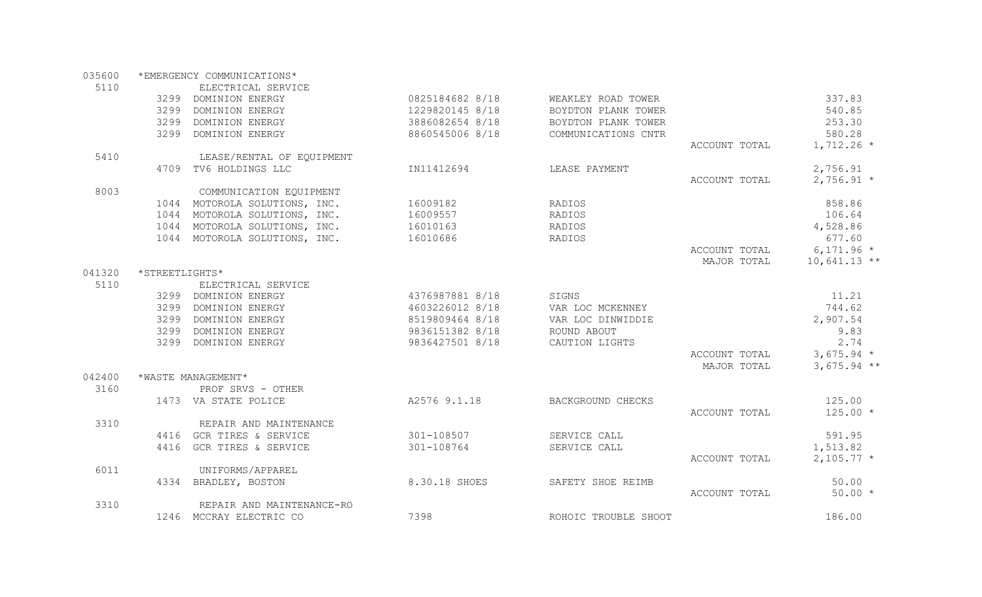035600 \*EMERGENCY COMMUNICATIONS\*

| 5110   |                | ELECTRICAL SERVICE            |                 |                      |               |                |
|--------|----------------|-------------------------------|-----------------|----------------------|---------------|----------------|
|        |                | 3299 DOMINION ENERGY          | 0825184682 8/18 | WEAKLEY ROAD TOWER   |               | 337.83         |
|        | 3299           | DOMINION ENERGY               | 1229820145 8/18 | BOYDTON PLANK TOWER  |               | 540.85         |
|        |                | 3299 DOMINION ENERGY          | 3886082654 8/18 | BOYDTON PLANK TOWER  |               | 253.30         |
|        |                | 3299 DOMINION ENERGY          | 8860545006 8/18 | COMMUNICATIONS CNTR  |               | 580.28         |
|        |                |                               |                 |                      | ACCOUNT TOTAL | $1,712.26$ *   |
| 5410   |                | LEASE/RENTAL OF EQUIPMENT     |                 |                      |               |                |
|        |                | 4709 TV6 HOLDINGS LLC         | IN11412694      | LEASE PAYMENT        |               | 2,756.91       |
|        |                |                               |                 |                      | ACCOUNT TOTAL | $2,756.91*$    |
| 8003   |                | COMMUNICATION EQUIPMENT       |                 |                      |               |                |
|        |                | 1044 MOTOROLA SOLUTIONS, INC. | 16009182        | RADIOS               |               | 858.86         |
|        |                | 1044 MOTOROLA SOLUTIONS, INC. | 16009557        | RADIOS               |               | 106.64         |
|        |                | 1044 MOTOROLA SOLUTIONS, INC. | 16010163        | RADIOS               |               | 4,528.86       |
|        |                | 1044 MOTOROLA SOLUTIONS, INC. | 16010686        | RADIOS               |               | 677.60         |
|        |                |                               |                 |                      | ACCOUNT TOTAL | $6,171.96*$    |
|        |                |                               |                 |                      | MAJOR TOTAL   | $10,641.13$ ** |
| 041320 | *STREETLIGHTS* |                               |                 |                      |               |                |
| 5110   |                | ELECTRICAL SERVICE            |                 |                      |               |                |
|        |                | 3299 DOMINION ENERGY          | 4376987881 8/18 | SIGNS                |               | 11.21          |
|        |                | 3299 DOMINION ENERGY          | 4603226012 8/18 | VAR LOC MCKENNEY     |               | 744.62         |
|        | 3299           | DOMINION ENERGY               | 8519809464 8/18 | VAR LOC DINWIDDIE    |               | 2,907.54       |
|        | 3299           | DOMINION ENERGY               | 9836151382 8/18 | ROUND ABOUT          |               | 9.83           |
|        | 3299           | DOMINION ENERGY               | 9836427501 8/18 | CAUTION LIGHTS       |               | 2.74           |
|        |                |                               |                 |                      | ACCOUNT TOTAL | $3,675.94$ *   |
|        |                |                               |                 |                      | MAJOR TOTAL   | $3,675.94$ **  |
| 042400 |                | *WASTE MANAGEMENT*            |                 |                      |               |                |
| 3160   |                | PROF SRVS - OTHER             |                 |                      |               |                |
|        |                | 1473 VA STATE POLICE          | A2576 9.1.18    | BACKGROUND CHECKS    |               | 125.00         |
|        |                |                               |                 |                      | ACCOUNT TOTAL | $125.00*$      |
| 3310   |                | REPAIR AND MAINTENANCE        |                 |                      |               |                |
|        |                | 4416 GCR TIRES & SERVICE      | 301-108507      | SERVICE CALL         |               | 591.95         |
|        |                | 4416 GCR TIRES & SERVICE      | 301-108764      | SERVICE CALL         |               | 1,513.82       |
|        |                |                               |                 |                      | ACCOUNT TOTAL | $2,105.77$ *   |
| 6011   |                | UNIFORMS/APPAREL              |                 |                      |               |                |
|        |                | 4334 BRADLEY, BOSTON          | 8.30.18 SHOES   | SAFETY SHOE REIMB    |               | 50.00          |
|        |                |                               |                 |                      | ACCOUNT TOTAL | $50.00*$       |
| 3310   |                | REPAIR AND MAINTENANCE-RO     |                 |                      |               |                |
|        |                | 1246 MCCRAY ELECTRIC CO       | 7398            | ROHOIC TROUBLE SHOOT |               | 186.00         |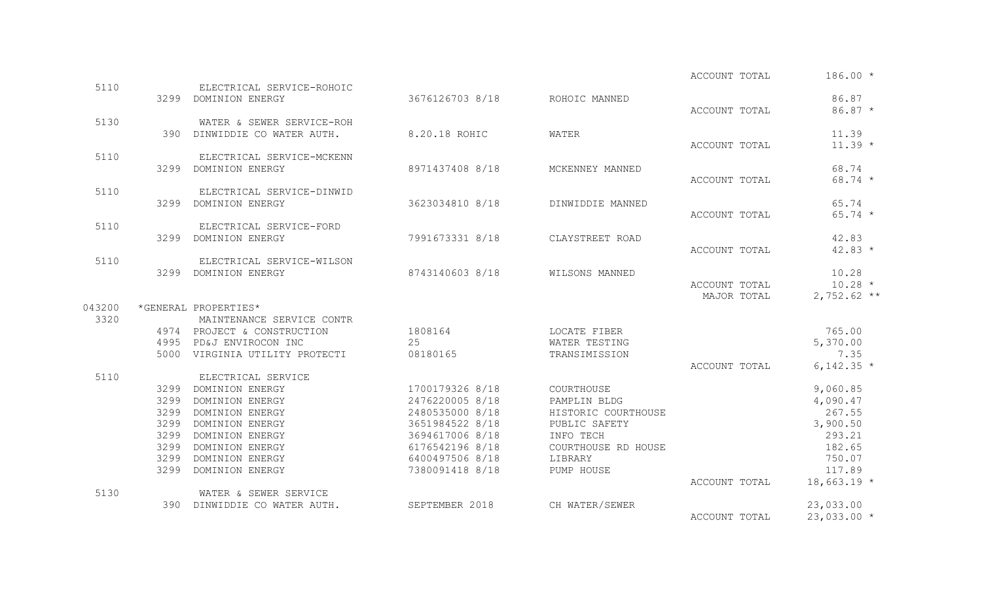|        |      |                                       |                 |                     | ACCOUNT TOTAL | $186.00*$          |
|--------|------|---------------------------------------|-----------------|---------------------|---------------|--------------------|
| 5110   |      | ELECTRICAL SERVICE-ROHOIC             |                 |                     |               |                    |
|        |      | 3299 DOMINION ENERGY                  | 3676126703 8/18 | ROHOIC MANNED       |               | 86.87              |
|        |      |                                       |                 |                     | ACCOUNT TOTAL | $86.87*$           |
| 5130   |      | WATER & SEWER SERVICE-ROH             |                 |                     |               |                    |
|        | 390  | DINWIDDIE CO WATER AUTH.              | 8.20.18 ROHIC   | WATER               | ACCOUNT TOTAL | 11.39<br>$11.39 *$ |
| 5110   |      | ELECTRICAL SERVICE-MCKENN             |                 |                     |               |                    |
|        |      | 3299 DOMINION ENERGY                  | 8971437408 8/18 | MCKENNEY MANNED     |               | 68.74              |
|        |      |                                       |                 |                     | ACCOUNT TOTAL | $68.74*$           |
| 5110   |      | ELECTRICAL SERVICE-DINWID             |                 |                     |               |                    |
|        |      | 3299 DOMINION ENERGY                  | 3623034810 8/18 | DINWIDDIE MANNED    |               | 65.74              |
|        |      |                                       |                 |                     | ACCOUNT TOTAL | $65.74 *$          |
| 5110   |      | ELECTRICAL SERVICE-FORD               |                 |                     |               |                    |
|        |      | 3299 DOMINION ENERGY                  | 7991673331 8/18 | CLAYSTREET ROAD     |               | 42.83              |
|        |      |                                       |                 |                     | ACCOUNT TOTAL | $42.83*$           |
| 5110   |      | ELECTRICAL SERVICE-WILSON             |                 |                     |               |                    |
|        |      | 3299 DOMINION ENERGY                  | 8743140603 8/18 | WILSONS MANNED      |               | 10.28              |
|        |      |                                       |                 |                     | ACCOUNT TOTAL | $10.28 *$          |
|        |      |                                       |                 |                     | MAJOR TOTAL   | $2,752.62$ **      |
| 043200 |      | *GENERAL PROPERTIES*                  |                 |                     |               |                    |
| 3320   |      | MAINTENANCE SERVICE CONTR             |                 |                     |               |                    |
|        |      | 4974 PROJECT & CONSTRUCTION           | 1808164         | LOCATE FIBER        |               | 765.00             |
|        |      | 4995 PD&J ENVIROCON INC               | 25              | WATER TESTING       |               | 5,370.00           |
|        |      | 5000 VIRGINIA UTILITY PROTECTI        | 08180165        | TRANSIMISSION       |               | 7.35               |
| 5110   |      |                                       |                 |                     | ACCOUNT TOTAL | 6,142.35 $*$       |
|        | 3299 | ELECTRICAL SERVICE<br>DOMINION ENERGY | 1700179326 8/18 | COURTHOUSE          |               | 9,060.85           |
|        | 3299 | DOMINION ENERGY                       | 2476220005 8/18 | PAMPLIN BLDG        |               | 4,090.47           |
|        | 3299 | DOMINION ENERGY                       | 2480535000 8/18 | HISTORIC COURTHOUSE |               | 267.55             |
|        | 3299 | DOMINION ENERGY                       | 3651984522 8/18 | PUBLIC SAFETY       |               | 3,900.50           |
|        | 3299 | DOMINION ENERGY                       | 3694617006 8/18 | INFO TECH           |               | 293.21             |
|        | 3299 | DOMINION ENERGY                       | 6176542196 8/18 | COURTHOUSE RD HOUSE |               | 182.65             |
|        | 3299 | DOMINION ENERGY                       | 6400497506 8/18 | LIBRARY             |               | 750.07             |
|        | 3299 | DOMINION ENERGY                       | 7380091418 8/18 | PUMP HOUSE          |               | 117.89             |
|        |      |                                       |                 |                     | ACCOUNT TOTAL | $18,663.19*$       |
| 5130   |      | WATER & SEWER SERVICE                 |                 |                     |               |                    |
|        |      | 390 DINWIDDIE CO WATER AUTH.          | SEPTEMBER 2018  | CH WATER/SEWER      |               | 23,033.00          |
|        |      |                                       |                 |                     | ACCOUNT TOTAL | $23,033.00*$       |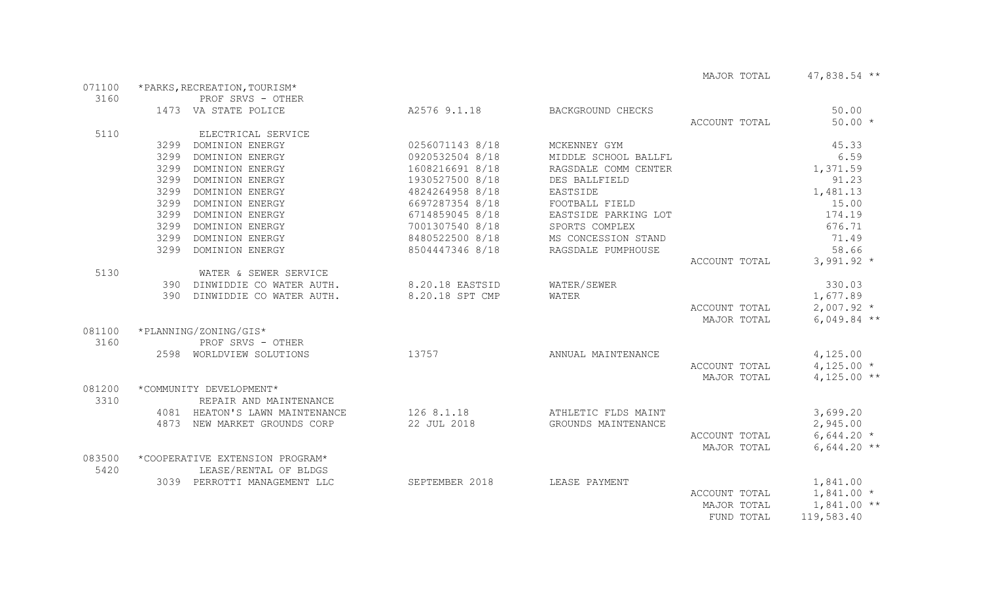MAJOR TOTAL  $47,838.54$  \*\*

| 3160<br>PROF SRVS - OTHER<br>50.00<br>1473 VA STATE POLICE<br>A2576 9.1.18<br>BACKGROUND CHECKS<br>$50.00 *$<br>ACCOUNT TOTAL<br>5110<br>ELECTRICAL SERVICE<br>3299 DOMINION ENERGY<br>0256071143 8/18<br>45.33<br>MCKENNEY GYM<br>0920532504 8/18<br>6.59<br>3299 DOMINION ENERGY<br>MIDDLE SCHOOL BALLFL<br>3299 DOMINION ENERGY<br>1608216691 8/18<br>RAGSDALE COMM CENTER<br>1,371.59<br>1930527500 8/18<br>91.23<br>3299 DOMINION ENERGY<br>DES BALLFIELD<br>3299 DOMINION ENERGY<br>4824264958 8/18<br>EASTSIDE<br>1,481.13<br>3299 DOMINION ENERGY<br>6697287354 8/18<br>15.00<br>FOOTBALL FIELD<br>3299 DOMINION ENERGY<br>6714859045 8/18<br>EASTSIDE PARKING LOT<br>174.19<br>7001307540 8/18<br>676.71<br>3299 DOMINION ENERGY<br>SPORTS COMPLEX<br>71.49<br>3299 DOMINION ENERGY<br>8480522500 8/18<br>MS CONCESSION STAND<br>58.66<br>3299 DOMINION ENERGY<br>8504447346 8/18<br>RAGSDALE PUMPHOUSE<br>$3,991.92*$<br>ACCOUNT TOTAL<br>5130<br>WATER & SEWER SERVICE<br>390 DINWIDDIE CO WATER AUTH.<br>8.20.18 EASTSID<br>WATER/SEWER<br>330.03<br>8.20.18 SPT CMP<br>390 DINWIDDIE CO WATER AUTH.<br>1,677.89<br>WATER<br>$2,007.92$ *<br>ACCOUNT TOTAL<br>$6,049.84$ **<br>MAJOR TOTAL<br>*PLANNING/ZONING/GIS*<br>081100<br>3160<br>PROF SRVS - OTHER<br>2598 WORLDVIEW SOLUTIONS<br>13757<br>4,125.00<br>ANNUAL MAINTENANCE<br>$4,125.00*$<br>ACCOUNT TOTAL<br>$4,125.00$ **<br>MAJOR TOTAL<br>081200<br>*COMMUNITY DEVELOPMENT*<br>3310<br>REPAIR AND MAINTENANCE<br>126 8.1.18<br>3,699.20<br>4081 HEATON'S LAWN MAINTENANCE<br>ATHLETIC FLDS MAINT<br>22 JUL 2018<br>4873 NEW MARKET GROUNDS CORP<br>GROUNDS MAINTENANCE<br>2,945.00<br>$6,644.20*$<br>ACCOUNT TOTAL<br>MAJOR TOTAL<br>$6,644.20$ **<br>083500<br>*COOPERATIVE EXTENSION PROGRAM*<br>5420<br>LEASE/RENTAL OF BLDGS<br>3039 PERROTTI MANAGEMENT LLC<br>SEPTEMBER 2018<br>1,841.00<br>LEASE PAYMENT<br>ACCOUNT TOTAL<br>$1,841.00*$<br>MAJOR TOTAL<br>$1,841.00$ ** | 071100 | *PARKS, RECREATION, TOURISM* |  |  |  |            |            |  |  |  |
|--------------------------------------------------------------------------------------------------------------------------------------------------------------------------------------------------------------------------------------------------------------------------------------------------------------------------------------------------------------------------------------------------------------------------------------------------------------------------------------------------------------------------------------------------------------------------------------------------------------------------------------------------------------------------------------------------------------------------------------------------------------------------------------------------------------------------------------------------------------------------------------------------------------------------------------------------------------------------------------------------------------------------------------------------------------------------------------------------------------------------------------------------------------------------------------------------------------------------------------------------------------------------------------------------------------------------------------------------------------------------------------------------------------------------------------------------------------------------------------------------------------------------------------------------------------------------------------------------------------------------------------------------------------------------------------------------------------------------------------------------------------------------------------------------------------------------------------------------------------------------------------------------------------------------------------------------------|--------|------------------------------|--|--|--|------------|------------|--|--|--|
|                                                                                                                                                                                                                                                                                                                                                                                                                                                                                                                                                                                                                                                                                                                                                                                                                                                                                                                                                                                                                                                                                                                                                                                                                                                                                                                                                                                                                                                                                                                                                                                                                                                                                                                                                                                                                                                                                                                                                        |        |                              |  |  |  |            |            |  |  |  |
|                                                                                                                                                                                                                                                                                                                                                                                                                                                                                                                                                                                                                                                                                                                                                                                                                                                                                                                                                                                                                                                                                                                                                                                                                                                                                                                                                                                                                                                                                                                                                                                                                                                                                                                                                                                                                                                                                                                                                        |        |                              |  |  |  |            |            |  |  |  |
|                                                                                                                                                                                                                                                                                                                                                                                                                                                                                                                                                                                                                                                                                                                                                                                                                                                                                                                                                                                                                                                                                                                                                                                                                                                                                                                                                                                                                                                                                                                                                                                                                                                                                                                                                                                                                                                                                                                                                        |        |                              |  |  |  |            |            |  |  |  |
|                                                                                                                                                                                                                                                                                                                                                                                                                                                                                                                                                                                                                                                                                                                                                                                                                                                                                                                                                                                                                                                                                                                                                                                                                                                                                                                                                                                                                                                                                                                                                                                                                                                                                                                                                                                                                                                                                                                                                        |        |                              |  |  |  |            |            |  |  |  |
|                                                                                                                                                                                                                                                                                                                                                                                                                                                                                                                                                                                                                                                                                                                                                                                                                                                                                                                                                                                                                                                                                                                                                                                                                                                                                                                                                                                                                                                                                                                                                                                                                                                                                                                                                                                                                                                                                                                                                        |        |                              |  |  |  |            |            |  |  |  |
|                                                                                                                                                                                                                                                                                                                                                                                                                                                                                                                                                                                                                                                                                                                                                                                                                                                                                                                                                                                                                                                                                                                                                                                                                                                                                                                                                                                                                                                                                                                                                                                                                                                                                                                                                                                                                                                                                                                                                        |        |                              |  |  |  |            |            |  |  |  |
|                                                                                                                                                                                                                                                                                                                                                                                                                                                                                                                                                                                                                                                                                                                                                                                                                                                                                                                                                                                                                                                                                                                                                                                                                                                                                                                                                                                                                                                                                                                                                                                                                                                                                                                                                                                                                                                                                                                                                        |        |                              |  |  |  |            |            |  |  |  |
|                                                                                                                                                                                                                                                                                                                                                                                                                                                                                                                                                                                                                                                                                                                                                                                                                                                                                                                                                                                                                                                                                                                                                                                                                                                                                                                                                                                                                                                                                                                                                                                                                                                                                                                                                                                                                                                                                                                                                        |        |                              |  |  |  |            |            |  |  |  |
|                                                                                                                                                                                                                                                                                                                                                                                                                                                                                                                                                                                                                                                                                                                                                                                                                                                                                                                                                                                                                                                                                                                                                                                                                                                                                                                                                                                                                                                                                                                                                                                                                                                                                                                                                                                                                                                                                                                                                        |        |                              |  |  |  |            |            |  |  |  |
|                                                                                                                                                                                                                                                                                                                                                                                                                                                                                                                                                                                                                                                                                                                                                                                                                                                                                                                                                                                                                                                                                                                                                                                                                                                                                                                                                                                                                                                                                                                                                                                                                                                                                                                                                                                                                                                                                                                                                        |        |                              |  |  |  |            |            |  |  |  |
|                                                                                                                                                                                                                                                                                                                                                                                                                                                                                                                                                                                                                                                                                                                                                                                                                                                                                                                                                                                                                                                                                                                                                                                                                                                                                                                                                                                                                                                                                                                                                                                                                                                                                                                                                                                                                                                                                                                                                        |        |                              |  |  |  |            |            |  |  |  |
|                                                                                                                                                                                                                                                                                                                                                                                                                                                                                                                                                                                                                                                                                                                                                                                                                                                                                                                                                                                                                                                                                                                                                                                                                                                                                                                                                                                                                                                                                                                                                                                                                                                                                                                                                                                                                                                                                                                                                        |        |                              |  |  |  |            |            |  |  |  |
|                                                                                                                                                                                                                                                                                                                                                                                                                                                                                                                                                                                                                                                                                                                                                                                                                                                                                                                                                                                                                                                                                                                                                                                                                                                                                                                                                                                                                                                                                                                                                                                                                                                                                                                                                                                                                                                                                                                                                        |        |                              |  |  |  |            |            |  |  |  |
|                                                                                                                                                                                                                                                                                                                                                                                                                                                                                                                                                                                                                                                                                                                                                                                                                                                                                                                                                                                                                                                                                                                                                                                                                                                                                                                                                                                                                                                                                                                                                                                                                                                                                                                                                                                                                                                                                                                                                        |        |                              |  |  |  |            |            |  |  |  |
|                                                                                                                                                                                                                                                                                                                                                                                                                                                                                                                                                                                                                                                                                                                                                                                                                                                                                                                                                                                                                                                                                                                                                                                                                                                                                                                                                                                                                                                                                                                                                                                                                                                                                                                                                                                                                                                                                                                                                        |        |                              |  |  |  |            |            |  |  |  |
|                                                                                                                                                                                                                                                                                                                                                                                                                                                                                                                                                                                                                                                                                                                                                                                                                                                                                                                                                                                                                                                                                                                                                                                                                                                                                                                                                                                                                                                                                                                                                                                                                                                                                                                                                                                                                                                                                                                                                        |        |                              |  |  |  |            |            |  |  |  |
|                                                                                                                                                                                                                                                                                                                                                                                                                                                                                                                                                                                                                                                                                                                                                                                                                                                                                                                                                                                                                                                                                                                                                                                                                                                                                                                                                                                                                                                                                                                                                                                                                                                                                                                                                                                                                                                                                                                                                        |        |                              |  |  |  |            |            |  |  |  |
|                                                                                                                                                                                                                                                                                                                                                                                                                                                                                                                                                                                                                                                                                                                                                                                                                                                                                                                                                                                                                                                                                                                                                                                                                                                                                                                                                                                                                                                                                                                                                                                                                                                                                                                                                                                                                                                                                                                                                        |        |                              |  |  |  |            |            |  |  |  |
|                                                                                                                                                                                                                                                                                                                                                                                                                                                                                                                                                                                                                                                                                                                                                                                                                                                                                                                                                                                                                                                                                                                                                                                                                                                                                                                                                                                                                                                                                                                                                                                                                                                                                                                                                                                                                                                                                                                                                        |        |                              |  |  |  |            |            |  |  |  |
|                                                                                                                                                                                                                                                                                                                                                                                                                                                                                                                                                                                                                                                                                                                                                                                                                                                                                                                                                                                                                                                                                                                                                                                                                                                                                                                                                                                                                                                                                                                                                                                                                                                                                                                                                                                                                                                                                                                                                        |        |                              |  |  |  |            |            |  |  |  |
|                                                                                                                                                                                                                                                                                                                                                                                                                                                                                                                                                                                                                                                                                                                                                                                                                                                                                                                                                                                                                                                                                                                                                                                                                                                                                                                                                                                                                                                                                                                                                                                                                                                                                                                                                                                                                                                                                                                                                        |        |                              |  |  |  |            |            |  |  |  |
|                                                                                                                                                                                                                                                                                                                                                                                                                                                                                                                                                                                                                                                                                                                                                                                                                                                                                                                                                                                                                                                                                                                                                                                                                                                                                                                                                                                                                                                                                                                                                                                                                                                                                                                                                                                                                                                                                                                                                        |        |                              |  |  |  |            |            |  |  |  |
|                                                                                                                                                                                                                                                                                                                                                                                                                                                                                                                                                                                                                                                                                                                                                                                                                                                                                                                                                                                                                                                                                                                                                                                                                                                                                                                                                                                                                                                                                                                                                                                                                                                                                                                                                                                                                                                                                                                                                        |        |                              |  |  |  |            |            |  |  |  |
|                                                                                                                                                                                                                                                                                                                                                                                                                                                                                                                                                                                                                                                                                                                                                                                                                                                                                                                                                                                                                                                                                                                                                                                                                                                                                                                                                                                                                                                                                                                                                                                                                                                                                                                                                                                                                                                                                                                                                        |        |                              |  |  |  |            |            |  |  |  |
|                                                                                                                                                                                                                                                                                                                                                                                                                                                                                                                                                                                                                                                                                                                                                                                                                                                                                                                                                                                                                                                                                                                                                                                                                                                                                                                                                                                                                                                                                                                                                                                                                                                                                                                                                                                                                                                                                                                                                        |        |                              |  |  |  |            |            |  |  |  |
|                                                                                                                                                                                                                                                                                                                                                                                                                                                                                                                                                                                                                                                                                                                                                                                                                                                                                                                                                                                                                                                                                                                                                                                                                                                                                                                                                                                                                                                                                                                                                                                                                                                                                                                                                                                                                                                                                                                                                        |        |                              |  |  |  |            |            |  |  |  |
|                                                                                                                                                                                                                                                                                                                                                                                                                                                                                                                                                                                                                                                                                                                                                                                                                                                                                                                                                                                                                                                                                                                                                                                                                                                                                                                                                                                                                                                                                                                                                                                                                                                                                                                                                                                                                                                                                                                                                        |        |                              |  |  |  |            |            |  |  |  |
|                                                                                                                                                                                                                                                                                                                                                                                                                                                                                                                                                                                                                                                                                                                                                                                                                                                                                                                                                                                                                                                                                                                                                                                                                                                                                                                                                                                                                                                                                                                                                                                                                                                                                                                                                                                                                                                                                                                                                        |        |                              |  |  |  |            |            |  |  |  |
|                                                                                                                                                                                                                                                                                                                                                                                                                                                                                                                                                                                                                                                                                                                                                                                                                                                                                                                                                                                                                                                                                                                                                                                                                                                                                                                                                                                                                                                                                                                                                                                                                                                                                                                                                                                                                                                                                                                                                        |        |                              |  |  |  |            |            |  |  |  |
|                                                                                                                                                                                                                                                                                                                                                                                                                                                                                                                                                                                                                                                                                                                                                                                                                                                                                                                                                                                                                                                                                                                                                                                                                                                                                                                                                                                                                                                                                                                                                                                                                                                                                                                                                                                                                                                                                                                                                        |        |                              |  |  |  |            |            |  |  |  |
|                                                                                                                                                                                                                                                                                                                                                                                                                                                                                                                                                                                                                                                                                                                                                                                                                                                                                                                                                                                                                                                                                                                                                                                                                                                                                                                                                                                                                                                                                                                                                                                                                                                                                                                                                                                                                                                                                                                                                        |        |                              |  |  |  |            |            |  |  |  |
|                                                                                                                                                                                                                                                                                                                                                                                                                                                                                                                                                                                                                                                                                                                                                                                                                                                                                                                                                                                                                                                                                                                                                                                                                                                                                                                                                                                                                                                                                                                                                                                                                                                                                                                                                                                                                                                                                                                                                        |        |                              |  |  |  |            |            |  |  |  |
|                                                                                                                                                                                                                                                                                                                                                                                                                                                                                                                                                                                                                                                                                                                                                                                                                                                                                                                                                                                                                                                                                                                                                                                                                                                                                                                                                                                                                                                                                                                                                                                                                                                                                                                                                                                                                                                                                                                                                        |        |                              |  |  |  |            |            |  |  |  |
|                                                                                                                                                                                                                                                                                                                                                                                                                                                                                                                                                                                                                                                                                                                                                                                                                                                                                                                                                                                                                                                                                                                                                                                                                                                                                                                                                                                                                                                                                                                                                                                                                                                                                                                                                                                                                                                                                                                                                        |        |                              |  |  |  |            |            |  |  |  |
|                                                                                                                                                                                                                                                                                                                                                                                                                                                                                                                                                                                                                                                                                                                                                                                                                                                                                                                                                                                                                                                                                                                                                                                                                                                                                                                                                                                                                                                                                                                                                                                                                                                                                                                                                                                                                                                                                                                                                        |        |                              |  |  |  |            |            |  |  |  |
|                                                                                                                                                                                                                                                                                                                                                                                                                                                                                                                                                                                                                                                                                                                                                                                                                                                                                                                                                                                                                                                                                                                                                                                                                                                                                                                                                                                                                                                                                                                                                                                                                                                                                                                                                                                                                                                                                                                                                        |        |                              |  |  |  | FUND TOTAL | 119,583.40 |  |  |  |